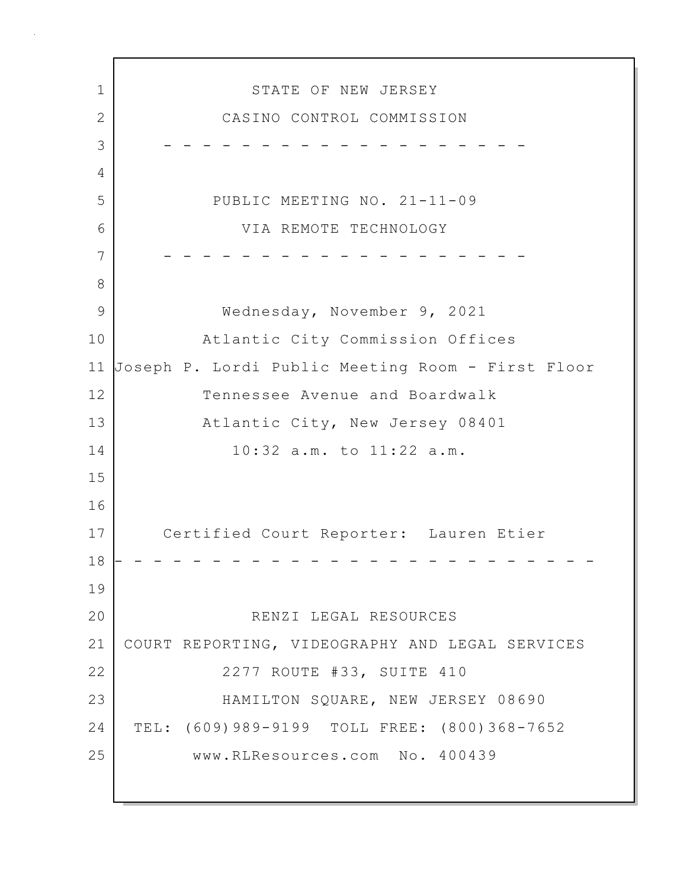1 STATE OF NEW JERSEY 2 CASINO CONTROL COMMISSION 3 - - - - - - - - - - - - - - - - - - - 4 5 PUBLIC MEETING NO. 21-11-09 6 VIA REMOTE TECHNOLOGY 7 - - - - - - - - - - - - - - - - - - - 8 9 Wednesday, November 9, 2021 10 Atlantic City Commission Offices 11 Joseph P. Lordi Public Meeting Room - First Floor 12 Tennessee Avenue and Boardwalk 13 Atlantic City, New Jersey 08401 14 10:32 a.m. to 11:22 a.m. 15 16 17 Certified Court Reporter: Lauren Etier 18 - - - - - - - - - - - - - - - - - - - - - - - - - 19 20 RENZI LEGAL RESOURCES 21 COURT REPORTING, VIDEOGRAPHY AND LEGAL SERVICES 22 | 2277 ROUTE #33, SUITE 410 23 HAMILTON SQUARE, NEW JERSEY 08690 24 TEL: (609)989-9199 TOLL FREE: (800)368-7652 25 www.RLResources.com No. 400439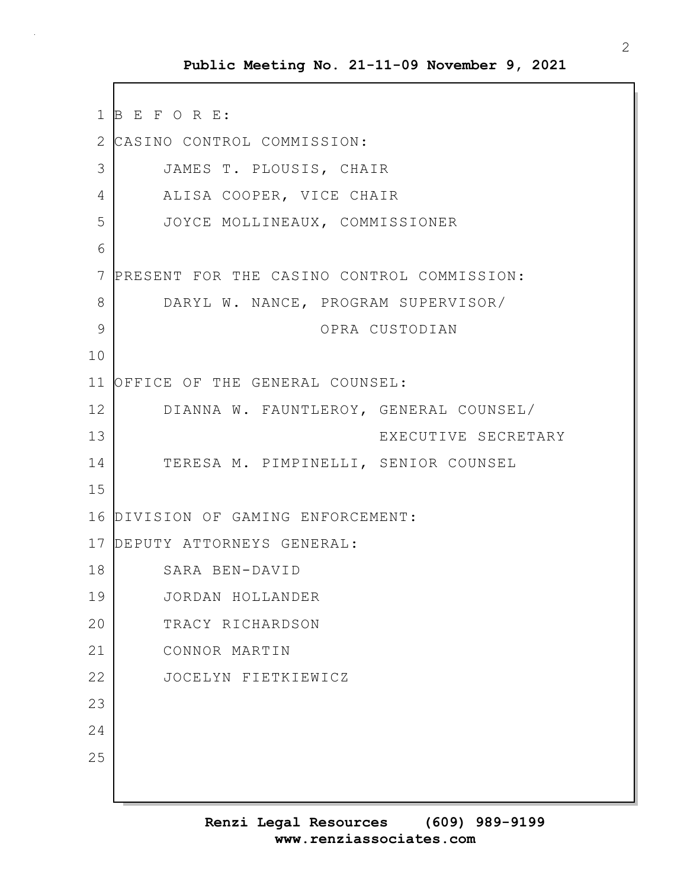1 B E F O R E: 2 CASINO CONTROL COMMISSION: 3 JAMES T. PLOUSIS, CHAIR 4 ALISA COOPER, VICE CHAIR 5 JOYCE MOLLINEAUX, COMMISSIONER 6 7 PRESENT FOR THE CASINO CONTROL COMMISSION: 8 DARYL W. NANCE, PROGRAM SUPERVISOR/ 9 OPRA CUSTODIAN 10 11 OFFICE OF THE GENERAL COUNSEL: 12 DIANNA W. FAUNTLEROY, GENERAL COUNSEL/ 13 EXECUTIVE SECRETARY 14 TERESA M. PIMPINELLI, SENIOR COUNSEL 15 16 DIVISION OF GAMING ENFORCEMENT: 17 DEPUTY ATTORNEYS GENERAL: 18 SARA BEN-DAVID 19 JORDAN HOLLANDER 20 TRACY RICHARDSON 21 CONNOR MARTIN 22 JOCELYN FIETKIEWICZ 23 24 25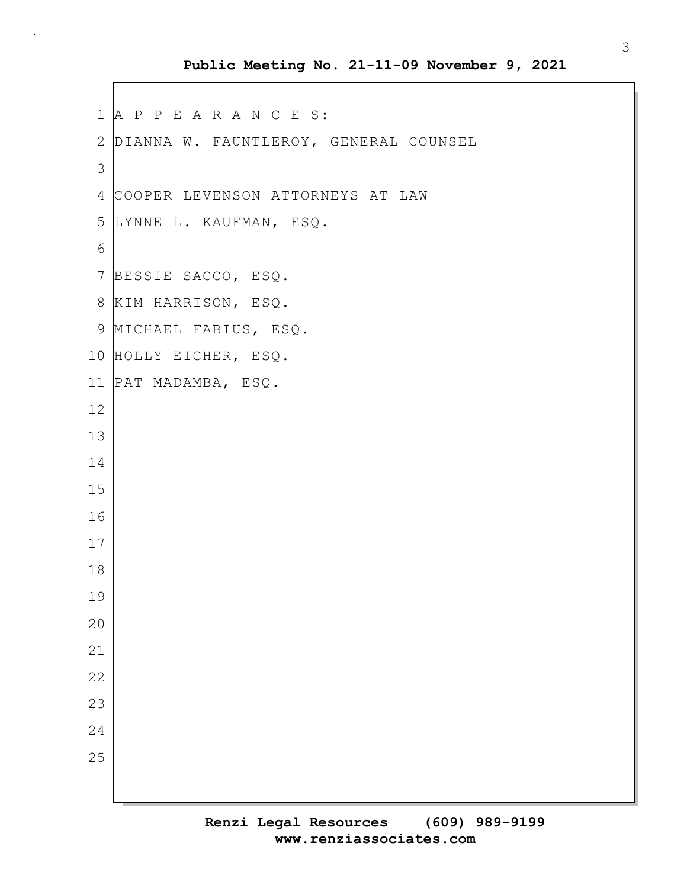#### **Public Meeting No. 21-11-09 November 9, 2021**

```
1 A P P E A R A N C E S:
 2 DIANNA W. FAUNTLEROY, GENERAL COUNSEL
 3
 4 COOPER LEVENSON ATTORNEYS AT LAW
 5 LYNNE L. KAUFMAN, ESQ.
 6
7 BESSIE SACCO, ESQ.
8 KIM HARRISON, ESQ.
9 MICHAEL FABIUS, ESQ.
10 HOLLY EICHER, ESQ.
11 PAT MADAMBA, ESQ.
12
13
14
15
16
17
18
19
20
21
22
23
24
25
```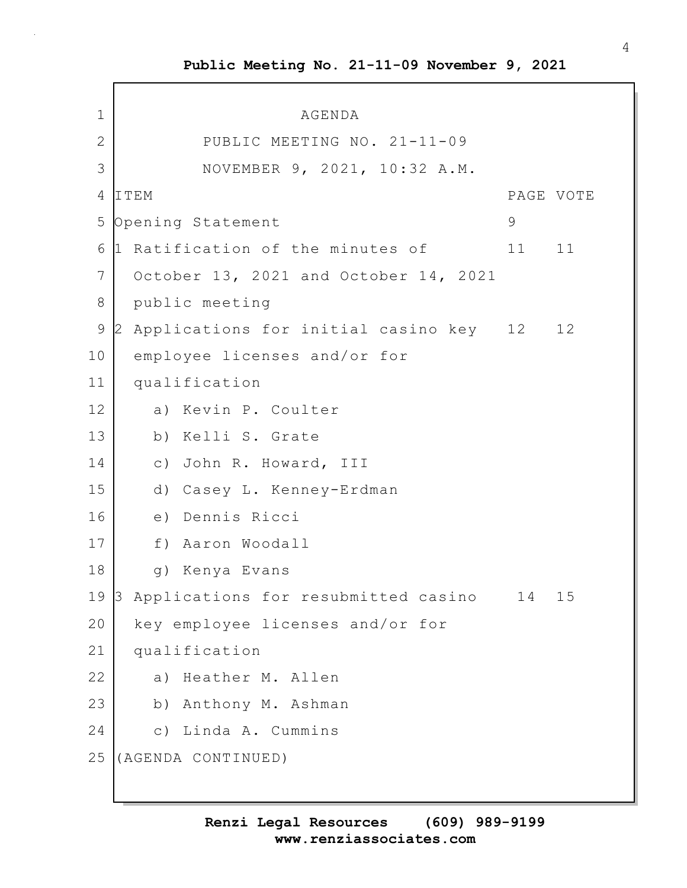1 AGENDA 2 PUBLIC MEETING NO. 21-11-09 3 NOVEMBER 9, 2021, 10:32 A.M. 4 ITEM PAGE VOTE 5 Opening Statement 9 6 1 Ratification of the minutes of 11 11 7 October 13, 2021 and October 14, 2021 8 public meeting 9 2 Applications for initial casino key 12 12 10 employee licenses and/or for 11 qualification 12 a) Kevin P. Coulter 13 b) Kelli S. Grate 14 c) John R. Howard, III 15 d) Casey L. Kenney-Erdman 16 e) Dennis Ricci 17 f) Aaron Woodall 18 | q) Kenya Evans 19 3 Applications for resubmitted casino 14 15 20 key employee licenses and/or for 21 qualification 22 a) Heather M. Allen 23 b) Anthony M. Ashman 24 c) Linda A. Cummins 25 (AGENDA CONTINUED)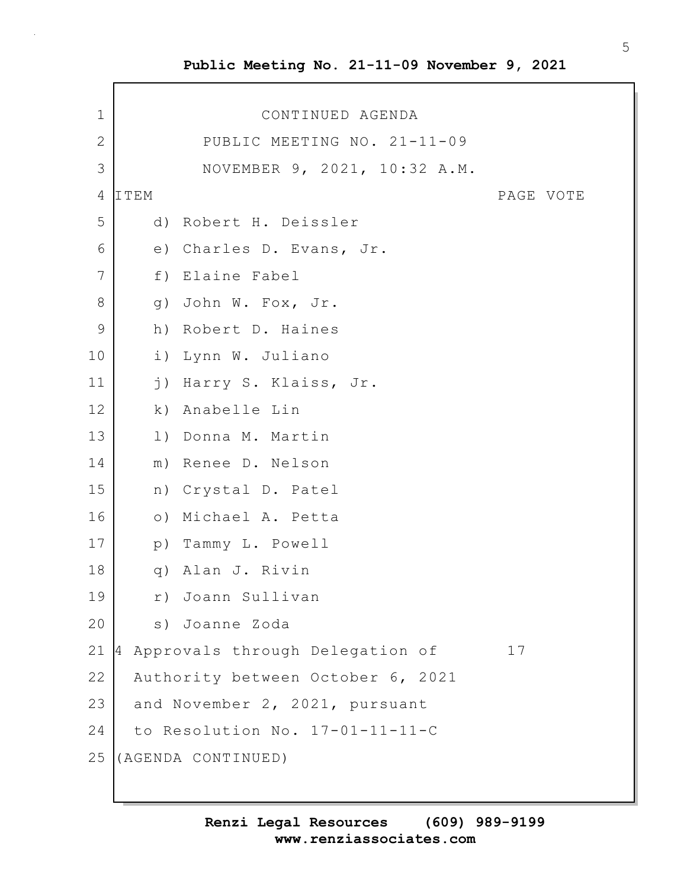# **Public Meeting No. 21-11-09 November 9, 2021**

 $\mathbf{r}$ 

| 1            |                  | CONTINUED AGENDA                  |           |
|--------------|------------------|-----------------------------------|-----------|
| $\mathbf{2}$ |                  | PUBLIC MEETING NO. 21-11-09       |           |
| 3            |                  | NOVEMBER 9, 2021, 10:32 A.M.      |           |
| 4            | ITEM             |                                   | PAGE VOTE |
| 5            |                  | d) Robert H. Deissler             |           |
| 6            |                  | e) Charles D. Evans, Jr.          |           |
| 7            | f)               | Elaine Fabel                      |           |
| $8\,$        | q)               | John W. Fox, Jr.                  |           |
| $\mathsf 9$  |                  | h) Robert D. Haines               |           |
| 10           | i)               | Lynn W. Juliano                   |           |
| 11           | $\overline{1}$ ) | Harry S. Klaiss, Jr.              |           |
| 12           |                  | k) Anabelle Lin                   |           |
| 13           |                  | 1) Donna M. Martin                |           |
| 14           |                  | m) Renee D. Nelson                |           |
| 15           |                  | n) Crystal D. Patel               |           |
| 16           |                  | o) Michael A. Petta               |           |
| 17           |                  | p) Tammy L. Powell                |           |
| 18           |                  | q) Alan J. Rivin                  |           |
| 19           |                  | r) Joann Sullivan                 |           |
| 20           | S)               | Joanne Zoda                       |           |
| 21           | l4               | Approvals through Delegation of   | 17        |
| 22           |                  | Authority between October 6, 2021 |           |
| 23           |                  | and November 2, 2021, pursuant    |           |
| 24           |                  | to Resolution No. 17-01-11-11-C   |           |
| 25           |                  | (AGENDA CONTINUED)                |           |
|              |                  |                                   |           |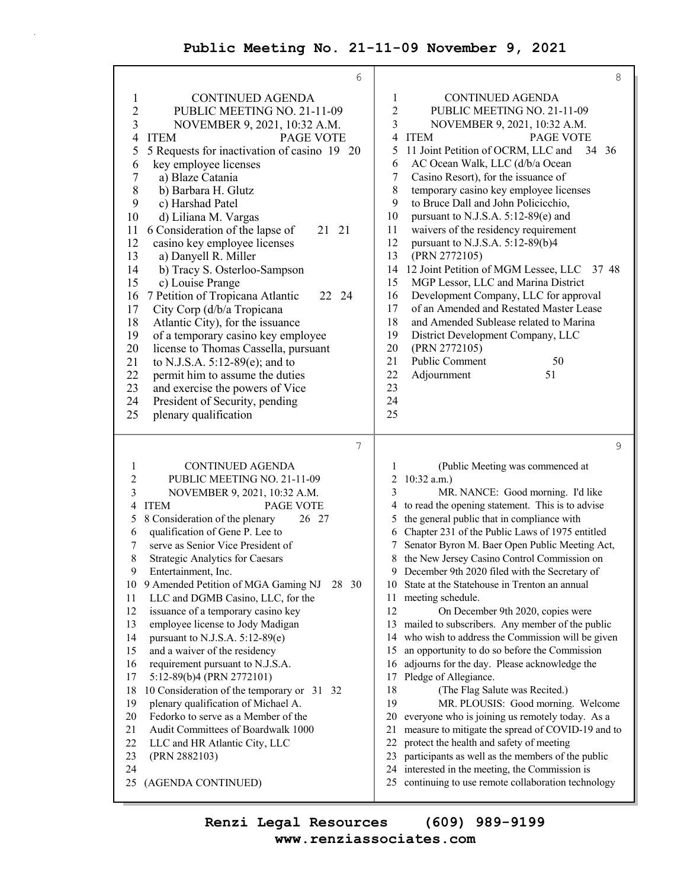## **Public Meeting No. 21-11-09 November 9, 2021**

 $\bar{z}$ 

| 6                                                                                                                                                                                                                                                                                                                                                                                                                                                                                                                                                                                                                                                                                                                                                                                                                                                                                                                                                                                                                | $\,8\,$                                                                                                                                                                                                                                                                                                                                                                                                                                                                                                                                                                                                                                                                                                                                                                                                                                                                                                                                                                                                                                                                                                                                                                                                                                                                     |
|------------------------------------------------------------------------------------------------------------------------------------------------------------------------------------------------------------------------------------------------------------------------------------------------------------------------------------------------------------------------------------------------------------------------------------------------------------------------------------------------------------------------------------------------------------------------------------------------------------------------------------------------------------------------------------------------------------------------------------------------------------------------------------------------------------------------------------------------------------------------------------------------------------------------------------------------------------------------------------------------------------------|-----------------------------------------------------------------------------------------------------------------------------------------------------------------------------------------------------------------------------------------------------------------------------------------------------------------------------------------------------------------------------------------------------------------------------------------------------------------------------------------------------------------------------------------------------------------------------------------------------------------------------------------------------------------------------------------------------------------------------------------------------------------------------------------------------------------------------------------------------------------------------------------------------------------------------------------------------------------------------------------------------------------------------------------------------------------------------------------------------------------------------------------------------------------------------------------------------------------------------------------------------------------------------|
| <b>CONTINUED AGENDA</b><br>$\mathbf 1$<br>$\overline{2}$<br>PUBLIC MEETING NO. 21-11-09<br>3<br>NOVEMBER 9, 2021, 10:32 A.M.<br><b>ITEM</b><br>PAGE VOTE<br>4<br>5 Requests for inactivation of casino 19 20<br>5<br>key employee licenses<br>6<br>7<br>a) Blaze Catania<br>$\,$ $\,$<br>b) Barbara H. Glutz<br>9<br>c) Harshad Patel<br>d) Liliana M. Vargas<br>10<br>6 Consideration of the lapse of<br>21<br>11<br>21<br>12<br>casino key employee licenses<br>13<br>a) Danyell R. Miller<br>14<br>b) Tracy S. Osterloo-Sampson<br>15<br>c) Louise Prange<br>7 Petition of Tropicana Atlantic<br>16<br>22 24<br>City Corp (d/b/a Tropicana<br>17<br>18<br>Atlantic City), for the issuance<br>19<br>of a temporary casino key employee<br>20<br>license to Thomas Cassella, pursuant<br>21<br>to N.J.S.A. $5:12-89(e)$ ; and to<br>22<br>permit him to assume the duties<br>23<br>and exercise the powers of Vice<br>24<br>President of Security, pending<br>25<br>plenary qualification                      | <b>CONTINUED AGENDA</b><br>1<br>$\boldsymbol{2}$<br>PUBLIC MEETING NO. 21-11-09<br>3<br>NOVEMBER 9, 2021, 10:32 A.M.<br>ITEM<br><b>PAGE VOTE</b><br>4<br>5<br>11 Joint Petition of OCRM, LLC and<br>34 36<br>AC Ocean Walk, LLC (d/b/a Ocean<br>6<br>$\tau$<br>Casino Resort), for the issuance of<br>8<br>temporary casino key employee licenses<br>9<br>to Bruce Dall and John Policicchio,<br>10<br>pursuant to N.J.S.A. 5:12-89(e) and<br>11<br>waivers of the residency requirement<br>12<br>pursuant to N.J.S.A. 5:12-89(b)4<br>13<br>(PRN 2772105)<br>12 Joint Petition of MGM Lessee, LLC<br>14<br>37 48<br>MGP Lessor, LLC and Marina District<br>15<br>16<br>Development Company, LLC for approval<br>17<br>of an Amended and Restated Master Lease<br>18<br>and Amended Sublease related to Marina<br>19<br>District Development Company, LLC<br>20<br>(PRN 2772105)<br>Public Comment<br>21<br>50<br>22<br>Adjournment<br>51<br>23<br>24<br>25                                                                                                                                                                                                                                                                                                                  |
| 7                                                                                                                                                                                                                                                                                                                                                                                                                                                                                                                                                                                                                                                                                                                                                                                                                                                                                                                                                                                                                | 9                                                                                                                                                                                                                                                                                                                                                                                                                                                                                                                                                                                                                                                                                                                                                                                                                                                                                                                                                                                                                                                                                                                                                                                                                                                                           |
| <b>CONTINUED AGENDA</b><br>1<br>$\overline{\mathbf{c}}$<br>PUBLIC MEETING NO. 21-11-09<br>3<br>NOVEMBER 9, 2021, 10:32 A.M.<br><b>ITEM</b><br>PAGE VOTE<br>4<br>8 Consideration of the plenary<br>26 27<br>5<br>qualification of Gene P. Lee to<br>6<br>serve as Senior Vice President of<br>7<br>8<br>Strategic Analytics for Caesars<br>9<br>Entertainment, Inc.<br>9 Amended Petition of MGA Gaming NJ<br>28 30<br>10<br>11<br>LLC and DGMB Casino, LLC, for the<br>12<br>issuance of a temporary casino key<br>13<br>employee license to Jody Madigan<br>14<br>pursuant to N.J.S.A. 5:12-89(e)<br>15<br>and a waiver of the residency<br>16<br>requirement pursuant to N.J.S.A.<br>17<br>5:12-89(b)4 (PRN 2772101)<br>18<br>10 Consideration of the temporary or 31 32<br>19<br>plenary qualification of Michael A.<br>20<br>Fedorko to serve as a Member of the<br>21<br>Audit Committees of Boardwalk 1000<br>22<br>LLC and HR Atlantic City, LLC<br>23<br>(PRN 2882103)<br>24<br>25<br>(AGENDA CONTINUED) | (Public Meeting was commenced at<br>1<br>$10:32$ a.m.)<br>2<br>3<br>MR. NANCE: Good morning. I'd like<br>to read the opening statement. This is to advise<br>4<br>the general public that in compliance with<br>5<br>Chapter 231 of the Public Laws of 1975 entitled<br>6<br>Senator Byron M. Baer Open Public Meeting Act,<br>7<br>the New Jersey Casino Control Commission on<br>8<br>9<br>December 9th 2020 filed with the Secretary of<br>State at the Statehouse in Trenton an annual<br>10<br>meeting schedule.<br>11<br>12<br>On December 9th 2020, copies were<br>13<br>mailed to subscribers. Any member of the public<br>14<br>who wish to address the Commission will be given<br>an opportunity to do so before the Commission<br>15<br>16<br>adjourns for the day. Please acknowledge the<br>Pledge of Allegiance.<br>17<br>18<br>(The Flag Salute was Recited.)<br>19<br>MR. PLOUSIS: Good morning. Welcome<br>everyone who is joining us remotely today. As a<br>20<br>21<br>measure to mitigate the spread of COVID-19 and to<br>22<br>protect the health and safety of meeting<br>23<br>participants as well as the members of the public<br>interested in the meeting, the Commission is<br>24<br>continuing to use remote collaboration technology<br>25 |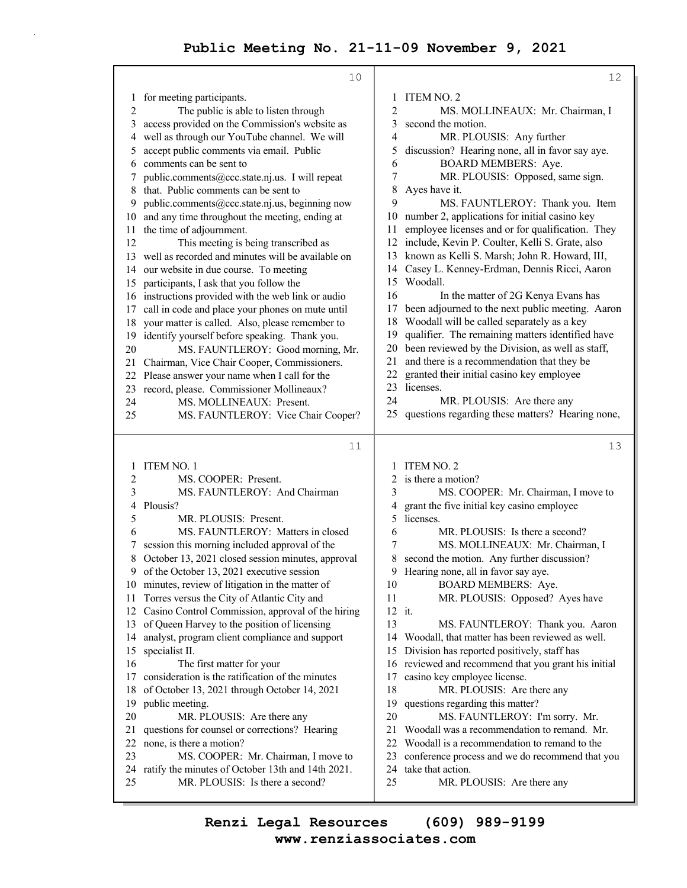10 1 for meeting participants. 2 The public is able to listen through 3 access provided on the Commission's website as 4 well as through our YouTube channel. We will 5 accept public comments via email. Public 6 comments can be sent to 7 public.comments@ccc.state.nj.us. I will repeat 8 that. Public comments can be sent to 9 public.comments@ccc.state.nj.us, beginning now 10 and any time throughout the meeting, ending at 11 the time of adjournment. 12 This meeting is being transcribed as 13 well as recorded and minutes will be available on 14 our website in due course. To meeting 15 participants, I ask that you follow the 16 instructions provided with the web link or audio 17 call in code and place your phones on mute until 18 your matter is called. Also, please remember to 19 identify yourself before speaking. Thank you. 20 MS. FAUNTLEROY: Good morning, Mr. 21 Chairman, Vice Chair Cooper, Commissioners. 22 Please answer your name when I call for the 23 record, please. Commissioner Mollineaux? 24 MS. MOLLINEAUX: Present. 25 MS. FAUNTLEROY: Vice Chair Cooper? 11 1 ITEM NO. 1 2 MS. COOPER: Present. 3 MS. FAUNTLEROY: And Chairman 4 Plousis? 5 MR. PLOUSIS: Present. 6 MS. FAUNTLEROY: Matters in closed 7 session this morning included approval of the 8 October 13, 2021 closed session minutes, approval 9 of the October 13, 2021 executive session 10 minutes, review of litigation in the matter of 11 Torres versus the City of Atlantic City and 12 Casino Control Commission, approval of the hiring 13 of Queen Harvey to the position of licensing 14 analyst, program client compliance and support 15 specialist II. 16 The first matter for your 17 consideration is the ratification of the minutes 18 of October 13, 2021 through October 14, 2021 19 public meeting. 20 MR. PLOUSIS: Are there any 21 questions for counsel or corrections? Hearing 22 none, is there a motion? 23 MS. COOPER: Mr. Chairman, I move to 24 ratify the minutes of October 13th and 14th 2021. 25 MR. PLOUSIS: Is there a second? 12 1 ITEM NO. 2 2 MS. MOLLINEAUX: Mr. Chairman, I 3 second the motion. 4 MR. PLOUSIS: Any further 5 discussion? Hearing none, all in favor say aye. 6 BOARD MEMBERS: Aye. 7 MR. PLOUSIS: Opposed, same sign. 8 Ayes have it. 9 MS. FAUNTLEROY: Thank you. Item 10 number 2, applications for initial casino key 11 employee licenses and or for qualification. They 12 include, Kevin P. Coulter, Kelli S. Grate, also 13 known as Kelli S. Marsh; John R. Howard, III, 14 Casey L. Kenney-Erdman, Dennis Ricci, Aaron 15 Woodall. 16 In the matter of 2G Kenya Evans has 17 been adjourned to the next public meeting. Aaron 18 Woodall will be called separately as a key 19 qualifier. The remaining matters identified have 20 been reviewed by the Division, as well as staff, 21 and there is a recommendation that they be 22 granted their initial casino key employee 23 licenses. 24 MR. PLOUSIS: Are there any 25 questions regarding these matters? Hearing none, 13 1 ITEM NO. 2 2 is there a motion? 3 MS. COOPER: Mr. Chairman, I move to 4 grant the five initial key casino employee 5 licenses. 6 MR. PLOUSIS: Is there a second? 7 MS. MOLLINEAUX: Mr. Chairman, I 8 second the motion. Any further discussion? 9 Hearing none, all in favor say aye. 10 BOARD MEMBERS: Aye. 11 MR. PLOUSIS: Opposed? Ayes have 12 it. 13 MS. FAUNTLEROY: Thank you. Aaron 14 Woodall, that matter has been reviewed as well. 15 Division has reported positively, staff has 16 reviewed and recommend that you grant his initial 17 casino key employee license. 18 MR. PLOUSIS: Are there any 19 questions regarding this matter? 20 MS. FAUNTLEROY: I'm sorry. Mr. 21 Woodall was a recommendation to remand. Mr. 22 Woodall is a recommendation to remand to the 23 conference process and we do recommend that you 24 take that action. 25 MR. PLOUSIS: Are there any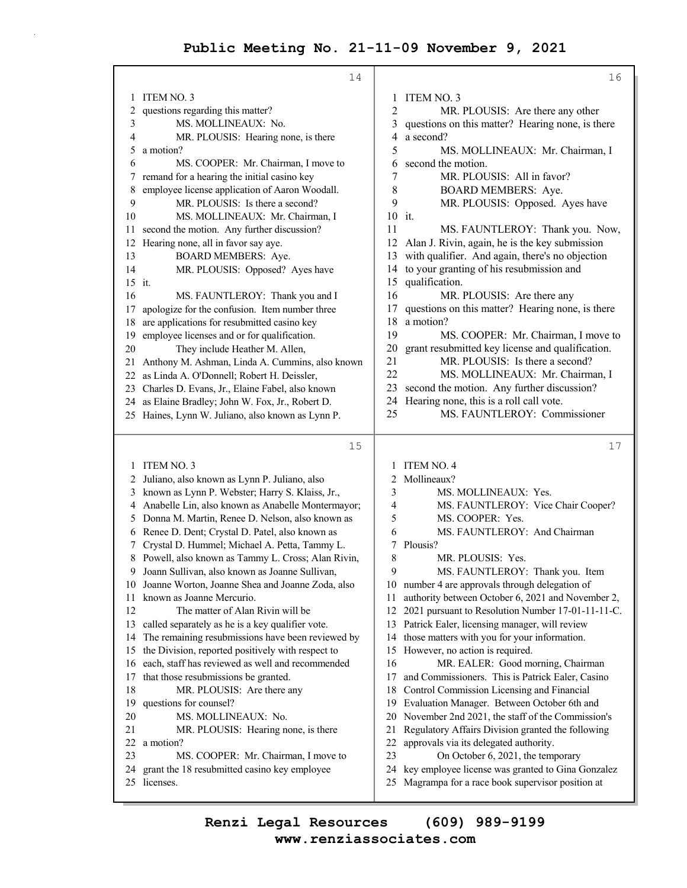## **Public Meeting No. 21-11-09 November 9, 2021**

|          | 14                                                                            |          | 16                                                                                                   |
|----------|-------------------------------------------------------------------------------|----------|------------------------------------------------------------------------------------------------------|
| 1        | ITEM NO. 3                                                                    | 1        | ITEM NO. 3                                                                                           |
| 2        | questions regarding this matter?                                              | 2        | MR. PLOUSIS: Are there any other                                                                     |
| 3        | MS. MOLLINEAUX: No.                                                           | 3        | questions on this matter? Hearing none, is there                                                     |
| 4        | MR. PLOUSIS: Hearing none, is there                                           | 4        | a second?                                                                                            |
| 5        | a motion?                                                                     | 5        | MS. MOLLINEAUX: Mr. Chairman, I                                                                      |
| 6        | MS. COOPER: Mr. Chairman, I move to                                           | 6        | second the motion.                                                                                   |
| 7        | remand for a hearing the initial casino key                                   | 7        | MR. PLOUSIS: All in favor?                                                                           |
| 8        | employee license application of Aaron Woodall.                                | 8        | <b>BOARD MEMBERS: Aye.</b>                                                                           |
| 9        | MR. PLOUSIS: Is there a second?                                               | 9        | MR. PLOUSIS: Opposed. Ayes have                                                                      |
| 10       | MS. MOLLINEAUX: Mr. Chairman, I                                               |          | 10 it.                                                                                               |
| 11       | second the motion. Any further discussion?                                    | 11       | MS. FAUNTLEROY: Thank you. Now,                                                                      |
| 12       | Hearing none, all in favor say aye.                                           | 12       | Alan J. Rivin, again, he is the key submission                                                       |
| 13       | BOARD MEMBERS: Aye.                                                           | 13       | with qualifier. And again, there's no objection                                                      |
| 14       | MR. PLOUSIS: Opposed? Ayes have                                               | 14       | to your granting of his resubmission and                                                             |
| 15 it.   |                                                                               | 15<br>16 | qualification.                                                                                       |
| 16       | MS. FAUNTLEROY: Thank you and I                                               | 17       | MR. PLOUSIS: Are there any                                                                           |
| 17       | apologize for the confusion. Item number three                                | 18       | questions on this matter? Hearing none, is there<br>a motion?                                        |
| 18<br>19 | are applications for resubmitted casino key                                   | 19       | MS. COOPER: Mr. Chairman, I move to                                                                  |
| 20       | employee licenses and or for qualification.<br>They include Heather M. Allen, | 20       | grant resubmitted key license and qualification.                                                     |
| 21       | Anthony M. Ashman, Linda A. Cummins, also known                               | 21       | MR. PLOUSIS: Is there a second?                                                                      |
| 22       | as Linda A. O'Donnell; Robert H. Deissler,                                    | 22       | MS. MOLLINEAUX: Mr. Chairman, I                                                                      |
|          | 23 Charles D. Evans, Jr., Elaine Fabel, also known                            | 23       | second the motion. Any further discussion?                                                           |
|          | 24 as Elaine Bradley; John W. Fox, Jr., Robert D.                             | 24       | Hearing none, this is a roll call vote.                                                              |
|          | 25 Haines, Lynn W. Juliano, also known as Lynn P.                             | 25       | MS. FAUNTLEROY: Commissioner                                                                         |
|          |                                                                               |          |                                                                                                      |
|          | 15                                                                            |          | 17                                                                                                   |
| 1        | ITEM NO. 3                                                                    | 1        | <b>ITEM NO. 4</b>                                                                                    |
| 2        | Juliano, also known as Lynn P. Juliano, also                                  | 2        | Mollineaux?                                                                                          |
| 3        | known as Lynn P. Webster; Harry S. Klaiss, Jr.,                               | 3        | MS. MOLLINEAUX: Yes.                                                                                 |
| 4        | Anabelle Lin, also known as Anabelle Montermayor;                             | 4        | MS. FAUNTLEROY: Vice Chair Cooper?                                                                   |
| 5        | Donna M. Martin, Renee D. Nelson, also known as                               | 5        | MS. COOPER: Yes.                                                                                     |
| 6        | Renee D. Dent; Crystal D. Patel, also known as                                | 6        | MS. FAUNTLEROY: And Chairman                                                                         |
| 7        | Crystal D. Hummel; Michael A. Petta, Tammy L.                                 |          |                                                                                                      |
| 8        |                                                                               | 7        | Plousis?                                                                                             |
|          | Powell, also known as Tammy L. Cross; Alan Rivin,                             | 8        | MR. PLOUSIS: Yes.                                                                                    |
| 9        | Joann Sullivan, also known as Joanne Sullivan,                                | 9        | MS. FAUNTLEROY: Thank you. Item                                                                      |
| 10       | Joanne Worton, Joanne Shea and Joanne Zoda, also                              | 10       | number 4 are approvals through delegation of                                                         |
| 11       | known as Joanne Mercurio.                                                     | 11       | authority between October 6, 2021 and November 2,                                                    |
| 12       | The matter of Alan Rivin will be                                              | 12       | 2021 pursuant to Resolution Number 17-01-11-11-C.                                                    |
| 13       | called separately as he is a key qualifier vote.                              | 13       | Patrick Ealer, licensing manager, will review                                                        |
| 14       | The remaining resubmissions have been reviewed by                             | 14       | those matters with you for your information.                                                         |
| 15       | the Division, reported positively with respect to                             | 15       | However, no action is required.                                                                      |
| 16       | each, staff has reviewed as well and recommended                              | 16       | MR. EALER: Good morning, Chairman                                                                    |
| 17       | that those resubmissions be granted.                                          | 17       | and Commissioners. This is Patrick Ealer, Casino                                                     |
| 18       | MR. PLOUSIS: Are there any                                                    | 18       | Control Commission Licensing and Financial                                                           |
| 19       | questions for counsel?                                                        | 19       | Evaluation Manager. Between October 6th and                                                          |
| 20       | MS. MOLLINEAUX: No.                                                           | 20       | November 2nd 2021, the staff of the Commission's                                                     |
| 21       | MR. PLOUSIS: Hearing none, is there                                           | 21       | Regulatory Affairs Division granted the following                                                    |
| 22       | a motion?                                                                     | 22       | approvals via its delegated authority.                                                               |
| 23<br>24 | MS. COOPER: Mr. Chairman, I move to                                           | 23<br>24 | On October 6, 2021, the temporary                                                                    |
| 25       | grant the 18 resubmitted casino key employee<br>licenses.                     | 25       | key employee license was granted to Gina Gonzalez<br>Magrampa for a race book supervisor position at |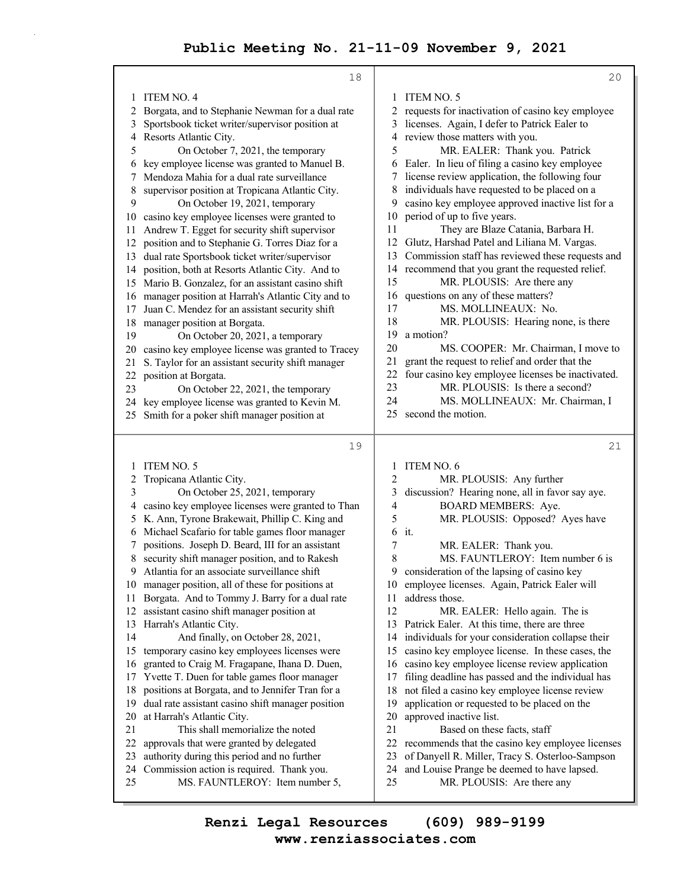18 1 ITEM NO. 4 2 Borgata, and to Stephanie Newman for a dual rate 3 Sportsbook ticket writer/supervisor position at 4 Resorts Atlantic City. 5 On October 7, 2021, the temporary 6 key employee license was granted to Manuel B. 7 Mendoza Mahia for a dual rate surveillance 8 supervisor position at Tropicana Atlantic City. 9 On October 19, 2021, temporary 10 casino key employee licenses were granted to 11 Andrew T. Egget for security shift supervisor 12 position and to Stephanie G. Torres Diaz for a 13 dual rate Sportsbook ticket writer/supervisor 14 position, both at Resorts Atlantic City. And to 15 Mario B. Gonzalez, for an assistant casino shift 16 manager position at Harrah's Atlantic City and to 17 Juan C. Mendez for an assistant security shift 18 manager position at Borgata. 19 On October 20, 2021, a temporary 20 casino key employee license was granted to Tracey 21 S. Taylor for an assistant security shift manager 22 position at Borgata. 23 On October 22, 2021, the temporary 24 key employee license was granted to Kevin M. 25 Smith for a poker shift manager position at 19 1 ITEM NO. 5 2 Tropicana Atlantic City. 3 On October 25, 2021, temporary 4 casino key employee licenses were granted to Than 5 K. Ann, Tyrone Brakewait, Phillip C. King and 6 Michael Scafario for table games floor manager 7 positions. Joseph D. Beard, III for an assistant 8 security shift manager position, and to Rakesh 9 Atlantia for an associate surveillance shift 10 manager position, all of these for positions at 11 Borgata. And to Tommy J. Barry for a dual rate 12 assistant casino shift manager position at 13 Harrah's Atlantic City. 14 And finally, on October 28, 2021, 15 temporary casino key employees licenses were 16 granted to Craig M. Fragapane, Ihana D. Duen, 17 Yvette T. Duen for table games floor manager 18 positions at Borgata, and to Jennifer Tran for a 19 dual rate assistant casino shift manager position 20 at Harrah's Atlantic City. 21 This shall memorialize the noted 22 approvals that were granted by delegated 23 authority during this period and no further 24 Commission action is required. Thank you. 25 MS. FAUNTLEROY: Item number 5, 20 1 ITEM NO. 5 2 requests for inactivation of casino key employee 3 licenses. Again, I defer to Patrick Ealer to 4 review those matters with you. 5 MR. EALER: Thank you. Patrick 6 Ealer. In lieu of filing a casino key employee 7 license review application, the following four 8 individuals have requested to be placed on a 9 casino key employee approved inactive list for a 10 period of up to five years. 11 They are Blaze Catania, Barbara H. 12 Glutz, Harshad Patel and Liliana M. Vargas. 13 Commission staff has reviewed these requests and 14 recommend that you grant the requested relief. 15 MR. PLOUSIS: Are there any 16 questions on any of these matters? 17 MS. MOLLINEAUX: No. 18 MR. PLOUSIS: Hearing none, is there 19 a motion? 20 MS. COOPER: Mr. Chairman, I move to 21 grant the request to relief and order that the 22 four casino key employee licenses be inactivated. 23 MR. PLOUSIS: Is there a second? 24 MS. MOLLINEAUX: Mr. Chairman, I 25 second the motion. 21 1 ITEM NO. 6 2 MR. PLOUSIS: Any further 3 discussion? Hearing none, all in favor say aye. 4 BOARD MEMBERS: Aye. 5 MR. PLOUSIS: Opposed? Ayes have 6 it. 7 MR. EALER: Thank you. 8 MS. FAUNTLEROY: Item number 6 is 9 consideration of the lapsing of casino key 10 employee licenses. Again, Patrick Ealer will 11 address those. 12 MR. EALER: Hello again. The is 13 Patrick Ealer. At this time, there are three 14 individuals for your consideration collapse their 15 casino key employee license. In these cases, the 16 casino key employee license review application 17 filing deadline has passed and the individual has 18 not filed a casino key employee license review 19 application or requested to be placed on the 20 approved inactive list. 21 Based on these facts, staff 22 recommends that the casino key employee licenses 23 of Danyell R. Miller, Tracy S. Osterloo-Sampson 24 and Louise Prange be deemed to have lapsed. 25 MR. PLOUSIS: Are there any

**www.renziassociates.com Renzi Legal Resources (609) 989-9199**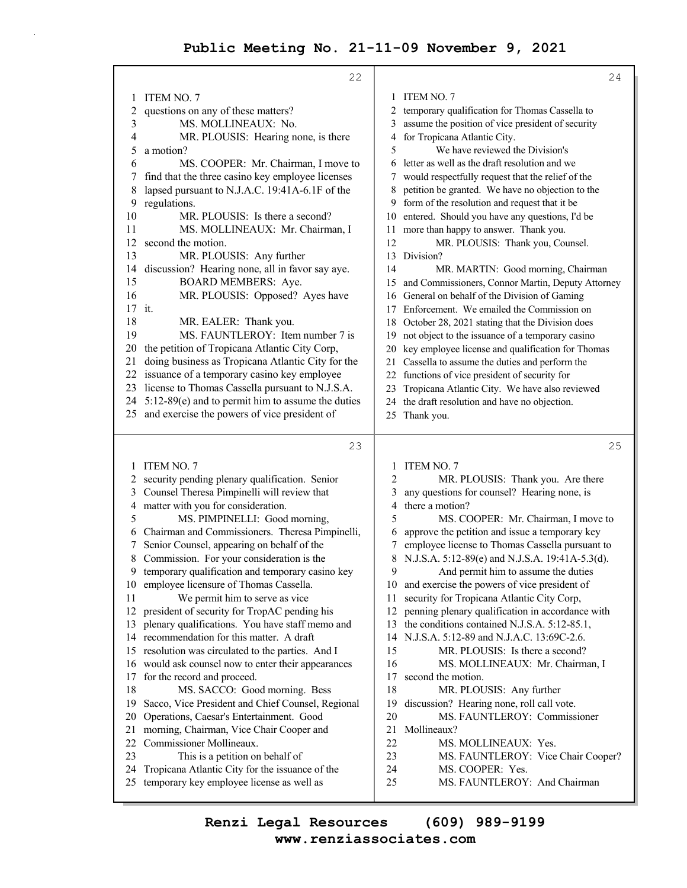| ITEM NO. 7<br><b>ITEM NO. 7</b><br>1<br>1<br>questions on any of these matters?<br>temporary qualification for Thomas Cassella to<br>2<br>2<br>assume the position of vice president of security<br>3<br>MS. MOLLINEAUX: No.<br>3<br>4<br>for Tropicana Atlantic City.<br>MR. PLOUSIS: Hearing none, is there<br>4<br>We have reviewed the Division's<br>5<br>5<br>a motion?<br>letter as well as the draft resolution and we<br>6<br>MS. COOPER: Mr. Chairman, I move to<br>6<br>find that the three casino key employee licenses<br>7<br>would respectfully request that the relief of the<br>7<br>8<br>lapsed pursuant to N.J.A.C. 19:41A-6.1F of the<br>petition be granted. We have no objection to the<br>8<br>9<br>regulations.<br>form of the resolution and request that it be<br>9<br>10<br>entered. Should you have any questions, I'd be<br>MR. PLOUSIS: Is there a second?<br>10<br>MS. MOLLINEAUX: Mr. Chairman, I<br>11 more than happy to answer. Thank you.<br>11<br>second the motion.<br>12<br>MR. PLOUSIS: Thank you, Counsel.<br>12<br>13<br>Division?<br>MR. PLOUSIS: Any further<br>13<br>discussion? Hearing none, all in favor say aye.<br>14<br>14<br>MR. MARTIN: Good morning, Chairman<br>15<br><b>BOARD MEMBERS: Aye.</b><br>and Commissioners, Connor Martin, Deputy Attorney<br>15<br>16<br>MR. PLOUSIS: Opposed? Ayes have<br>General on behalf of the Division of Gaming<br>16<br>17<br>it.<br>Enforcement. We emailed the Commission on<br>17<br>18<br>MR. EALER: Thank you.<br>October 28, 2021 stating that the Division does<br>18<br>MS. FAUNTLEROY: Item number 7 is<br>19<br>not object to the issuance of a temporary casino<br>19<br>the petition of Tropicana Atlantic City Corp,<br>20<br>key employee license and qualification for Thomas<br>20 |    |
|-----------------------------------------------------------------------------------------------------------------------------------------------------------------------------------------------------------------------------------------------------------------------------------------------------------------------------------------------------------------------------------------------------------------------------------------------------------------------------------------------------------------------------------------------------------------------------------------------------------------------------------------------------------------------------------------------------------------------------------------------------------------------------------------------------------------------------------------------------------------------------------------------------------------------------------------------------------------------------------------------------------------------------------------------------------------------------------------------------------------------------------------------------------------------------------------------------------------------------------------------------------------------------------------------------------------------------------------------------------------------------------------------------------------------------------------------------------------------------------------------------------------------------------------------------------------------------------------------------------------------------------------------------------------------------------------------------------------------------------------------------------------------------------------------|----|
|                                                                                                                                                                                                                                                                                                                                                                                                                                                                                                                                                                                                                                                                                                                                                                                                                                                                                                                                                                                                                                                                                                                                                                                                                                                                                                                                                                                                                                                                                                                                                                                                                                                                                                                                                                                               |    |
|                                                                                                                                                                                                                                                                                                                                                                                                                                                                                                                                                                                                                                                                                                                                                                                                                                                                                                                                                                                                                                                                                                                                                                                                                                                                                                                                                                                                                                                                                                                                                                                                                                                                                                                                                                                               |    |
|                                                                                                                                                                                                                                                                                                                                                                                                                                                                                                                                                                                                                                                                                                                                                                                                                                                                                                                                                                                                                                                                                                                                                                                                                                                                                                                                                                                                                                                                                                                                                                                                                                                                                                                                                                                               |    |
|                                                                                                                                                                                                                                                                                                                                                                                                                                                                                                                                                                                                                                                                                                                                                                                                                                                                                                                                                                                                                                                                                                                                                                                                                                                                                                                                                                                                                                                                                                                                                                                                                                                                                                                                                                                               |    |
|                                                                                                                                                                                                                                                                                                                                                                                                                                                                                                                                                                                                                                                                                                                                                                                                                                                                                                                                                                                                                                                                                                                                                                                                                                                                                                                                                                                                                                                                                                                                                                                                                                                                                                                                                                                               |    |
|                                                                                                                                                                                                                                                                                                                                                                                                                                                                                                                                                                                                                                                                                                                                                                                                                                                                                                                                                                                                                                                                                                                                                                                                                                                                                                                                                                                                                                                                                                                                                                                                                                                                                                                                                                                               |    |
|                                                                                                                                                                                                                                                                                                                                                                                                                                                                                                                                                                                                                                                                                                                                                                                                                                                                                                                                                                                                                                                                                                                                                                                                                                                                                                                                                                                                                                                                                                                                                                                                                                                                                                                                                                                               |    |
|                                                                                                                                                                                                                                                                                                                                                                                                                                                                                                                                                                                                                                                                                                                                                                                                                                                                                                                                                                                                                                                                                                                                                                                                                                                                                                                                                                                                                                                                                                                                                                                                                                                                                                                                                                                               |    |
|                                                                                                                                                                                                                                                                                                                                                                                                                                                                                                                                                                                                                                                                                                                                                                                                                                                                                                                                                                                                                                                                                                                                                                                                                                                                                                                                                                                                                                                                                                                                                                                                                                                                                                                                                                                               |    |
|                                                                                                                                                                                                                                                                                                                                                                                                                                                                                                                                                                                                                                                                                                                                                                                                                                                                                                                                                                                                                                                                                                                                                                                                                                                                                                                                                                                                                                                                                                                                                                                                                                                                                                                                                                                               |    |
|                                                                                                                                                                                                                                                                                                                                                                                                                                                                                                                                                                                                                                                                                                                                                                                                                                                                                                                                                                                                                                                                                                                                                                                                                                                                                                                                                                                                                                                                                                                                                                                                                                                                                                                                                                                               |    |
|                                                                                                                                                                                                                                                                                                                                                                                                                                                                                                                                                                                                                                                                                                                                                                                                                                                                                                                                                                                                                                                                                                                                                                                                                                                                                                                                                                                                                                                                                                                                                                                                                                                                                                                                                                                               |    |
|                                                                                                                                                                                                                                                                                                                                                                                                                                                                                                                                                                                                                                                                                                                                                                                                                                                                                                                                                                                                                                                                                                                                                                                                                                                                                                                                                                                                                                                                                                                                                                                                                                                                                                                                                                                               |    |
|                                                                                                                                                                                                                                                                                                                                                                                                                                                                                                                                                                                                                                                                                                                                                                                                                                                                                                                                                                                                                                                                                                                                                                                                                                                                                                                                                                                                                                                                                                                                                                                                                                                                                                                                                                                               |    |
|                                                                                                                                                                                                                                                                                                                                                                                                                                                                                                                                                                                                                                                                                                                                                                                                                                                                                                                                                                                                                                                                                                                                                                                                                                                                                                                                                                                                                                                                                                                                                                                                                                                                                                                                                                                               |    |
|                                                                                                                                                                                                                                                                                                                                                                                                                                                                                                                                                                                                                                                                                                                                                                                                                                                                                                                                                                                                                                                                                                                                                                                                                                                                                                                                                                                                                                                                                                                                                                                                                                                                                                                                                                                               |    |
|                                                                                                                                                                                                                                                                                                                                                                                                                                                                                                                                                                                                                                                                                                                                                                                                                                                                                                                                                                                                                                                                                                                                                                                                                                                                                                                                                                                                                                                                                                                                                                                                                                                                                                                                                                                               |    |
|                                                                                                                                                                                                                                                                                                                                                                                                                                                                                                                                                                                                                                                                                                                                                                                                                                                                                                                                                                                                                                                                                                                                                                                                                                                                                                                                                                                                                                                                                                                                                                                                                                                                                                                                                                                               |    |
|                                                                                                                                                                                                                                                                                                                                                                                                                                                                                                                                                                                                                                                                                                                                                                                                                                                                                                                                                                                                                                                                                                                                                                                                                                                                                                                                                                                                                                                                                                                                                                                                                                                                                                                                                                                               |    |
|                                                                                                                                                                                                                                                                                                                                                                                                                                                                                                                                                                                                                                                                                                                                                                                                                                                                                                                                                                                                                                                                                                                                                                                                                                                                                                                                                                                                                                                                                                                                                                                                                                                                                                                                                                                               |    |
| doing business as Tropicana Atlantic City for the<br>21<br>Cassella to assume the duties and perform the<br>21                                                                                                                                                                                                                                                                                                                                                                                                                                                                                                                                                                                                                                                                                                                                                                                                                                                                                                                                                                                                                                                                                                                                                                                                                                                                                                                                                                                                                                                                                                                                                                                                                                                                                |    |
| 22 issuance of a temporary casino key employee<br>functions of vice president of security for<br>22                                                                                                                                                                                                                                                                                                                                                                                                                                                                                                                                                                                                                                                                                                                                                                                                                                                                                                                                                                                                                                                                                                                                                                                                                                                                                                                                                                                                                                                                                                                                                                                                                                                                                           |    |
| license to Thomas Cassella pursuant to N.J.S.A.<br>23<br>Tropicana Atlantic City. We have also reviewed<br>23                                                                                                                                                                                                                                                                                                                                                                                                                                                                                                                                                                                                                                                                                                                                                                                                                                                                                                                                                                                                                                                                                                                                                                                                                                                                                                                                                                                                                                                                                                                                                                                                                                                                                 |    |
| 5:12-89(e) and to permit him to assume the duties<br>24 -<br>the draft resolution and have no objection.<br>24                                                                                                                                                                                                                                                                                                                                                                                                                                                                                                                                                                                                                                                                                                                                                                                                                                                                                                                                                                                                                                                                                                                                                                                                                                                                                                                                                                                                                                                                                                                                                                                                                                                                                |    |
| and exercise the powers of vice president of<br>25<br>Thank you.<br>25                                                                                                                                                                                                                                                                                                                                                                                                                                                                                                                                                                                                                                                                                                                                                                                                                                                                                                                                                                                                                                                                                                                                                                                                                                                                                                                                                                                                                                                                                                                                                                                                                                                                                                                        |    |
| 23                                                                                                                                                                                                                                                                                                                                                                                                                                                                                                                                                                                                                                                                                                                                                                                                                                                                                                                                                                                                                                                                                                                                                                                                                                                                                                                                                                                                                                                                                                                                                                                                                                                                                                                                                                                            | 25 |
| ITEM NO. 7<br><b>ITEM NO. 7</b><br>1<br>1                                                                                                                                                                                                                                                                                                                                                                                                                                                                                                                                                                                                                                                                                                                                                                                                                                                                                                                                                                                                                                                                                                                                                                                                                                                                                                                                                                                                                                                                                                                                                                                                                                                                                                                                                     |    |
| 2 security pending plenary qualification. Senior<br>2<br>MR. PLOUSIS: Thank you. Are there                                                                                                                                                                                                                                                                                                                                                                                                                                                                                                                                                                                                                                                                                                                                                                                                                                                                                                                                                                                                                                                                                                                                                                                                                                                                                                                                                                                                                                                                                                                                                                                                                                                                                                    |    |
| Counsel Theresa Pimpinelli will review that<br>any questions for counsel? Hearing none, is<br>3<br>3                                                                                                                                                                                                                                                                                                                                                                                                                                                                                                                                                                                                                                                                                                                                                                                                                                                                                                                                                                                                                                                                                                                                                                                                                                                                                                                                                                                                                                                                                                                                                                                                                                                                                          |    |
| matter with you for consideration.<br>4<br>there a motion?<br>4                                                                                                                                                                                                                                                                                                                                                                                                                                                                                                                                                                                                                                                                                                                                                                                                                                                                                                                                                                                                                                                                                                                                                                                                                                                                                                                                                                                                                                                                                                                                                                                                                                                                                                                               |    |
| 5<br>5<br>MS. PIMPINELLI: Good morning,<br>MS. COOPER: Mr. Chairman, I move to                                                                                                                                                                                                                                                                                                                                                                                                                                                                                                                                                                                                                                                                                                                                                                                                                                                                                                                                                                                                                                                                                                                                                                                                                                                                                                                                                                                                                                                                                                                                                                                                                                                                                                                |    |
| approve the petition and issue a temporary key<br>Chairman and Commissioners. Theresa Pimpinelli,<br>6<br>6                                                                                                                                                                                                                                                                                                                                                                                                                                                                                                                                                                                                                                                                                                                                                                                                                                                                                                                                                                                                                                                                                                                                                                                                                                                                                                                                                                                                                                                                                                                                                                                                                                                                                   |    |
| Senior Counsel, appearing on behalf of the<br>employee license to Thomas Cassella pursuant to<br>7<br>7                                                                                                                                                                                                                                                                                                                                                                                                                                                                                                                                                                                                                                                                                                                                                                                                                                                                                                                                                                                                                                                                                                                                                                                                                                                                                                                                                                                                                                                                                                                                                                                                                                                                                       |    |
| 8<br>Commission. For your consideration is the<br>8<br>N.J.S.A. 5:12-89(e) and N.J.S.A. 19:41A-5.3(d).                                                                                                                                                                                                                                                                                                                                                                                                                                                                                                                                                                                                                                                                                                                                                                                                                                                                                                                                                                                                                                                                                                                                                                                                                                                                                                                                                                                                                                                                                                                                                                                                                                                                                        |    |
| 9<br>temporary qualification and temporary casino key<br>And permit him to assume the duties<br>9                                                                                                                                                                                                                                                                                                                                                                                                                                                                                                                                                                                                                                                                                                                                                                                                                                                                                                                                                                                                                                                                                                                                                                                                                                                                                                                                                                                                                                                                                                                                                                                                                                                                                             |    |
|                                                                                                                                                                                                                                                                                                                                                                                                                                                                                                                                                                                                                                                                                                                                                                                                                                                                                                                                                                                                                                                                                                                                                                                                                                                                                                                                                                                                                                                                                                                                                                                                                                                                                                                                                                                               |    |
| employee licensure of Thomas Cassella.<br>and exercise the powers of vice president of<br>10<br>10                                                                                                                                                                                                                                                                                                                                                                                                                                                                                                                                                                                                                                                                                                                                                                                                                                                                                                                                                                                                                                                                                                                                                                                                                                                                                                                                                                                                                                                                                                                                                                                                                                                                                            |    |
| 11<br>We permit him to serve as vice<br>security for Tropicana Atlantic City Corp,<br>11                                                                                                                                                                                                                                                                                                                                                                                                                                                                                                                                                                                                                                                                                                                                                                                                                                                                                                                                                                                                                                                                                                                                                                                                                                                                                                                                                                                                                                                                                                                                                                                                                                                                                                      |    |
| president of security for TropAC pending his<br>penning plenary qualification in accordance with<br>12<br>12                                                                                                                                                                                                                                                                                                                                                                                                                                                                                                                                                                                                                                                                                                                                                                                                                                                                                                                                                                                                                                                                                                                                                                                                                                                                                                                                                                                                                                                                                                                                                                                                                                                                                  |    |
| plenary qualifications. You have staff memo and<br>the conditions contained N.J.S.A. 5:12-85.1,<br>13<br>13                                                                                                                                                                                                                                                                                                                                                                                                                                                                                                                                                                                                                                                                                                                                                                                                                                                                                                                                                                                                                                                                                                                                                                                                                                                                                                                                                                                                                                                                                                                                                                                                                                                                                   |    |
| 14 recommendation for this matter. A draft<br>N.J.S.A. 5:12-89 and N.J.A.C. 13:69C-2.6.<br>14                                                                                                                                                                                                                                                                                                                                                                                                                                                                                                                                                                                                                                                                                                                                                                                                                                                                                                                                                                                                                                                                                                                                                                                                                                                                                                                                                                                                                                                                                                                                                                                                                                                                                                 |    |
| resolution was circulated to the parties. And I<br>15<br>MR. PLOUSIS: Is there a second?<br>15                                                                                                                                                                                                                                                                                                                                                                                                                                                                                                                                                                                                                                                                                                                                                                                                                                                                                                                                                                                                                                                                                                                                                                                                                                                                                                                                                                                                                                                                                                                                                                                                                                                                                                |    |
| 16 would ask counsel now to enter their appearances<br>16<br>MS. MOLLINEAUX: Mr. Chairman, I                                                                                                                                                                                                                                                                                                                                                                                                                                                                                                                                                                                                                                                                                                                                                                                                                                                                                                                                                                                                                                                                                                                                                                                                                                                                                                                                                                                                                                                                                                                                                                                                                                                                                                  |    |
| 17<br>for the record and proceed.<br>second the motion.<br>17                                                                                                                                                                                                                                                                                                                                                                                                                                                                                                                                                                                                                                                                                                                                                                                                                                                                                                                                                                                                                                                                                                                                                                                                                                                                                                                                                                                                                                                                                                                                                                                                                                                                                                                                 |    |
| MS. SACCO: Good morning. Bess<br>18<br>18<br>MR. PLOUSIS: Any further                                                                                                                                                                                                                                                                                                                                                                                                                                                                                                                                                                                                                                                                                                                                                                                                                                                                                                                                                                                                                                                                                                                                                                                                                                                                                                                                                                                                                                                                                                                                                                                                                                                                                                                         |    |
| 19<br>Sacco, Vice President and Chief Counsel, Regional<br>19<br>discussion? Hearing none, roll call vote.                                                                                                                                                                                                                                                                                                                                                                                                                                                                                                                                                                                                                                                                                                                                                                                                                                                                                                                                                                                                                                                                                                                                                                                                                                                                                                                                                                                                                                                                                                                                                                                                                                                                                    |    |
| 20<br>MS. FAUNTLEROY: Commissioner<br>20<br>Operations, Caesar's Entertainment. Good                                                                                                                                                                                                                                                                                                                                                                                                                                                                                                                                                                                                                                                                                                                                                                                                                                                                                                                                                                                                                                                                                                                                                                                                                                                                                                                                                                                                                                                                                                                                                                                                                                                                                                          |    |
| morning, Chairman, Vice Chair Cooper and<br>21<br>Mollineaux?<br>21                                                                                                                                                                                                                                                                                                                                                                                                                                                                                                                                                                                                                                                                                                                                                                                                                                                                                                                                                                                                                                                                                                                                                                                                                                                                                                                                                                                                                                                                                                                                                                                                                                                                                                                           |    |
| 22<br>Commissioner Mollineaux.<br>22<br>MS. MOLLINEAUX: Yes.                                                                                                                                                                                                                                                                                                                                                                                                                                                                                                                                                                                                                                                                                                                                                                                                                                                                                                                                                                                                                                                                                                                                                                                                                                                                                                                                                                                                                                                                                                                                                                                                                                                                                                                                  |    |
| 23<br>23<br>This is a petition on behalf of<br>MS. FAUNTLEROY: Vice Chair Cooper?<br>Tropicana Atlantic City for the issuance of the<br>24<br>MS. COOPER: Yes.<br>24                                                                                                                                                                                                                                                                                                                                                                                                                                                                                                                                                                                                                                                                                                                                                                                                                                                                                                                                                                                                                                                                                                                                                                                                                                                                                                                                                                                                                                                                                                                                                                                                                          |    |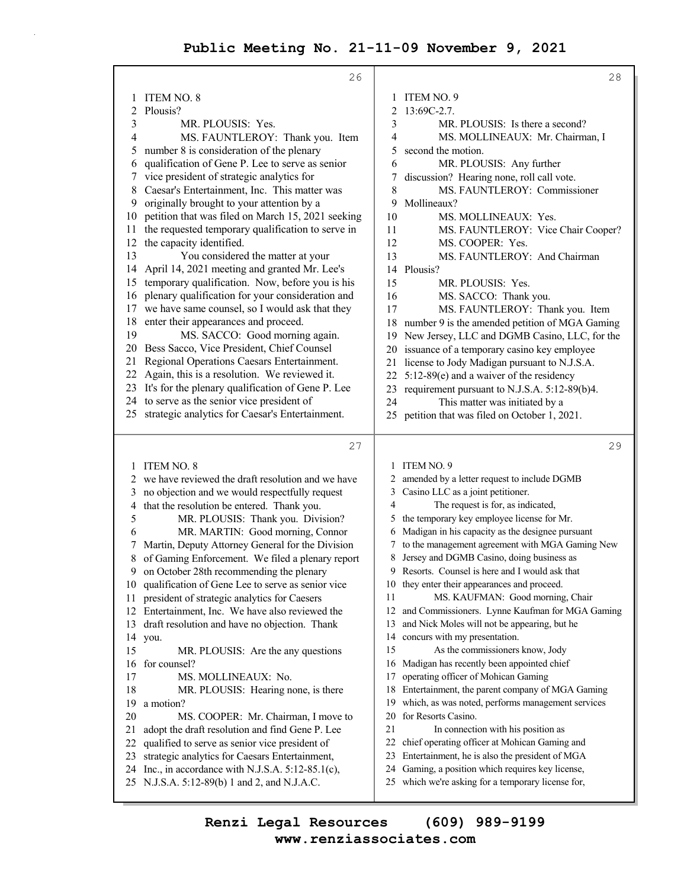|    | 26                                                                                                 |    | 28                                                                                                   |
|----|----------------------------------------------------------------------------------------------------|----|------------------------------------------------------------------------------------------------------|
| 1  | <b>ITEM NO. 8</b>                                                                                  | 1  | ITEM NO. 9                                                                                           |
| 2  | Plousis?                                                                                           | 2  | 13:69C-2.7.                                                                                          |
| 3  | MR. PLOUSIS: Yes.                                                                                  | 3  | MR. PLOUSIS: Is there a second?                                                                      |
| 4  | MS. FAUNTLEROY: Thank you. Item                                                                    | 4  | MS. MOLLINEAUX: Mr. Chairman, I                                                                      |
| 5  | number 8 is consideration of the plenary                                                           | 5  | second the motion.                                                                                   |
| 6  | qualification of Gene P. Lee to serve as senior                                                    | 6  | MR. PLOUSIS: Any further                                                                             |
| 7  | vice president of strategic analytics for                                                          | 7  | discussion? Hearing none, roll call vote.                                                            |
| 8  | Caesar's Entertainment, Inc. This matter was                                                       | 8  | MS. FAUNTLEROY: Commissioner                                                                         |
| 9  | originally brought to your attention by a                                                          | 9  | Mollineaux?                                                                                          |
| 10 | petition that was filed on March 15, 2021 seeking                                                  | 10 | MS. MOLLINEAUX: Yes.                                                                                 |
| 11 | the requested temporary qualification to serve in                                                  | 11 | MS. FAUNTLEROY: Vice Chair Cooper?                                                                   |
| 12 | the capacity identified.                                                                           | 12 | MS. COOPER: Yes.                                                                                     |
| 13 | You considered the matter at your                                                                  | 13 | MS. FAUNTLEROY: And Chairman                                                                         |
| 14 | April 14, 2021 meeting and granted Mr. Lee's                                                       | 14 | Plousis?                                                                                             |
| 15 | temporary qualification. Now, before you is his                                                    | 15 | MR. PLOUSIS: Yes.                                                                                    |
| 16 | plenary qualification for your consideration and                                                   | 16 | MS. SACCO: Thank you.                                                                                |
| 17 | we have same counsel, so I would ask that they                                                     | 17 | MS. FAUNTLEROY: Thank you. Item                                                                      |
| 18 | enter their appearances and proceed.                                                               | 18 | number 9 is the amended petition of MGA Gaming                                                       |
| 19 | MS. SACCO: Good morning again.                                                                     | 19 | New Jersey, LLC and DGMB Casino, LLC, for the                                                        |
|    | 20 Bess Sacco, Vice President, Chief Counsel                                                       |    | 20 issuance of a temporary casino key employee                                                       |
| 21 | Regional Operations Caesars Entertainment.                                                         |    | 21 license to Jody Madigan pursuant to N.J.S.A.                                                      |
|    | 22 Again, this is a resolution. We reviewed it.                                                    |    | 22 5:12-89(e) and a waiver of the residency                                                          |
|    | 23 It's for the plenary qualification of Gene P. Lee                                               |    | 23 requirement pursuant to N.J.S.A. 5:12-89(b)4.                                                     |
|    | 24 to serve as the senior vice president of                                                        | 24 | This matter was initiated by a                                                                       |
|    | 25 strategic analytics for Caesar's Entertainment.                                                 |    | 25 petition that was filed on October 1, 2021.                                                       |
|    |                                                                                                    |    |                                                                                                      |
|    | 27                                                                                                 |    | 29                                                                                                   |
| 1  | ITEM NO. 8                                                                                         |    | 1 ITEM NO. 9                                                                                         |
|    | we have reviewed the draft resolution and we have                                                  |    | 2 amended by a letter request to include DGMB                                                        |
| 3  | no objection and we would respectfully request                                                     | 3  | Casino LLC as a joint petitioner.                                                                    |
| 4  | that the resolution be entered. Thank you.                                                         | 4  | The request is for, as indicated,                                                                    |
| 5  | MR. PLOUSIS: Thank you. Division?                                                                  |    | the temporary key employee license for Mr.                                                           |
| 6  | MR. MARTIN: Good morning, Connor                                                                   | 6  | Madigan in his capacity as the designee pursuant                                                     |
| 7  | Martin, Deputy Attorney General for the Division                                                   |    | 7 to the management agreement with MGA Gaming New                                                    |
| 8  | of Gaming Enforcement. We filed a plenary report                                                   | 8  | Jersey and DGMB Casino, doing business as                                                            |
| 9  | on October 28th recommending the plenary                                                           |    | 9 Resorts. Counsel is here and I would ask that                                                      |
| 10 | qualification of Gene Lee to serve as senior vice                                                  |    | 10 they enter their appearances and proceed.                                                         |
| 11 | president of strategic analytics for Caesers                                                       | 11 | MS. KAUFMAN: Good morning, Chair                                                                     |
| 12 | Entertainment, Inc. We have also reviewed the                                                      | 12 | and Commissioners. Lynne Kaufman for MGA Gaming                                                      |
| 13 | draft resolution and have no objection. Thank                                                      | 13 | and Nick Moles will not be appearing, but he                                                         |
| 14 | you.                                                                                               | 14 | concurs with my presentation.                                                                        |
| 15 | MR. PLOUSIS: Are the any questions                                                                 | 15 | As the commissioners know, Jody                                                                      |
| 16 | for counsel?                                                                                       | 16 | Madigan has recently been appointed chief                                                            |
| 17 | MS. MOLLINEAUX: No.                                                                                | 17 | operating officer of Mohican Gaming                                                                  |
| 18 | MR. PLOUSIS: Hearing none, is there                                                                | 18 | Entertainment, the parent company of MGA Gaming                                                      |
| 19 | a motion?                                                                                          | 19 | which, as was noted, performs management services                                                    |
| 20 | MS. COOPER: Mr. Chairman, I move to                                                                | 20 | for Resorts Casino.                                                                                  |
| 21 | adopt the draft resolution and find Gene P. Lee                                                    | 21 | In connection with his position as                                                                   |
| 22 | qualified to serve as senior vice president of                                                     | 22 | chief operating officer at Mohican Gaming and                                                        |
| 23 | strategic analytics for Caesars Entertainment,                                                     | 23 | Entertainment, he is also the president of MGA                                                       |
| 24 | Inc., in accordance with N.J.S.A. $5:12-85.1(c)$ ,<br>25 N.J.S.A. 5:12-89(b) 1 and 2, and N.J.A.C. | 24 | Gaming, a position which requires key license,<br>25 which we're asking for a temporary license for, |

**www.renziassociates.com Renzi Legal Resources (609) 989-9199**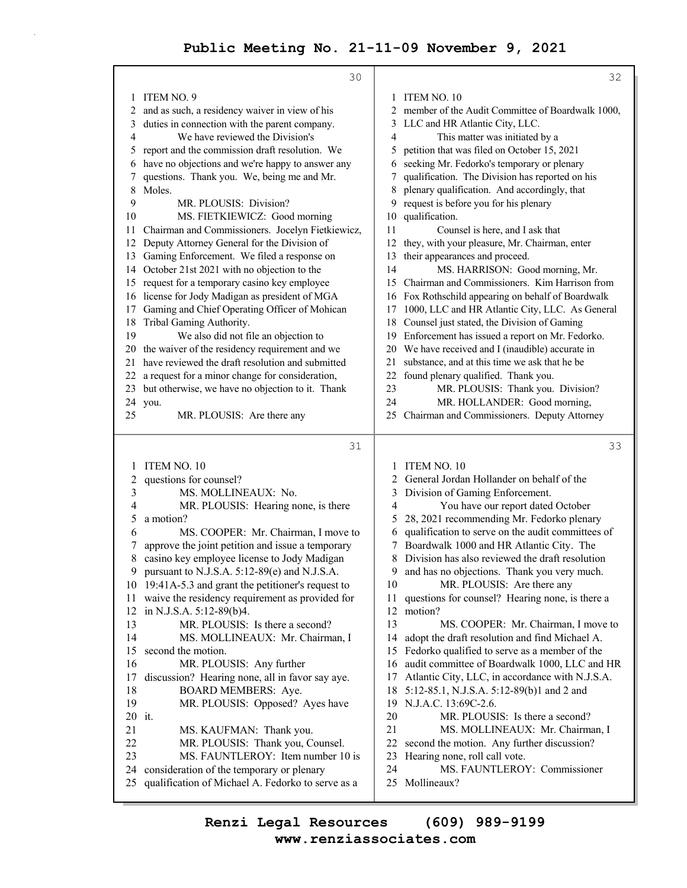30 1 ITEM NO. 9 2 and as such, a residency waiver in view of his 3 duties in connection with the parent company. 4 We have reviewed the Division's 5 report and the commission draft resolution. We 6 have no objections and we're happy to answer any 7 questions. Thank you. We, being me and Mr. 8 Moles. 9 MR. PLOUSIS: Division? 10 MS. FIETKIEWICZ: Good morning 11 Chairman and Commissioners. Jocelyn Fietkiewicz, 12 Deputy Attorney General for the Division of 13 Gaming Enforcement. We filed a response on 14 October 21st 2021 with no objection to the 15 request for a temporary casino key employee 16 license for Jody Madigan as president of MGA 17 Gaming and Chief Operating Officer of Mohican 18 Tribal Gaming Authority. 19 We also did not file an objection to 20 the waiver of the residency requirement and we 21 have reviewed the draft resolution and submitted 22 a request for a minor change for consideration, 23 but otherwise, we have no objection to it. Thank 24 you. 25 MR. PLOUSIS: Are there any 31 1 ITEM NO. 10 2 questions for counsel? 3 MS. MOLLINEAUX: No. 4 MR. PLOUSIS: Hearing none, is there 5 a motion? 6 MS. COOPER: Mr. Chairman, I move to 7 approve the joint petition and issue a temporary 8 casino key employee license to Jody Madigan 9 pursuant to N.J.S.A. 5:12-89(e) and N.J.S.A. 10 19:41A-5.3 and grant the petitioner's request to 11 waive the residency requirement as provided for 12 in N.J.S.A. 5:12-89(b)4. 13 MR. PLOUSIS: Is there a second? 14 MS. MOLLINEAUX: Mr. Chairman, I 15 second the motion. 16 MR. PLOUSIS: Any further 17 discussion? Hearing none, all in favor say aye. 18 BOARD MEMBERS: Aye. 19 MR. PLOUSIS: Opposed? Ayes have 20 it. 21 MS. KAUFMAN: Thank you. 22 MR. PLOUSIS: Thank you, Counsel. 23 MS. FAUNTLEROY: Item number 10 is 24 consideration of the temporary or plenary 25 qualification of Michael A. Fedorko to serve as a 32 1 ITEM NO. 10 2 member of the Audit Committee of Boardwalk 1000, 3 LLC and HR Atlantic City, LLC. 4 This matter was initiated by a 5 petition that was filed on October 15, 2021 6 seeking Mr. Fedorko's temporary or plenary 7 qualification. The Division has reported on his 8 plenary qualification. And accordingly, that 9 request is before you for his plenary 10 qualification. 11 Counsel is here, and I ask that 12 they, with your pleasure, Mr. Chairman, enter 13 their appearances and proceed. 14 MS. HARRISON: Good morning, Mr. 15 Chairman and Commissioners. Kim Harrison from 16 Fox Rothschild appearing on behalf of Boardwalk 17 1000, LLC and HR Atlantic City, LLC. As General 18 Counsel just stated, the Division of Gaming 19 Enforcement has issued a report on Mr. Fedorko. 20 We have received and I (inaudible) accurate in 21 substance, and at this time we ask that he be 22 found plenary qualified. Thank you. 23 MR. PLOUSIS: Thank you. Division? 24 MR. HOLLANDER: Good morning, 25 Chairman and Commissioners. Deputy Attorney 33 1 ITEM NO. 10 2 General Jordan Hollander on behalf of the 3 Division of Gaming Enforcement. 4 You have our report dated October 5 28, 2021 recommending Mr. Fedorko plenary 6 qualification to serve on the audit committees of 7 Boardwalk 1000 and HR Atlantic City. The 8 Division has also reviewed the draft resolution 9 and has no objections. Thank you very much. 10 MR. PLOUSIS: Are there any 11 questions for counsel? Hearing none, is there a 12 motion? 13 MS. COOPER: Mr. Chairman, I move to 14 adopt the draft resolution and find Michael A. 15 Fedorko qualified to serve as a member of the 16 audit committee of Boardwalk 1000, LLC and HR 17 Atlantic City, LLC, in accordance with N.J.S.A. 18 5:12-85.1, N.J.S.A. 5:12-89(b)1 and 2 and 19 N.J.A.C. 13:69C-2.6. 20 MR. PLOUSIS: Is there a second? 21 MS. MOLLINEAUX: Mr. Chairman, I 22 second the motion. Any further discussion? 23 Hearing none, roll call vote. 24 MS. FAUNTLEROY: Commissioner 25 Mollineaux?

**www.renziassociates.com Renzi Legal Resources (609) 989-9199**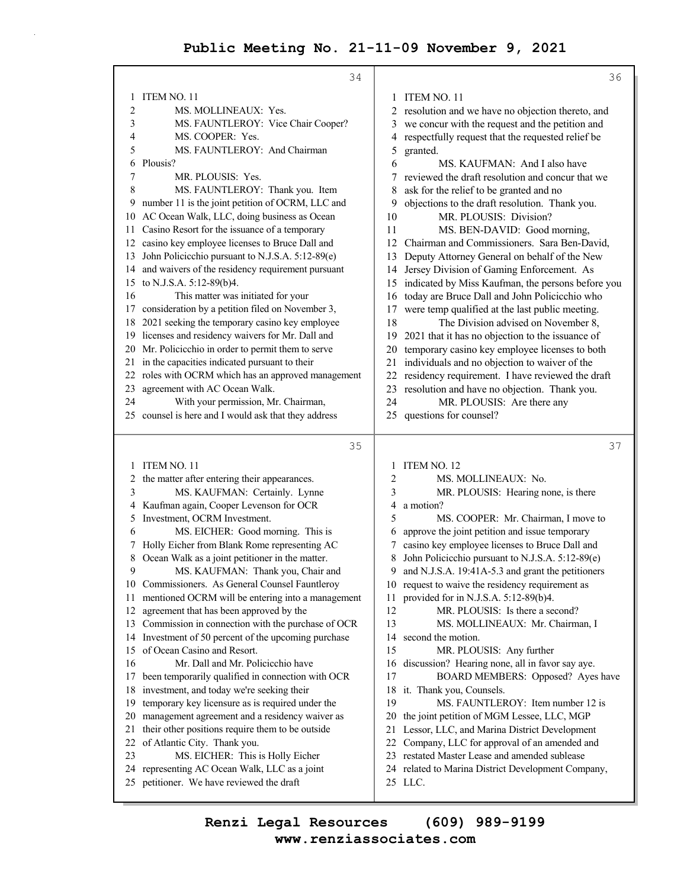|          | 34                                                                                |                                                                                                 | 36                                |
|----------|-----------------------------------------------------------------------------------|-------------------------------------------------------------------------------------------------|-----------------------------------|
|          | <b>ITEM NO. 11</b>                                                                | ITEM NO. 11<br>1                                                                                |                                   |
| 2        | MS. MOLLINEAUX: Yes.                                                              | resolution and we have no objection thereto, and<br>2                                           |                                   |
| 3        | MS. FAUNTLEROY: Vice Chair Cooper?                                                | we concur with the request and the petition and<br>3                                            |                                   |
| 4        | MS. COOPER: Yes.                                                                  | respectfully request that the requested relief be<br>4                                          |                                   |
| 5        | MS. FAUNTLEROY: And Chairman                                                      | 5<br>granted.                                                                                   |                                   |
| 6        | Plousis?                                                                          | 6<br>MS. KAUFMAN: And I also have                                                               |                                   |
| 7        | MR. PLOUSIS: Yes.                                                                 | reviewed the draft resolution and concur that we<br>7                                           |                                   |
| 8        | MS. FAUNTLEROY: Thank you. Item                                                   | 8<br>ask for the relief to be granted and no                                                    |                                   |
| 9        | number 11 is the joint petition of OCRM, LLC and                                  | objections to the draft resolution. Thank you.<br>9                                             |                                   |
| 10       | AC Ocean Walk, LLC, doing business as Ocean                                       | MR. PLOUSIS: Division?<br>10                                                                    |                                   |
| 11       | Casino Resort for the issuance of a temporary                                     | 11<br>MS. BEN-DAVID: Good morning,                                                              |                                   |
| 12       | casino key employee licenses to Bruce Dall and                                    | 12<br>Chairman and Commissioners. Sara Ben-David,                                               |                                   |
| 13       | John Policicchio pursuant to N.J.S.A. 5:12-89(e)                                  | Deputy Attorney General on behalf of the New<br>13                                              |                                   |
| 14       | and waivers of the residency requirement pursuant                                 | Jersey Division of Gaming Enforcement. As<br>14                                                 |                                   |
| 15       | to N.J.S.A. 5:12-89(b)4.                                                          | indicated by Miss Kaufman, the persons before you<br>15                                         |                                   |
| 16       | This matter was initiated for your                                                | today are Bruce Dall and John Policicchio who<br>16                                             |                                   |
| 17       | consideration by a petition filed on November 3,                                  | were temp qualified at the last public meeting.<br>17                                           |                                   |
| 18       | 2021 seeking the temporary casino key employee                                    | The Division advised on November 8,<br>18                                                       |                                   |
| 19       | licenses and residency waivers for Mr. Dall and                                   | 2021 that it has no objection to the issuance of<br>19                                          |                                   |
| 20       | Mr. Policicchio in order to permit them to serve                                  | temporary casino key employee licenses to both<br>20                                            |                                   |
|          | 21 in the capacities indicated pursuant to their                                  | individuals and no objection to waiver of the<br>21                                             |                                   |
| 22       | roles with OCRM which has an approved management                                  | residency requirement. I have reviewed the draft<br>22                                          |                                   |
| 23       | agreement with AC Ocean Walk.                                                     | resolution and have no objection. Thank you.<br>23                                              |                                   |
| 24       | With your permission, Mr. Chairman,                                               | 24<br>MR. PLOUSIS: Are there any                                                                |                                   |
|          | 25 counsel is here and I would ask that they address                              | questions for counsel?<br>25                                                                    |                                   |
|          |                                                                                   |                                                                                                 |                                   |
|          |                                                                                   |                                                                                                 |                                   |
|          | 35                                                                                |                                                                                                 | 37                                |
| 1        | <b>ITEM NO. 11</b>                                                                | ITEM NO. 12<br>1                                                                                |                                   |
| 2        | the matter after entering their appearances.                                      | 2<br>MS. MOLLINEAUX: No.                                                                        |                                   |
| 3        | MS. KAUFMAN: Certainly. Lynne                                                     | 3<br>MR. PLOUSIS: Hearing none, is there                                                        |                                   |
| 4        | Kaufman again, Cooper Levenson for OCR                                            | a motion?<br>4                                                                                  |                                   |
| 5        | Investment, OCRM Investment.                                                      | MS. COOPER: Mr. Chairman, I move to<br>5                                                        |                                   |
| 6        | MS. EICHER: Good morning. This is                                                 | approve the joint petition and issue temporary<br>6                                             |                                   |
|          | Holly Eicher from Blank Rome representing AC                                      | casino key employee licenses to Bruce Dall and<br>7                                             |                                   |
| 8        | Ocean Walk as a joint petitioner in the matter.                                   | John Policicchio pursuant to N.J.S.A. 5:12-89(e)<br>8                                           |                                   |
| 9        | MS. KAUFMAN: Thank you, Chair and                                                 | and N.J.S.A. 19:41A-5.3 and grant the petitioners<br>9.                                         |                                   |
| 10       | Commissioners. As General Counsel Fauntleroy                                      | request to waive the residency requirement as<br>10                                             |                                   |
| 11       | mentioned OCRM will be entering into a management                                 | provided for in N.J.S.A. 5:12-89(b)4.<br>11                                                     |                                   |
| 12       | agreement that has been approved by the                                           | 12<br>MR. PLOUSIS: Is there a second?                                                           |                                   |
| 13       | Commission in connection with the purchase of OCR                                 | 13<br>MS. MOLLINEAUX: Mr. Chairman, I                                                           |                                   |
| 14       | Investment of 50 percent of the upcoming purchase                                 | 14<br>second the motion.                                                                        |                                   |
| 15       | of Ocean Casino and Resort.                                                       | 15<br>MR. PLOUSIS: Any further                                                                  |                                   |
| 16       | Mr. Dall and Mr. Policicchio have                                                 | discussion? Hearing none, all in favor say aye.<br>16                                           |                                   |
| 17       | been temporarily qualified in connection with OCR                                 | 17<br>18                                                                                        | BOARD MEMBERS: Opposed? Ayes have |
| 18<br>19 | investment, and today we're seeking their                                         | it. Thank you, Counsels.<br>19                                                                  |                                   |
| 20       | temporary key licensure as is required under the                                  | MS. FAUNTLEROY: Item number 12 is<br>20                                                         |                                   |
| 21       | management agreement and a residency waiver as                                    | the joint petition of MGM Lessee, LLC, MGP                                                      |                                   |
| 22       | their other positions require them to be outside                                  | 21 Lessor, LLC, and Marina District Development                                                 |                                   |
| 23       | of Atlantic City. Thank you.                                                      | 22 Company, LLC for approval of an amended and<br>23 restated Master Lease and amended sublease |                                   |
|          | MS. EICHER: This is Holly Eicher<br>24 representing AC Ocean Walk, LLC as a joint | 24 related to Marina District Development Company,                                              |                                   |
|          | 25 petitioner. We have reviewed the draft                                         | 25 LLC.                                                                                         |                                   |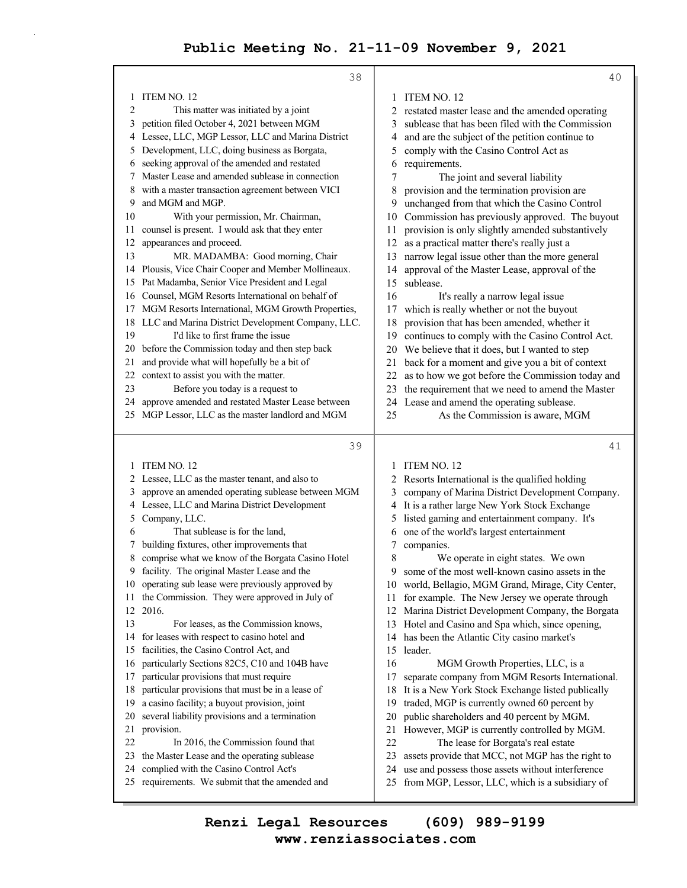|          | 38                                                                                            |          | 40                                                                            |
|----------|-----------------------------------------------------------------------------------------------|----------|-------------------------------------------------------------------------------|
| 1        | ITEM NO. 12                                                                                   | 1        | ITEM NO. 12                                                                   |
| 2        | This matter was initiated by a joint                                                          | 2        | restated master lease and the amended operating                               |
| 3        | petition filed October 4, 2021 between MGM                                                    | 3        | sublease that has been filed with the Commission                              |
| 4        | Lessee, LLC, MGP Lessor, LLC and Marina District                                              | 4        | and are the subject of the petition continue to                               |
| 5        | Development, LLC, doing business as Borgata,                                                  | 5        | comply with the Casino Control Act as                                         |
| 6        | seeking approval of the amended and restated                                                  | 6        | requirements.                                                                 |
| 7        | Master Lease and amended sublease in connection                                               | 7        | The joint and several liability                                               |
| 8        | with a master transaction agreement between VICI                                              | 8        | provision and the termination provision are                                   |
| 9        | and MGM and MGP.                                                                              | 9        | unchanged from that which the Casino Control                                  |
| 10       | With your permission, Mr. Chairman,                                                           | 10       | Commission has previously approved. The buyout                                |
| 11       | counsel is present. I would ask that they enter                                               | 11       | provision is only slightly amended substantively                              |
| 12       | appearances and proceed.                                                                      | 12       | as a practical matter there's really just a                                   |
| 13       | MR. MADAMBA: Good morning, Chair                                                              | 13       |                                                                               |
| 14       | Plousis, Vice Chair Cooper and Member Mollineaux.                                             |          | narrow legal issue other than the more general                                |
| 15       | Pat Madamba, Senior Vice President and Legal                                                  | 14<br>15 | approval of the Master Lease, approval of the<br>sublease.                    |
|          | Counsel, MGM Resorts International on behalf of                                               | 16       |                                                                               |
| 16       | MGM Resorts International, MGM Growth Properties,                                             |          | It's really a narrow legal issue<br>which is really whether or not the buyout |
| 17       | LLC and Marina District Development Company, LLC.                                             | 17       |                                                                               |
| 18<br>19 | I'd like to first frame the issue                                                             | 18       | provision that has been amended, whether it                                   |
|          |                                                                                               | 19       | continues to comply with the Casino Control Act.                              |
| 20       | before the Commission today and then step back<br>and provide what will hopefully be a bit of | 20       | We believe that it does, but I wanted to step                                 |
| 21<br>22 |                                                                                               | 21       | back for a moment and give you a bit of context                               |
| 23       | context to assist you with the matter.                                                        | 22       | as to how we got before the Commission today and                              |
|          | Before you today is a request to                                                              | 23       | the requirement that we need to amend the Master                              |
| 24       | approve amended and restated Master Lease between                                             | 24       | Lease and amend the operating sublease.                                       |
|          | 25 MGP Lessor, LLC as the master landlord and MGM                                             | 25       | As the Commission is aware, MGM                                               |
|          |                                                                                               |          |                                                                               |
|          |                                                                                               |          |                                                                               |
|          | 39                                                                                            |          | 41                                                                            |
|          | 1 ITEM NO. 12                                                                                 | 1        | ITEM NO. 12                                                                   |
| 2        | Lessee, LLC as the master tenant, and also to                                                 |          | 2 Resorts International is the qualified holding                              |
| 3        | approve an amended operating sublease between MGM                                             | 3        | company of Marina District Development Company.                               |
| 4        | Lessee, LLC and Marina District Development                                                   | 4        | It is a rather large New York Stock Exchange                                  |
| 5        | Company, LLC.                                                                                 | 5        | listed gaming and entertainment company. It's                                 |
| 6        | That sublease is for the land,                                                                | 6        | one of the world's largest entertainment                                      |
|          | building fixtures, other improvements that                                                    | 7        | companies.                                                                    |
| 8        | comprise what we know of the Borgata Casino Hotel                                             | 8        | We operate in eight states. We own                                            |
| 9        | facility. The original Master Lease and the                                                   | 9        | some of the most well-known casino assets in the                              |
| 10       | operating sub lease were previously approved by                                               |          | 10 world, Bellagio, MGM Grand, Mirage, City Center,                           |
| 11       | the Commission. They were approved in July of                                                 | 11       | for example. The New Jersey we operate through                                |
| 12       | 2016.                                                                                         | 12       | Marina District Development Company, the Borgata                              |
| 13       | For leases, as the Commission knows,                                                          | 13       | Hotel and Casino and Spa which, since opening,                                |
| 14       | for leases with respect to casino hotel and                                                   | 14       | has been the Atlantic City casino market's                                    |
| 15       | facilities, the Casino Control Act, and                                                       | 15       | leader.                                                                       |
| 16       | particularly Sections 82C5, C10 and 104B have                                                 | 16       | MGM Growth Properties, LLC, is a                                              |
| 17       | particular provisions that must require                                                       | 17       | separate company from MGM Resorts International.                              |
| 18       | particular provisions that must be in a lease of                                              | 18       | It is a New York Stock Exchange listed publically                             |
| 19       | a casino facility; a buyout provision, joint                                                  | 19       | traded, MGP is currently owned 60 percent by                                  |
| 20       | several liability provisions and a termination                                                | 20       | public shareholders and 40 percent by MGM.                                    |
| 21       | provision.                                                                                    | 21       | However, MGP is currently controlled by MGM.                                  |
| 22       | In 2016, the Commission found that                                                            | 22       | The lease for Borgata's real estate                                           |
| 23       | the Master Lease and the operating sublease                                                   | 23       | assets provide that MCC, not MGP has the right to                             |
| 24       | complied with the Casino Control Act's                                                        | 24       | use and possess those assets without interference                             |
|          | 25 requirements. We submit that the amended and                                               | 25       | from MGP, Lessor, LLC, which is a subsidiary of                               |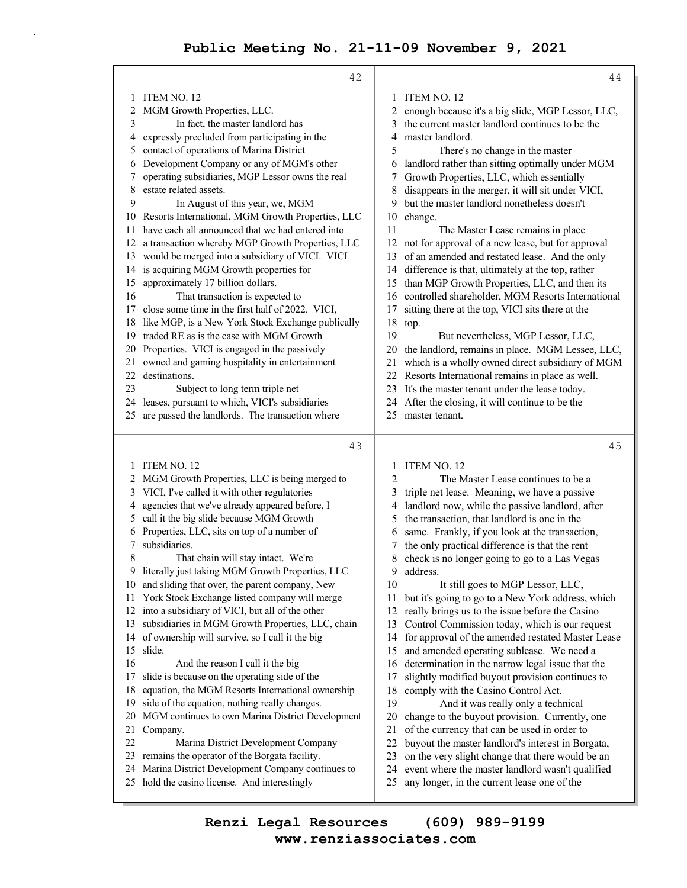|        | 42                                                                                                |          | 44                                                                                              |
|--------|---------------------------------------------------------------------------------------------------|----------|-------------------------------------------------------------------------------------------------|
| 1      | ITEM NO. 12                                                                                       |          | 1 ITEM NO. 12                                                                                   |
| 2      | MGM Growth Properties, LLC.                                                                       | 2        | enough because it's a big slide, MGP Lessor, LLC,                                               |
| 3      | In fact, the master landlord has                                                                  | 3        | the current master landlord continues to be the                                                 |
| 4      | expressly precluded from participating in the                                                     | 4        | master landlord.                                                                                |
| 5      | contact of operations of Marina District                                                          | 5        | There's no change in the master                                                                 |
| 6      | Development Company or any of MGM's other                                                         | 6        | landlord rather than sitting optimally under MGM                                                |
| 7      | operating subsidiaries, MGP Lessor owns the real                                                  |          | Growth Properties, LLC, which essentially                                                       |
| 8      | estate related assets.                                                                            | 8        | disappears in the merger, it will sit under VICI,                                               |
| 9      | In August of this year, we, MGM                                                                   | 9        | but the master landlord nonetheless doesn't                                                     |
| 10     | Resorts International, MGM Growth Properties, LLC                                                 | 10       | change.                                                                                         |
| 11     | have each all announced that we had entered into                                                  | 11       | The Master Lease remains in place                                                               |
| 12     | a transaction whereby MGP Growth Properties, LLC                                                  | 12       | not for approval of a new lease, but for approval                                               |
| 13     | would be merged into a subsidiary of VICI. VICI                                                   | 13       | of an amended and restated lease. And the only                                                  |
| 14     | is acquiring MGM Growth properties for                                                            | 14       | difference is that, ultimately at the top, rather                                               |
| 15     | approximately 17 billion dollars.                                                                 | 15       | than MGP Growth Properties, LLC, and then its                                                   |
| 16     | That transaction is expected to                                                                   | 16       | controlled shareholder, MGM Resorts International                                               |
| 17     | close some time in the first half of 2022. VICI,                                                  | 17       | sitting there at the top, VICI sits there at the                                                |
| 18     | like MGP, is a New York Stock Exchange publically                                                 | 18       | top.                                                                                            |
| 19     | traded RE as is the case with MGM Growth                                                          | 19       | But nevertheless, MGP Lessor, LLC,                                                              |
| 20     | Properties. VICI is engaged in the passively                                                      |          | 20 the landlord, remains in place. MGM Lessee, LLC,                                             |
| 21     | owned and gaming hospitality in entertainment                                                     | 21       | which is a wholly owned direct subsidiary of MGM                                                |
| 22     | destinations.                                                                                     | 22       | Resorts International remains in place as well.                                                 |
| 23     | Subject to long term triple net                                                                   |          | 23 It's the master tenant under the lease today.                                                |
| 24     | leases, pursuant to which, VICI's subsidiaries<br>are passed the landlords. The transaction where | 24       | After the closing, it will continue to be the<br>master tenant.                                 |
| 25     |                                                                                                   | 25       |                                                                                                 |
|        |                                                                                                   |          |                                                                                                 |
|        |                                                                                                   |          | 45                                                                                              |
|        | 43                                                                                                |          |                                                                                                 |
| 1      | ITEM NO. 12                                                                                       | 1        | ITEM NO. 12                                                                                     |
| 2      | MGM Growth Properties, LLC is being merged to                                                     | 2        | The Master Lease continues to be a                                                              |
| 3      | VICI, I've called it with other regulatories                                                      | 3        | triple net lease. Meaning, we have a passive                                                    |
| 4      | agencies that we've already appeared before, I                                                    | 4        | landlord now, while the passive landlord, after                                                 |
| 5      | call it the big slide because MGM Growth                                                          | 5        | the transaction, that landlord is one in the                                                    |
| 6<br>7 | Properties, LLC, sits on top of a number of<br>subsidiaries.                                      | 6<br>7   | same. Frankly, if you look at the transaction,                                                  |
| 8      | That chain will stay intact. We're                                                                | 8        | the only practical difference is that the rent                                                  |
| 9.     | literally just taking MGM Growth Properties, LLC                                                  | 9        | check is no longer going to go to a Las Vegas<br>address.                                       |
| 10     | and sliding that over, the parent company, New                                                    | 10       | It still goes to MGP Lessor, LLC,                                                               |
| 11     | York Stock Exchange listed company will merge                                                     | 11       | but it's going to go to a New York address, which                                               |
| 12     | into a subsidiary of VICI, but all of the other                                                   | 12       | really brings us to the issue before the Casino                                                 |
| 13     | subsidiaries in MGM Growth Properties, LLC, chain                                                 | 13       | Control Commission today, which is our request                                                  |
|        | 14 of ownership will survive, so I call it the big                                                | 14       | for approval of the amended restated Master Lease                                               |
| 15     | slide.                                                                                            | 15       | and amended operating sublease. We need a                                                       |
| 16     | And the reason I call it the big                                                                  | 16       | determination in the narrow legal issue that the                                                |
| 17     | slide is because on the operating side of the                                                     | 17       | slightly modified buyout provision continues to                                                 |
| 18     | equation, the MGM Resorts International ownership                                                 | 18       | comply with the Casino Control Act.                                                             |
| 19     | side of the equation, nothing really changes.                                                     | 19       | And it was really only a technical                                                              |
| 20     | MGM continues to own Marina District Development                                                  | 20       | change to the buyout provision. Currently, one                                                  |
| 21     | Company.                                                                                          | 21       | of the currency that can be used in order to                                                    |
| 22     | Marina District Development Company                                                               | 22       | buyout the master landlord's interest in Borgata,                                               |
| 23     | remains the operator of the Borgata facility.                                                     | 23       | on the very slight change that there would be an                                                |
| 24     | Marina District Development Company continues to<br>25 hold the casino license. And interestingly | 24<br>25 | event where the master landlord wasn't qualified<br>any longer, in the current lease one of the |

**www.renziassociates.com Renzi Legal Resources (609) 989-9199**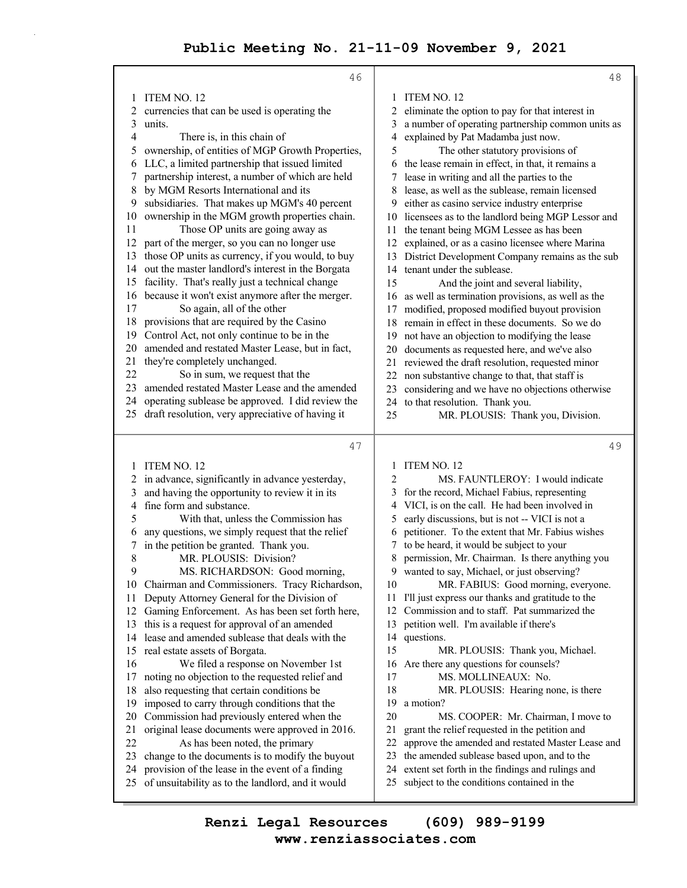|    | 46                                                  |    | 48                                                |
|----|-----------------------------------------------------|----|---------------------------------------------------|
| 1  | ITEM NO. 12                                         | 1  | ITEM NO. 12                                       |
| 2  | currencies that can be used is operating the        | 2  | eliminate the option to pay for that interest in  |
| 3  | units.                                              | 3  | a number of operating partnership common units as |
| 4  | There is, in this chain of                          | 4  | explained by Pat Madamba just now.                |
| 5  | ownership, of entities of MGP Growth Properties,    | 5  | The other statutory provisions of                 |
| 6  | LLC, a limited partnership that issued limited      | 6  | the lease remain in effect, in that, it remains a |
| 7  | partnership interest, a number of which are held    | 7  | lease in writing and all the parties to the       |
| 8  | by MGM Resorts International and its                | 8  | lease, as well as the sublease, remain licensed   |
| 9  | subsidiaries. That makes up MGM's 40 percent        | 9  | either as casino service industry enterprise      |
| 10 | ownership in the MGM growth properties chain.       | 10 | licensees as to the landlord being MGP Lessor and |
| 11 | Those OP units are going away as                    | 11 | the tenant being MGM Lessee as has been           |
| 12 | part of the merger, so you can no longer use        | 12 | explained, or as a casino licensee where Marina   |
| 13 | those OP units as currency, if you would, to buy    | 13 | District Development Company remains as the sub   |
| 14 | out the master landlord's interest in the Borgata   | 14 | tenant under the sublease.                        |
| 15 | facility. That's really just a technical change     | 15 | And the joint and several liability,              |
| 16 | because it won't exist anymore after the merger.    | 16 | as well as termination provisions, as well as the |
| 17 | So again, all of the other                          | 17 | modified, proposed modified buyout provision      |
| 18 | provisions that are required by the Casino          | 18 | remain in effect in these documents. So we do     |
| 19 | Control Act, not only continue to be in the         | 19 | not have an objection to modifying the lease      |
| 20 | amended and restated Master Lease, but in fact,     | 20 | documents as requested here, and we've also       |
| 21 | they're completely unchanged.                       | 21 | reviewed the draft resolution, requested minor    |
| 22 | So in sum, we request that the                      | 22 | non substantive change to that, that staff is     |
| 23 | amended restated Master Lease and the amended       | 23 | considering and we have no objections otherwise   |
| 24 | operating sublease be approved. I did review the    | 24 | to that resolution. Thank you.                    |
| 25 | draft resolution, very appreciative of having it    | 25 | MR. PLOUSIS: Thank you, Division.                 |
|    |                                                     |    |                                                   |
|    | 47                                                  |    | 49                                                |
| 1  | ITEM NO. 12                                         | 1  | ITEM NO. 12                                       |
| 2  | in advance, significantly in advance yesterday,     | 2  | MS. FAUNTLEROY: I would indicate                  |
| 3  | and having the opportunity to review it in its      | 3  | for the record, Michael Fabius, representing      |
| 4  | fine form and substance.                            | 4  | VICI, is on the call. He had been involved in     |
| 5  | With that, unless the Commission has                | 5  | early discussions, but is not -- VICI is not a    |
| 6  | any questions, we simply request that the relief    | 6  | petitioner. To the extent that Mr. Fabius wishes  |
| 7  | in the petition be granted. Thank you.              | 7  | to be heard, it would be subject to your          |
| 8  | MR. PLOUSIS: Division?                              | 8  | permission, Mr. Chairman. Is there anything you   |
| 9  | MS. RICHARDSON: Good morning,                       |    | 9 wanted to say, Michael, or just observing?      |
| 10 | Chairman and Commissioners. Tracy Richardson,       | 10 | MR. FABIUS: Good morning, everyone.               |
| 11 | Deputy Attorney General for the Division of         | 11 | I'll just express our thanks and gratitude to the |
| 12 | Gaming Enforcement. As has been set forth here,     | 12 | Commission and to staff. Pat summarized the       |
| 13 | this is a request for approval of an amended        | 13 | petition well. I'm available if there's           |
| 14 | lease and amended sublease that deals with the      | 14 | questions.                                        |
| 15 | real estate assets of Borgata.                      | 15 | MR. PLOUSIS: Thank you, Michael.                  |
| 16 | We filed a response on November 1st                 | 16 | Are there any questions for counsels?             |
| 17 | noting no objection to the requested relief and     | 17 | MS. MOLLINEAUX: No.                               |
| 18 | also requesting that certain conditions be          | 18 | MR. PLOUSIS: Hearing none, is there               |
| 19 | imposed to carry through conditions that the        | 19 | a motion?                                         |
| 20 | Commission had previously entered when the          | 20 | MS. COOPER: Mr. Chairman, I move to               |
| 21 | original lease documents were approved in 2016.     | 21 | grant the relief requested in the petition and    |
| 22 | As has been noted, the primary                      | 22 | approve the amended and restated Master Lease and |
| 23 | change to the documents is to modify the buyout     | 23 | the amended sublease based upon, and to the       |
|    | 24 provision of the lease in the event of a finding | 24 | extent set forth in the findings and rulings and  |

- 25 of unsuitability as to the landlord, and it would
	- **www.renziassociates.com Renzi Legal Resources (609) 989-9199**

25 subject to the conditions contained in the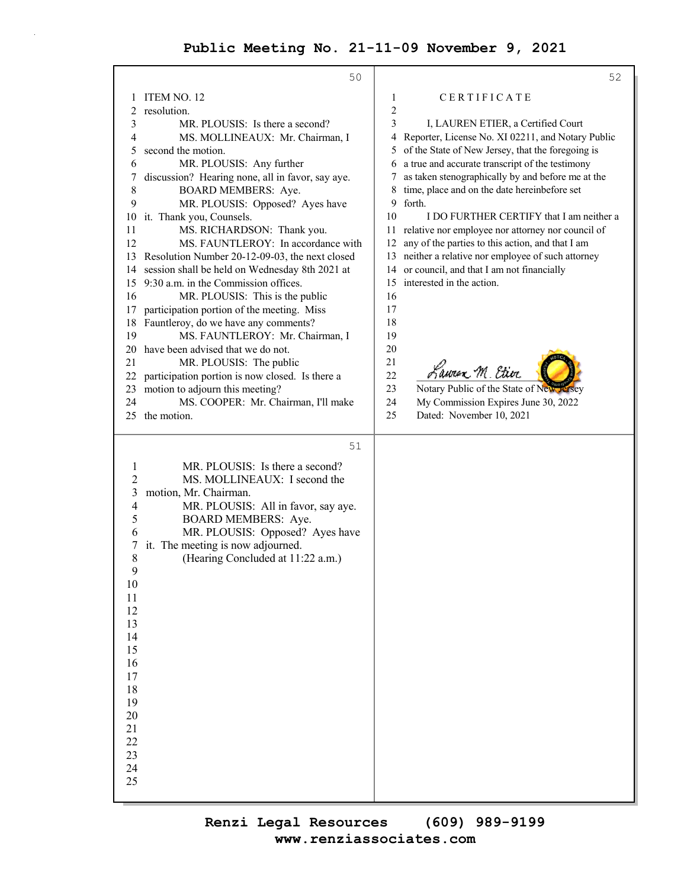|                     | 50                                                                                 |          | 52                                                  |
|---------------------|------------------------------------------------------------------------------------|----------|-----------------------------------------------------|
| 1                   | ITEM NO. 12                                                                        | 1        | CERTIFICATE                                         |
| 2                   | resolution.                                                                        | 2        |                                                     |
| 3                   | MR. PLOUSIS: Is there a second?                                                    | 3        | I, LAUREN ETIER, a Certified Court                  |
| 4                   | MS. MOLLINEAUX: Mr. Chairman, I                                                    | 4        | Reporter, License No. XI 02211, and Notary Public   |
| 5                   | second the motion.                                                                 |          | of the State of New Jersey, that the foregoing is   |
| 6                   | MR. PLOUSIS: Any further                                                           | 6        | a true and accurate transcript of the testimony     |
| 7                   | discussion? Hearing none, all in favor, say aye.                                   | 7        | as taken stenographically by and before me at the   |
| $\,8$               | BOARD MEMBERS: Aye.                                                                | 8        | time, place and on the date hereinbefore set        |
| 9                   | MR. PLOUSIS: Opposed? Ayes have                                                    | 9        | forth.                                              |
| 10                  | it. Thank you, Counsels.                                                           | 10       | I DO FURTHER CERTIFY that I am neither a            |
| 11                  | MS. RICHARDSON: Thank you.                                                         | 11       | relative nor employee nor attorney nor council of   |
| 12                  | MS. FAUNTLEROY: In accordance with                                                 | 12       | any of the parties to this action, and that I am    |
| 13                  | Resolution Number 20-12-09-03, the next closed                                     |          | 13 neither a relative nor employee of such attorney |
| 14                  | session shall be held on Wednesday 8th 2021 at                                     | 14       | or council, and that I am not financially           |
| 15                  | 9:30 a.m. in the Commission offices.                                               | 15       | interested in the action.                           |
| 16                  | MR. PLOUSIS: This is the public                                                    | 16       |                                                     |
| 17                  | participation portion of the meeting. Miss                                         | 17       |                                                     |
| 18                  | Fauntleroy, do we have any comments?                                               | 18       |                                                     |
| 19                  | MS. FAUNTLEROY: Mr. Chairman, I                                                    | 19       |                                                     |
| 20                  | have been advised that we do not.                                                  | 20       |                                                     |
| 21                  | MR. PLOUSIS: The public                                                            | 21<br>22 | Lawren M. Etier                                     |
| 22<br>23            | participation portion is now closed. Is there a<br>motion to adjourn this meeting? | 23       | Notary Public of the State of New Jersey            |
| 24                  | MS. COOPER: Mr. Chairman, I'll make                                                | 24       | My Commission Expires June 30, 2022                 |
|                     | 25 the motion.                                                                     | 25       | Dated: November 10, 2021                            |
|                     |                                                                                    |          |                                                     |
|                     | 51                                                                                 |          |                                                     |
|                     |                                                                                    |          |                                                     |
| $\mathbf{1}$        | MR. PLOUSIS: Is there a second?                                                    |          |                                                     |
| $\overline{c}$<br>3 | MS. MOLLINEAUX: I second the<br>motion, Mr. Chairman.                              |          |                                                     |
| 4                   | MR. PLOUSIS: All in favor, say aye.                                                |          |                                                     |
| 5                   | BOARD MEMBERS: Aye.                                                                |          |                                                     |
| 6                   | MR. PLOUSIS: Opposed? Ayes have                                                    |          |                                                     |
| 7                   | it. The meeting is now adjourned.                                                  |          |                                                     |
| 8                   | (Hearing Concluded at 11:22 a.m.)                                                  |          |                                                     |
| 9                   |                                                                                    |          |                                                     |
| 10                  |                                                                                    |          |                                                     |
| $11\,$              |                                                                                    |          |                                                     |
| 12                  |                                                                                    |          |                                                     |
| 13                  |                                                                                    |          |                                                     |
| 14                  |                                                                                    |          |                                                     |
| 15                  |                                                                                    |          |                                                     |
| 16                  |                                                                                    |          |                                                     |
| 17                  |                                                                                    |          |                                                     |
| 18<br>19            |                                                                                    |          |                                                     |
| 20                  |                                                                                    |          |                                                     |
| 21                  |                                                                                    |          |                                                     |
| 22                  |                                                                                    |          |                                                     |
| 23                  |                                                                                    |          |                                                     |
| 24                  |                                                                                    |          |                                                     |
| 25                  |                                                                                    |          |                                                     |
|                     |                                                                                    |          |                                                     |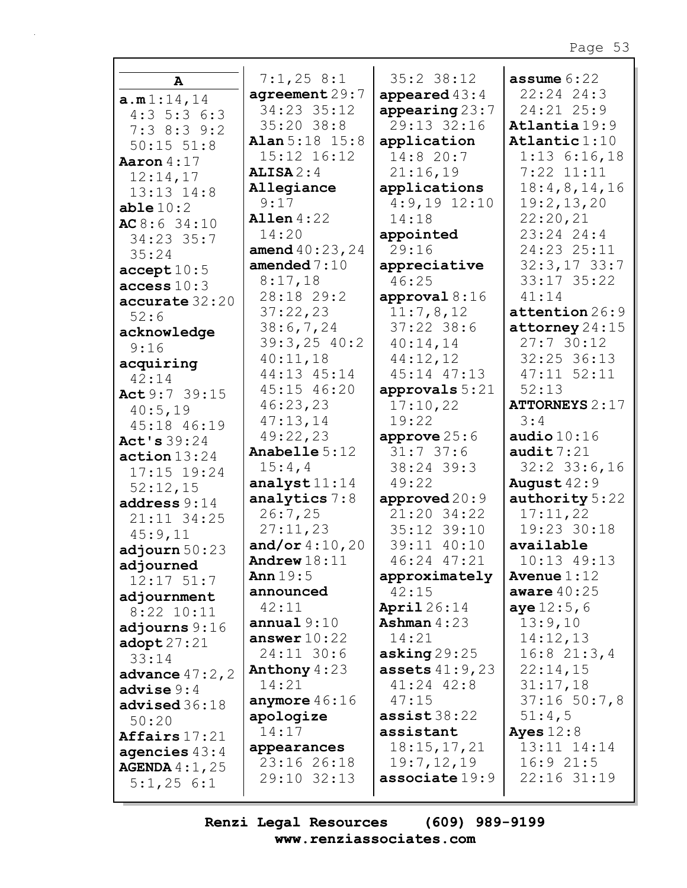| A                      | 7:1,258:1                 | $35:2$ $38:12$                 | assume $6:22$                  |
|------------------------|---------------------------|--------------------------------|--------------------------------|
| a.m1:14,14             | agreement29:7             | appeared $43:4$                | $22:24$ $24:3$                 |
| $4:3\ 5:3\ 6:3$        | 34:23 35:12               | appearing $23:7$               | 24:21 25:9                     |
| $7:3$ 8:3 9:2          | $35:20$ $38:8$            | 29:13 32:16                    | Atlantia 19:9                  |
| $50:15$ $51:8$         | <b>Alan</b> $5:18$ $15:8$ | application                    | Atlantic $1:10$                |
| Aaron $4:17$           | 15:12 16:12               | 14:820:7                       | $1:13$ 6:16,18                 |
| 12:14,17               | $ALISA$ 2:4               | 21:16,19                       | $7:22$ $11:11$                 |
| $13:13$ $14:8$         | Allegiance                | applications                   | 18:4,8,14,16                   |
| able $10:2$            | 9:17                      | $4:9,19$ $12:10$               | 19:2, 13, 20                   |
| AC8:634:10             | Allen $4:22$              | 14:18                          | 22:20,21                       |
| 34:23 35:7             | 14:20                     | appointed                      | 23:24 24:4                     |
| 35:24                  | amend $40:23,24$          | 29:16                          | 24:23 25:11                    |
| accept10:5             | amended $7:10$            | appreciative                   | $32:3,17$ 33:7                 |
| access $10:3$          | 8:17,18                   | 46:25                          | 33:17 35:22                    |
| accurate 32:20         | 28:18 29:2                | approval $8:16$                | 41:14                          |
| 52:6                   | 37:22,23                  | 11:7,8,12                      | attention 26:9                 |
| acknowledge            | 38:6,7,24                 | $37:22$ 38:6                   | $\texttt{attorney}\,24\!:\!15$ |
| 9:16                   | $39:3,25$ 40:2            | 40:14,14                       | 27:730:12                      |
| acquiring              | 40:11,18                  | 44:12,12                       | 32:25 36:13                    |
| 42:14                  | 44:13 45:14               | 45:14 47:13                    | 47:11 52:11                    |
| Act 9:7 39:15          | 45:15 46:20               | approvals 5:21                 | 52:13                          |
| 40:5,19                | 46:23,23                  | 17:10,22                       | <b>ATTORNEYS 2:17</b>          |
| 45:18 46:19            | 47:13,14                  | 19:22                          | 3:4                            |
| Act's 39:24            | 49:22,23                  | approve $25:6$                 | audio $10:16$                  |
| action 13:24           | <b>Anabelle 5:12</b>      | 31:737:6                       | audit $7:21$                   |
| 17:15 19:24            | 15:4,4                    | 38:24 39:3                     | $32:2$ 33:6,16                 |
| 52:12,15               | analyst $11:14$           | 49:22                          | August 42:9                    |
| address $9:14$         | analytics $7:8$           | approved $20:9$                | authority 5:22                 |
| $21:11$ 34:25          | 26:7,25                   | 21:20 34:22                    | 17:11,22                       |
| 45:9,11                | 27:11,23                  | 35:12 39:10                    | 19:23 30:18                    |
| adjourn $50:23$        | and/or $4:10,20$          | 39:11 40:10                    | available                      |
| adjourned              | Andrew $18:11$            | 46:24 47:21                    | 10:13 49:13                    |
| $12:17$ $51:7$         | Ann $19:5$                | approximately                  | Avenue $1:12$                  |
| adjournment            | announced                 | 42:15                          | aware $40:25$                  |
| $8:22$ 10:11           | 42:11<br>annual $9:10$    | April $26:14$<br>Ashman $4:23$ | <b>aye</b> $12:5,6$<br>13:9,10 |
| adjourns 9:16          | answer $10:22$            | 14:21                          | 14:12,13                       |
| $\texttt{adopt27:21}$  | 24:11 30:6                | asking $29:25$                 | $16:8$ 21:3,4                  |
| 33:14                  | Anthony $4:23$            | <b>assets</b> $41:9,23$        | 22:14,15                       |
| advance $47:2$ , $2$   | 14:21                     | 41:24 42:8                     | 31:17,18                       |
| advise 9:4             | anymore $46:16$           | 47:15                          | $37:16$ 50:7,8                 |
| advised 36:18          | apologize                 | $\texttt{assist38:22}$         | 51:4,5                         |
| 50:20                  | 14:17                     | assistant                      | Ayes $12:8$                    |
| Affairs $17:21$        | appearances               | 18:15,17,21                    | 13:11 14:14                    |
| agencies $43:4$        | 23:16 26:18               | 19:7,12,19                     | 16:921:5                       |
| <b>AGENDA</b> $4:1,25$ | 29:10 32:13               | associate 19:9                 | 22:16 31:19                    |
| 5:1,256:1              |                           |                                |                                |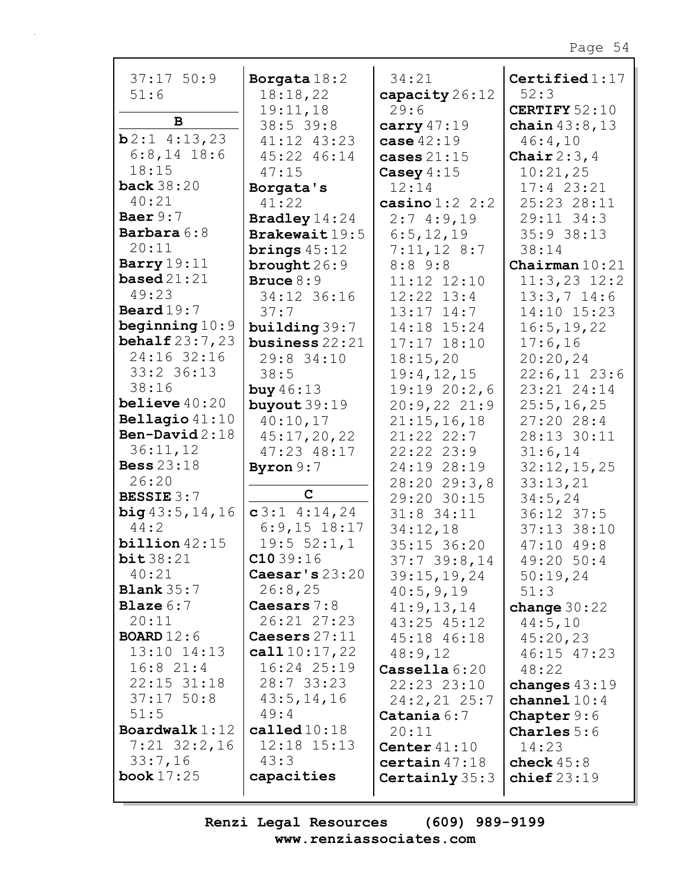| $37:17$ 50:9                | Borgata $18:2$                    | 34:21                          | Certified $1:17$        |
|-----------------------------|-----------------------------------|--------------------------------|-------------------------|
| 51:6                        | 18:18,22                          | capacity 26:12                 | 52:3                    |
|                             | 19:11,18                          | 29:6                           | <b>CERTIFY 52:10</b>    |
| B                           | 38:5 39:8                         | carry $47:19$                  | chain $43:8,13$         |
| $b2:1$ 4:13,23              | 41:12 43:23                       | case $42:19$                   | 46:4,10                 |
| $6:8,14$ 18:6               | 45:22 46:14                       | cases $21:15$                  | Chair $2:3,4$           |
| 18:15                       | 47:15                             | Casey $4:15$                   | 10:21,25                |
| back $38:20$                | Borgata's                         | 12:14                          | $17:4$ 23:21            |
| 40:21                       | 41:22                             | casino $1:2$ 2:2               | 25:23 28:11             |
| Baer $9:7$                  | <b>Bradley</b> 14:24              | 2:74:9,19                      | 29:11 34:3              |
| <b>Barbara 6:8</b><br>20:11 | Brakewait 19:5                    | 6:5, 12, 19                    | $35:9$ 38:13            |
| Barry $19:11$               | brings $45:12$                    | $7:11,12$ 8:7                  | 38:14                   |
| based $21:21$               | brought $26:9$                    | $8:8$ 9:8                      | Chairman $10:21$        |
| 49:23                       | Bruce $8:9$                       | 11:12 12:10                    | $11:3,23$ $12:2$        |
| Beard $19:7$                | 34:12 36:16                       | $12:22$ $13:4$                 | $13:3,7$ 14:6           |
| beginning $10:9$            | 37:7                              | $13:17$ $14:7$                 | 14:10 15:23             |
| <b>behalf</b> $23:7,23$     | building 39:7<br>business $22:21$ | 14:18 15:24<br>$17:17$ $18:10$ | 16:5, 19, 22<br>17:6,16 |
| 24:16 32:16                 | 29:8 34:10                        | 18:15,20                       | 20:20,24                |
| 33:2 36:13                  | 38:5                              | 19:4, 12, 15                   | $22:6,11$ 23:6          |
| 38:16                       | buy $46:13$                       | 19:1920:2,6                    | 23:21 24:14             |
| believe $40:20$             | buyout $39:19$                    | 20:9,2221:9                    | 25:5, 16, 25            |
| Bellagio $41:10$            | 40:10,17                          | 21:15,16,18                    | 27:2028:4               |
| Ben-David $2:18$            | 45:17,20,22                       | 21:22 22:7                     | 28:13 30:11             |
| 36:11,12                    | 47:23 48:17                       | $22:22$ $23:9$                 | 31:6,14                 |
| <b>Bess</b> 23:18           | Byron $9:7$                       | 24:19 28:19                    | 32:12,15,25             |
| 26:20                       |                                   | 28:2029:3,8                    | 33:13,21                |
| BESSIE 3:7                  | $\mathbf C$                       | 29:20 30:15                    | 34:5,24                 |
| big43:5,14,16               | $c3:1$ 4:14,24                    | $31:8$ 34:11                   | 36:12 37:5              |
| 44:2                        | $6:9,15$ 18:17                    | 34:12,18                       | 37:13 38:10             |
| $b$ illion $42:15$          | 19:5 52:1,1                       | $35:15$ 36:20                  | $47:10$ $49:8$          |
| bit38:21                    | C1039:16                          | $37:7$ 39:8,14                 | 49:20 50:4              |
| 40:21                       | Caesar's $23:20$                  | 39:15,19,24                    | 50:19,24                |
| <b>Blank</b> $35:7$         | 26:8,25                           | 40:5,9,19                      | 51:3                    |
| <b>Blaze</b> $6:7$          | Caesars $7:8$                     | 41:9,13,14                     | change $30:22$          |
| 20:11                       | 26:21 27:23                       | 43:25 45:12                    | 44:5,10                 |
| <b>BOARD</b> $12:6$         | Caesers 27:11                     | 45:18 46:18                    | 45:20,23                |
| 13:10 14:13                 | call $10:17,22$                   | 48:9,12                        | 46:15 47:23             |
| $16:8$ 21:4                 | $16:24$ $25:19$                   | $\textbf{Cassella} 6:20$       | 48:22                   |
| $22:15$ $31:18$             | 28:733:23                         | 22:23 23:10                    | changes $43:19$         |
| $37:17$ 50:8                | 43:5, 14, 16                      | $24:2,21$ 25:7                 | channel $10:4$          |
| 51:5                        | 49:4                              | $\texttt{Catania} 6:7$         | <b>Chapter</b> $9:6$    |
| Boardwalk $1:12$            | called $10:18$                    | 20:11                          | <b>Charles</b> $5:6$    |
| $7:21$ 32:2,16              | 12:18 15:13                       | Center $41:10$                 | 14:23                   |
| 33:7,16                     | 43:3                              | certain 47:18                  | check $45:8$            |
| book $17:25$                | capacities                        | Certainly $35:3$               | chief $23:19$           |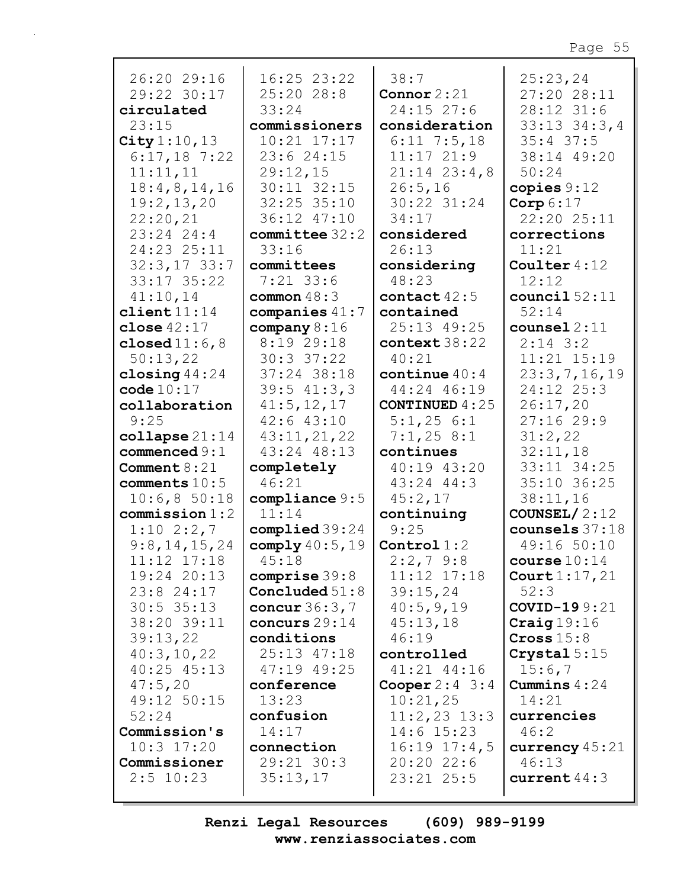| 26:20 29:16               | 16:25 23:22      | 38:7                      | 25:23,24               |
|---------------------------|------------------|---------------------------|------------------------|
| 29:22 30:17               | $25:20$ 28:8     | Connor $2:21$             | 27:20 28:11            |
| circulated                | 33:24            | $24:15$ 27:6              | 28:12 31:6             |
| 23:15                     | commissioners    | consideration             | $33:13$ $34:3$ , 4     |
| City $1:10, 13$           | $10:21$ $17:17$  | $6:11$ 7:5,18             | $35:4$ 37:5            |
| $6:17,18$ 7:22            | 23:6 24:15       | 11:1721:9                 | 38:14 49:20            |
|                           |                  |                           |                        |
| 11:11,11                  | 29:12,15         | $21:14$ $23:4$ , 8        | 50:24                  |
| 18:4,8,14,16              | 30:11 32:15      | 26:5,16                   | copies $9:12$          |
| 19:2,13,20                | 32:25 35:10      | 30:22 31:24               | Corp $6:17$            |
| 22:20,21                  | 36:12 47:10      | 34:17                     | 22:20 25:11            |
| $23:24$ 24:4              | $committee$ 32:2 | considered                | corrections            |
| 24:23 25:11               | 33:16            | 26:13                     | 11:21                  |
| $32:3,17$ 33:7            | committees       | considering               | Coulter $4:12$         |
| 33:17 35:22               | $7:21$ 33:6      | 48:23                     | 12:12                  |
| 41:10,14                  | common $48:3$    | contact $42:5$            | council $52:11$        |
| client11:14               | companies $41:7$ | contained                 | 52:14                  |
| close $42:17$             | company $8:16$   | 25:13 49:25               | $countel$ 2:11         |
| closed $11:6,8$           | 8:19 29:18       | context 38:22             | $2:14$ 3:2             |
| 50:13,22                  | 30:3 37:22       | 40:21                     | 11:21 15:19            |
| closing $44:24$           | 37:24 38:18      | continue $40:4$           | 23:3,7,16,19           |
| code 10:17                | $39:5$ 41:3,3    | 44:24 46:19               | 24:12 25:3             |
| collaboration             | 41:5, 12, 17     | <b>CONTINUED 4:25</b>     | 26:17,20               |
| 9:25                      |                  |                           | 27:1629:9              |
|                           | $42:6$ $43:10$   | 5:1,256:1                 |                        |
| $\texttt{collapse} 21:14$ | 43:11,21,22      | 7:1,258:1                 | 31:2,22                |
| commenced $9:1$           | 43:24 48:13      | continues                 | 32:11,18               |
| Comment $8:21$            | completely       | 40:19 43:20               | 33:11 34:25            |
| comments 10:5             | 46:21            | 43:24 44:3                | 35:10 36:25            |
| 10:6,850:18               | compliance 9:5   | 45:2,17                   | 38:11,16               |
| commission 1:2            | 11:14            | continuing                | COUNSEL/ $2:12$        |
| $1:10$ 2:2,7              | complied 39:24   | 9:25                      | counsels $37:18$       |
| 9:8,14,15,24              | comply $40:5,19$ | Control $1:2$             | 49:16 50:10            |
| 11:12 17:18               | 45:18            | $2:2,7$ 9:8               | course $10:14$         |
| 19:24 20:13               | comprise $39:8$  | 11:12 17:18               | Court $1:17,21$        |
| $23:8$ 24:17              | Concluded $51:8$ | 39:15,24                  | 52:3                   |
| $30:5$ 35:13              | concur 36:3,7    | 40:5,9,19                 | COVID-199:21           |
| 38:20 39:11               | concurs 29:14    | 45:13,18                  | $\texttt{Craig} 19:16$ |
| 39:13,22                  | conditions       | 46:19                     | Cross 15:8             |
| 40:3,10,22                | 25:13 47:18      | controlled                | Crystal $5:15$         |
| $40:25$ $45:13$           | 47:19 49:25      | 41:21 44:16               | 15:6,7                 |
|                           |                  |                           |                        |
| 47:5,20                   | conference       | <b>Cooper</b> $2:4 \ 3:4$ | Cummins $4:24$         |
| 49:12 50:15               | 13:23            | 10:21,25                  | 14:21                  |
| 52:24                     | confusion        | $11:2,23$ $13:3$          | currencies             |
| Commission's              | 14:17            | $14:6$ 15:23              | 46:2                   |
| $10:3$ 17:20              | connection       | $16:19$ $17:4,5$          | currency $45:21$       |
| Commissioner              | 29:21 30:3       | 20:2022:6                 | 46:13                  |
| $2:5$ 10:23               | 35:13,17         | $23:21$ $25:5$            | current $44:3$         |
|                           |                  |                           |                        |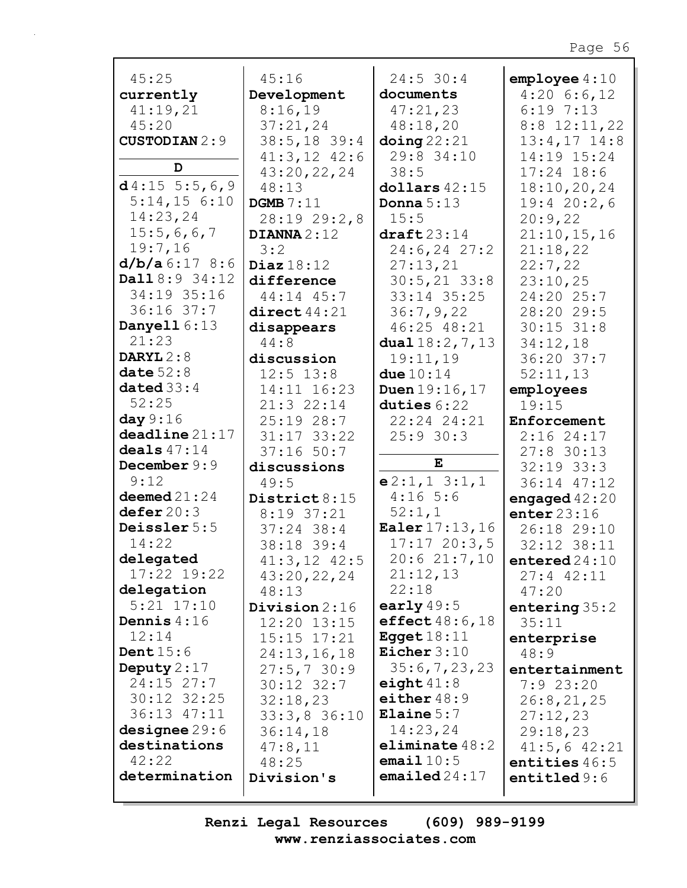| 45:25                | 45:16            | $24:5$ 30:4              | $emplogee$ 4:10    |
|----------------------|------------------|--------------------------|--------------------|
| currently            | Development      | documents                | $4:20$ 6:6,12      |
| 41:19,21             | 8:16,19          | 47:21,23                 | 6:197:13           |
| 45:20                | 37:21,24         | 48:18,20                 | $8:8$ 12:11,22     |
| <b>CUSTODIAN 2:9</b> | $38:5,18$ 39:4   | $\Delta$ doing 22:21     | $13:4,17$ $14:8$   |
|                      | $41:3,12$ $42:6$ | 29:8 34:10               | 14:19 15:24        |
| D                    | 43:20,22,24      | 38:5                     | $17:24$ 18:6       |
| $d4:15$ 5:5,6,9      | 48:13            | dollars $42:15$          | 18:10, 20, 24      |
| $5:14,15$ 6:10       | DGMB $7:11$      | Donna $5:13$             | 19:420:2,6         |
| 14:23,24             | 28:19 29:2,8     | 15:5                     | 20:9,22            |
| 15:5,6,6,7           | DIANNA $2:12$    | $draff23:14$             | 21:10,15,16        |
| 19:7,16              | 3:2              | 24:6, 24 27:2            | 21:18,22           |
| d/b/a 6:17 8:6       | Diaz $18:12$     | 27:13,21                 | 22:7,22            |
| Dall 8:9 34:12       | difference       | $30:5, 21$ 33:8          | 23:10,25           |
| 34:19 35:16          | 44:14 45:7       | 33:14 35:25              | 24:20 25:7         |
| 36:16 37:7           | direct44:21      | 36:7,9,22                | 28:20 29:5         |
| Danyell 6:13         | disappears       | 46:25 48:21              | $30:15$ 31:8       |
| 21:23                | 44:8             | dual $18:2, 7, 13$       | 34:12,18           |
| DARYL $2:8$          | discussion       | 19:11,19                 | 36:20 37:7         |
| date $52:8$          | $12:5$ $13:8$    | due $10:14$              | 52:11,13           |
| dated $33:4$         | 14:11 16:23      | Duen 19:16, 17           | employees          |
| 52:25                | 21:3 22:14       | duties 6:22              | 19:15              |
| day $9:16$           | 25:19 28:7       | 22:24 24:21              | Enforcement        |
| deadline 21:17       | $31:17$ $33:22$  | 25:930:3                 | 2:1624:17          |
| deals $47:14$        | $37:16$ 50:7     |                          | $27:8$ 30:13       |
| December 9:9         | discussions      | E                        | $32:19$ $33:3$     |
| 9:12                 | 49:5             | e2:1,13:1,1              | 36:14 47:12        |
| deemed $21:24$       | District 8:15    | $4:16$ 5:6               | engaged $42:20$    |
| defer 20:3           | 8:19 37:21       | 52:1,1                   | enter $23:16$      |
| Deissler 5:5         | $37:24$ 38:4     | <b>Ealer</b> $17:13, 16$ | 26:18 29:10        |
| 14:22                | 38:18 39:4       | 17:1720:3,5              | 32:12 38:11        |
| delegated            | $41:3,12$ $42:5$ | 20:621:7,10              | entered $24:10$    |
| $17:22$ $19:22$      | 43:20,22,24      | 21:12,13                 | $27:4$ $42:11$     |
| delegation           | 48:13            | 22:18                    | 47:20              |
| $5:21$ $17:10$       | Division $2:16$  | early $49:5$             | entering $35:2$    |
| Dennis $4:16$        | 12:20 13:15      | effect $48:6,18$         | 35:11              |
| 12:14                | $15:15$ $17:21$  | Egget $18:11$            |                    |
| Dent $15:6$          | 24:13,16,18      | Eicher $3:10$            | enterprise<br>48:9 |
| Deputy $2:17$        | 27:5,730:9       | 35:6,7,23,23             | entertainment      |
| 24:15 27:7           |                  | eight $41:8$             | 7:923:20           |
| $30:12$ $32:25$      | $30:12$ $32:7$   | either $48:9$            |                    |
| 36:13 47:11          | 32:18,23         | Elaine $5:7$             | 26:8, 21, 25       |
| designee $29:6$      | $33:3,8$ 36:10   | 14:23,24                 | 27:12,23           |
| destinations         | 36:14,18         | eliminate $48:2$         | 29:18,23           |
| 42:22                | 47:8,11          | email $10:5$             | $41:5,6$ $42:21$   |
|                      | 48:25            | emailed $24:17$          | entities $46:5$    |
| determination        | Division's       |                          | entitled $9:6$     |
|                      |                  |                          |                    |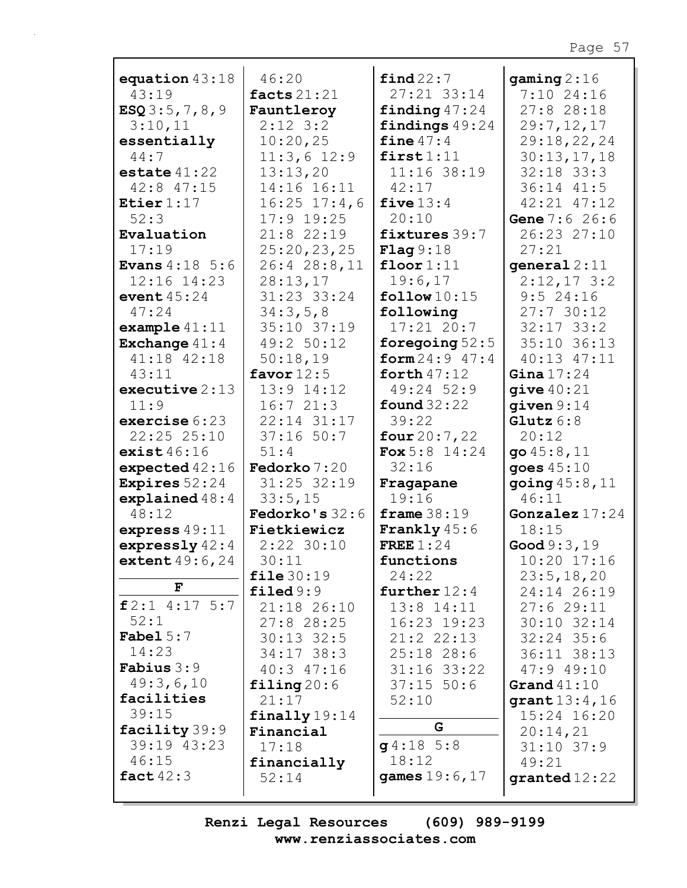| equation $43:18$           | 46:20                    | find 22:7              | gaming $2:16$            |
|----------------------------|--------------------------|------------------------|--------------------------|
| 43:19                      | facts $21:21$            | 27:21 33:14            | $7:10$ 24:16             |
| ESQ3:5,7,8,9               | Fauntleroy               | finding $47:24$        | $27:8$ 28:18             |
|                            |                          |                        |                          |
| 3:10,11                    | $2:12$ 3:2               | findings 49:24         | 29:7,12,17               |
| essentially                | 10:20,25                 | fine $47:4$            | 29:18,22,24              |
| 44:7                       | $11:3,6$ 12:9            | first1:11              | 30:13,17,18              |
| estate $41:22$             | 13:13,20                 | 11:16 38:19            | $32:18$ $33:3$           |
|                            |                          |                        |                          |
| $42:8$ $47:15$             | 14:16 16:11              | 42:17                  | 36:14 41:5               |
| Etier $1:17$               | $16:25$ $17:4$ , 6       | five $13:4$            | 42:21 47:12              |
| 52:3                       | 17:9 19:25               | 20:10                  | Gene 7:6 26:6            |
| Evaluation                 | 21:8 22:19               | fixtures 39:7          | 26:23 27:10              |
|                            |                          |                        |                          |
| 17:19                      | 25:20,23,25              | Flag 9:18              | 27:21                    |
| <b>Evans</b> $4:18 \, 5:6$ | 26:4 28:8,11             | floor $1:11$           | general $2:11$           |
| 12:16 14:23                | 28:13,17                 | 19:6,17                | $2:12,17$ 3:2            |
| event $45:24$              | 31:23 33:24              | follow $10:15$         | 9:524:16                 |
| 47:24                      | 34:3,5,8                 | following              | 27:730:12                |
|                            |                          |                        |                          |
| example $41:11$            | 35:10 37:19              | $17:21$ 20:7           | $32:17$ $33:2$           |
| Exchange $41:4$            | 49:2 50:12               | foregoing $52:5$       | 35:10 36:13              |
| 41:18 42:18                | 50:18,19                 | form $24:9$ 47:4       | 40:13 47:11              |
| 43:11                      | favor $12:5$             | forth $47:12$          | Gina $17:24$             |
|                            |                          |                        |                          |
| executive $2:13$           | 13:9 14:12               | 49:24 52:9             | give $40:21$             |
| 11:9                       | 16:721:3                 | found $32:22$          | given $9:14$             |
| exercise $6:23$            | 22:14 31:17              | 39:22                  | Glutz $6:8$              |
| 22:25 25:10                | $37:16$ 50:7             | four $20:7,22$         | 20:12                    |
|                            |                          |                        |                          |
| exist $46:16$              | 51:4                     | <b>Fox</b> $5:8$ 14:24 | go $45:8,11$             |
| expected $42:16$           | Fedorko 7:20             | 32:16                  | goes $45:10$             |
| Expires $52:24$            | 31:25 32:19              | Fragapane              | going $45:8$ , $11$      |
| explained $48:4$           | 33:5,15                  | 19:16                  | 46:11                    |
| 48:12                      | Fedorko's $32:6$         | frame $38:19$          | Gonzalez $17:24$         |
|                            |                          |                        |                          |
| express $49:11$            | Fietkiewicz              | <b>Frankly</b> $45:6$  | 18:15                    |
| expressly $42:4$           | $2:22$ 30:10             | FREE $1:24$            | Good $9:3,19$            |
| extent $49:6,24$           | 30:11                    | functions              | $10:20$ $17:16$          |
|                            | file30:19                | 24:22                  | 23:5, 18, 20             |
| F                          | filed9:9                 | further $12:4$         | 24:14 26:19              |
|                            |                          |                        |                          |
| $f2:1$ 4:17 5:7            | 21:18 26:10              | $13:8$ $14:11$         | 27:629:11                |
| 52:1                       | $27:8$ 28:25             | 16:23 19:23            | $30:10$ $32:14$          |
| <b>Fabel</b> $5:7$         | $30:13$ 32:5             | 21:2 22:13             | $32:24$ 35:6             |
| 14:23                      | $34:17$ 38:3             | $25:18$ 28:6           | 36:11 38:13              |
| <b>Fabius</b> $3:9$        |                          |                        |                          |
|                            | 40:3 47:16               | $31:16$ $33:22$        | 47:949:10                |
| 49:3,6,10                  | $\texttt{filling}$ 20:6  | $37:15$ 50:6           | Grand $41:10$            |
| facilities                 | 21:17                    | 52:10                  | $\mathtt{grant} 13:4,16$ |
| 39:15                      | $\texttt{finally}$ 19:14 |                        | 15:24 16:20              |
| facility 39:9              |                          | G                      |                          |
|                            | Financial                |                        | 20:14,21                 |
| 39:19 43:23                | 17:18                    | $g4:18$ 5:8            | $31:10$ 37:9             |
| 46:15                      | financially              | 18:12                  | 49:21                    |
| fact $42:3$                | 52:14                    | games 19:6, 17         | granted $12:22$          |
|                            |                          |                        |                          |
|                            |                          |                        |                          |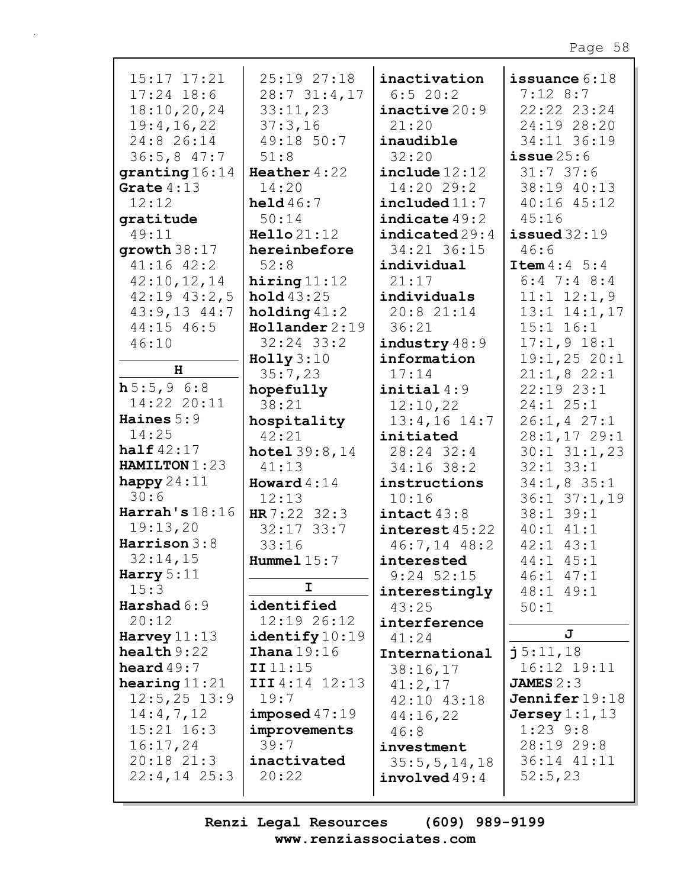| $15:17$ $17:21$           | 25:19 27:18          | inactivation     | issuance $6:18$         |
|---------------------------|----------------------|------------------|-------------------------|
| $17:24$ 18:6              | 28:731:4,17          | 6:520:2          | $7:12$ 8:7              |
| 18:10, 20, 24             | 33:11,23             | inactive 20:9    | 22:22 23:24             |
| 19:4, 16, 22              | 37:3,16              | 21:20            | 24:19 28:20             |
| 24:8 26:14                | 49:18 50:7           | inaudible        | 34:11 36:19             |
| 36:5,847:7                | 51:8                 | 32:20            | $i$ ssue $25:6$         |
| granting 16:14            | Heather $4:22$       | include 12:12    | 31:737:6                |
| Grate $4:13$              | 14:20                | 14:20 29:2       | 38:19 40:13             |
| 12:12                     | held $46:7$          | include 11:7     | 40:16 45:12             |
| qratitude                 | 50:14                | indicate 49:2    | 45:16                   |
| 49:11                     | Hello 21:12          | indicated 29:4   | $i$ ssued $32:19$       |
| growth $38:17$            | hereinbefore         | 34:21 36:15      | 46:6                    |
| $41:16$ $42:2$            | 52:8                 | individual       | <b>Item</b> $4:4 \ 5:4$ |
| 42:10,12,14               | hiring $11:12$       | 21:17            | $6:4$ 7:4 8:4           |
| $42:19$ $43:2,5$          | hold43:25            | individuals      | $11:1$ $12:1,9$         |
| $43:9,13$ $44:7$          | holding $41:2$       | 20:8 21:14       | $13:1$ $14:1$ , $17$    |
| 44:15 46:5                | Hollander 2:19       | 36:21            | $15:1$ $16:1$           |
| 46:10                     | $32:24$ $33:2$       | industry48:9     | $17:1,9$ 18:1           |
|                           | Holly 3:10           | information      | 19:1,2520:1             |
| н                         | 35:7,23              | 17:14            | 21:1,822:1              |
| h5:5,96:8                 | hopefully            | initial4:9       | $22:19$ $23:1$          |
| 14:22 20:11               | 38:21                | 12:10,22         | $24:1$ $25:1$           |
| Haines $5:9$              | hospitality          | $13:4,16$ 14:7   | 26:1, 427:1             |
| 14:25                     | 42:21                | initiated        | 28:1,17 29:1            |
| half $42:17$              | hotel 39:8,14        | 28:24 32:4       | $30:1$ $31:1,23$        |
| HAMILTON 1:23             | 41:13                | $34:16$ 38:2     | $32:1$ $33:1$           |
| happy $24:11$             | Howard $4:14$        | instructions     | $34:1,8$ 35:1           |
| 30:6                      | 12:13                | 10:16            | $36:1$ $37:1$ , 19      |
| $\texttt{Harrah's} 18:16$ | HR $7:22$ 32:3       | intact 43:8      | 38:1 39:1               |
| 19:13,20                  | $32:17$ 33:7         | interset 45:22   | $40:1$ $41:1$           |
| Harrison $3:8$            | 33:16                | $46:7,14$ $48:2$ | $42:1$ $43:1$           |
| 32:14,15                  | Hummel $15:7$        | interested       | 44:1 45:1               |
| Harry $5:11$              |                      | $9:24$ 52:15     | $46:1$ $47:1$           |
| 15:3                      | I                    | interestingly    | 48:1 49:1               |
| Harshad $6:9$             | identified           | 43:25            | 50:1                    |
| 20:12                     | 12:19 26:12          | interference     |                         |
| Harvey $11:13$            | identity 10:19       | 41:24            | J                       |
| $\texttt{health} 9:22$    | <b>Ihana</b> $19:16$ | International    | $\mathbf{i}$ 5:11,18    |
| heard $49:7$              | III11:15             | 38:16,17         | 16:12 19:11             |
| hearing $11:21$           | III4:14 12:13        | 41:2,17          | JAMES $2:3$             |
| $12:5, 25$ 13:9           | 19:7                 | 42:10 43:18      | Jennifer $19:18$        |
| 14:4,7,12                 | imposed 47:19        | 44:16,22         | Jersey $1:1$ , $13$     |
| $15:21$ $16:3$            | improvements         | 46:8             | $1:23$ 9:8              |
| 16:17,24                  | 39:7                 | investment       | 28:19 29:8              |
| $20:18$ $21:3$            | inactivated          | 35:5, 5, 14, 18  | 36:14 41:11             |
| $22:4,14$ $25:3$          | 20:22                | involved49:4     | 52:5,23                 |
|                           |                      |                  |                         |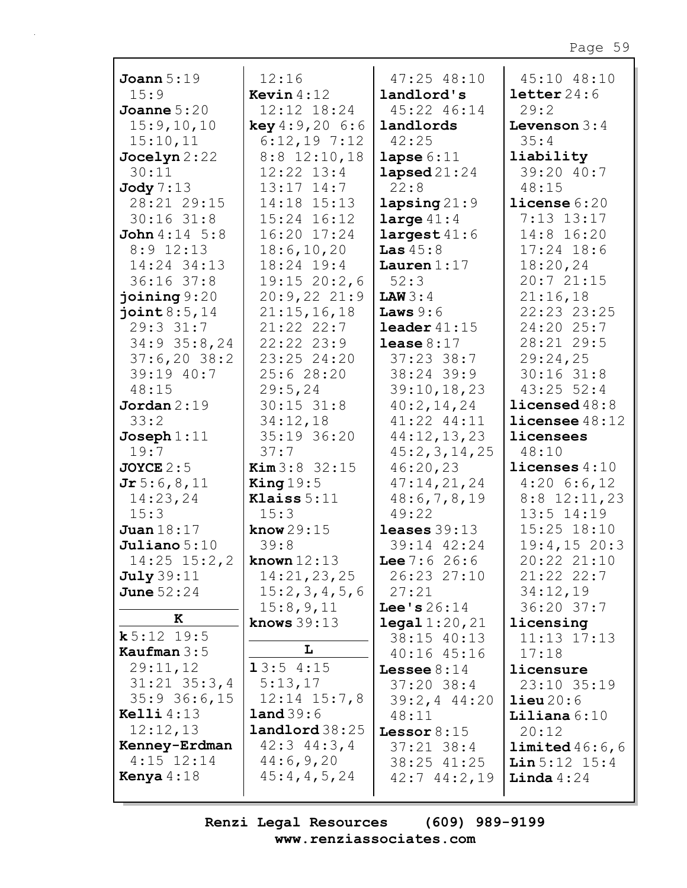| Joann $5:19$             | 12:16                   | 47:25 48:10               | 45:10 48:10             |
|--------------------------|-------------------------|---------------------------|-------------------------|
| 15:9                     | <b>Kevin</b> $4:12$     | landlord's                | $\text{letter}\,24:6$   |
| Joanne $5:20$            | 12:12 18:24             | 45:22 46:14               | 29:2                    |
| 15:9,10,10               | <b>key</b> $4:9,20$ 6:6 | landlords                 | Levenson $3:4$          |
| 15:10,11                 | $6:12,19$ 7:12          | 42:25                     | 35:4                    |
| Jocelyn 2:22             | $8:8$ 12:10,18          | lapse $6:11$              | liability               |
| 30:11                    | $12:22$ $13:4$          | $\texttt{lapped}21:24$    | 39:20 40:7              |
| Jody 7:13                | $13:17$ $14:7$          | 22:8                      | 48:15                   |
| 28:21 29:15              | 14:18 15:13             | lapsing $21:9$            | $l$ icense $6:20$       |
| $30:16$ $31:8$           | 15:24 16:12             | large $41:4$              | 7:13 13:17              |
| <b>John</b> $4:14$ $5:8$ | 16:20 17:24             | largest 41:6              | 14:8 16:20              |
| $8:9$ 12:13              | 18:6, 10, 20            | Las $45:8$                | $17:24$ 18:6            |
| 14:24 34:13              | 18:24 19:4              | Lauren $1:17$             | 18:20,24                |
| $36:16$ 37:8             | 19:15 20:2,6            | 52:3                      | 20:721:15               |
| joining $9:20$           | 20:9,2221:9             | LAW3:4                    | 21:16,18                |
| joint $8:5,14$           | 21:15,16,18             | Laws $9:6$                | 22:23 23:25             |
| $29:3$ $31:7$            | 21:22 22:7              | leader $41:15$            | 24:20 25:7              |
| $34:9$ $35:8$ , 24       | $22:22$ $23:9$          | lease $8:17$              | 28:21 29:5              |
| $37:6,20$ 38:2           | 23:25 24:20             | $37:23$ 38:7              | 29:24,25                |
| 39:19 40:7               | 25:6 28:20              | 38:24 39:9                | $30:16$ $31:8$          |
| 48:15                    | 29:5, 24                | 39:10, 18, 23             | $43:25$ 52:4            |
| Jordan $2:19$            | $30:15$ $31:8$          | 40:2,14,24                | licensed48:8            |
| 33:2                     | 34:12,18                | 41:22 44:11               | <b>licensee</b> $48:12$ |
| $Joseph 1:11$            | 35:19 36:20             | 44:12,13,23               | licensees               |
| 19:7                     | 37:7                    | 45:2,3,14,25              | 48:10                   |
| <b>JOYCE</b> $2:5$       | <b>Kim</b> $3:8$ 32:15  | 46:20,23                  | licenses $4:10$         |
| Jr 5:6,8,11              | King $19:5$             | 47:14,21,24               | $4:20$ 6:6,12           |
| 14:23,24                 | Klaiss $5:11$           | 48:6,7,8,19               | $8:8$ 12:11,23          |
| 15:3                     | 15:3                    | 49:22                     | 13:5 14:19              |
| Juan $18:17$             | know $29:15$            | leases $39:13$            | $15:25$ $18:10$         |
| $J$ uliano $5:10$        | 39:8                    | 39:14 42:24               | 19:4, 1520:3            |
| $14:25$ $15:2,2$         | known $12:13$           | Lee $7:626:6$             | 20:22 21:10             |
| July 39:11               | 14:21,23,25             | 26:23 27:10               | 21:22 22:7              |
| June $52:24$             | 15:2,3,4,5,6            | 27:21                     | 34:12,19                |
|                          | 15:8,9,11               | <b>Lee's</b> $26:14$      | 36:20 37:7              |
| к                        | knows $39:13$           | $\texttt{legal } 1:20,21$ | licensing               |
| k 5:12 19:5              |                         | 38:15 40:13               | $11:13$ $17:13$         |
| Kaufman $3:5$            | L                       | 40:16 45:16               | 17:18                   |
| 29:11,12                 | 13:54:15                | Lessee $8:14$             | licensure               |
| $31:21$ $35:3,4$         | 5:13,17                 | $37:20$ 38:4              | 23:10 35:19             |
| $35:9$ 36:6,15           | $12:14$ $15:7,8$        | $39:2, 4$ 44:20           | $\text{lieu}\,20:6$     |
| Kelli $4:13$             | $\text{land } 39:6$     | 48:11                     | Liliana $6:10$          |
| 12:12,13                 | landland38:25           | Lessor $8:15$             | 20:12                   |
| Kenney-Erdman            | $42:3$ $44:3$ , 4       | $37:21$ $38:4$            | limited 46:6, 6         |
| $4:15$ $12:14$           | 44:6,9,20               | 38:25 41:25               | Lin 5:12 15:4           |
| Kenya $4:18$             | 45:4,4,5,24             | $42:7$ $44:2,19$          | Linda $4:24$            |
|                          |                         |                           |                         |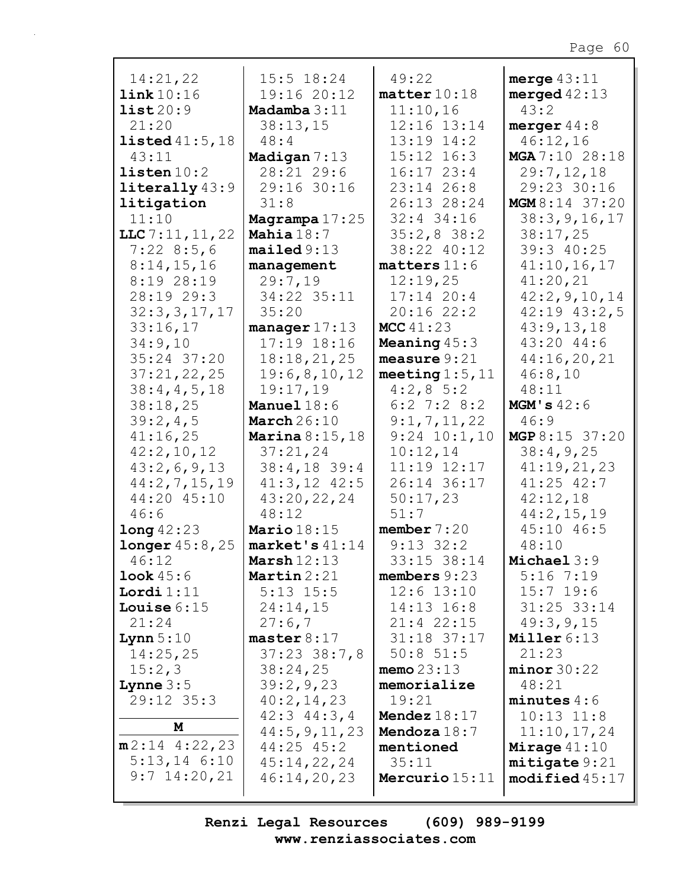| 14:21,22                | 15:5 18:24              | 49:22                | merge $43:11$             |
|-------------------------|-------------------------|----------------------|---------------------------|
| link10:16               | 19:16 20:12             | matter 10:18         | merged $42:13$            |
| list20:9                | Madamba $3:11$          | 11:10,16             | 43:2                      |
| 21:20                   | 38:13,15                | 12:16 13:14          | merger $44:8$             |
| listed $41:5,18$        | 48:4                    | 13:19 14:2           | 46:12,16                  |
| 43:11                   | Madigan 7:13            | $15:12$ $16:3$       | MGA 7:10 28:18            |
| $l$ isten $10:2$        | 28:21 29:6              | $16:17$ $23:4$       | 29:7,12,18                |
| $literally$ 43:9        | 29:16 30:16             | 23:14 26:8           | 29:23 30:16               |
| litigation              | 31:8                    | 26:13 28:24          | MGM 8:14 37:20            |
| 11:10                   | Magrampa $17:25$        | $32:4$ 34:16         | 38:3, 9, 16, 17           |
| $LLC$ 7:11, 11, 22      | Mahia $18:7$            | $35:2,8$ 38:2        | 38:17,25                  |
| 7:228:5,6               | mailed 9:13             | 38:22 40:12          | 39:3 40:25                |
| 8:14,15,16              | management              | $matters$ $11:6$     | 41:10,16,17               |
| 8:19 28:19              | 29:7,19                 | 12:19,25             | 41:20,21                  |
| 28:19 29:3              | 34:22 35:11             | $17:14$ 20:4         | 42:2, 9, 10, 14           |
| 32:3,3,17,17            | 35:20                   | 20:1622:2            | $42:19$ $43:2,5$          |
| 33:16,17                | manager $17:13$         | MCC $41:23$          | 43:9,13,18                |
| 34:9,10                 | 17:19 18:16             | Meaning $45:3$       | 43:20 44:6                |
| 35:24 37:20             | 18:18,21,25             | measure $9:21$       | 44:16,20,21               |
| 37:21,22,25             | 19:6,8,10,12            | meeting $1:5$ , $11$ | 46:8,10                   |
| 38:4,4,5,18             | 19:17,19                | $4:2,8\ 5:2$         | 48:11                     |
| 38:18,25                | <b>Manuel</b> $18:6$    | $6:2$ 7:2 8:2        | MGM' s 42:6               |
| 39:2,4,5                | March $26:10$           | 9:1,7,11,22          | 46:9                      |
| 41:16,25                | <b>Marina</b> $8:15,18$ | $9:24$ $10:1,10$     | MGP 8:15 37:20            |
| 42:2,10,12              | 37:21,24                | 10:12,14             | 38:4,9,25                 |
| 43:2,6,9,13             | 38:4,18 39:4            | 11:19 12:17          | 41:19,21,23               |
| 44:2,7,15,19            | $41:3,12$ $42:5$        | 26:14 36:17          | $41:25$ $42:7$            |
| 44:20 45:10             | 43:20,22,24             | 50:17,23             | 42:12,18                  |
| 46:6                    | 48:12                   | 51:7                 | 44:2,15,19                |
| long42:23               | Mario $18:15$           | member $7:20$        | 45:10 46:5                |
| <b>longer</b> $45:8,25$ | $market's 41:14$        | $9:13$ $32:2$        | 48:10                     |
| 46:12                   | Marsh $12:13$           | 33:15 38:14          | Michael 3:9               |
| Look 45:6               | Martin $2:21$           | members $9:23$       | $5:16$ 7:19               |
| Lordi $1:11$            | $5:13$ $15:5$           | $12:6$ $13:10$       | $15:7$ 19:6               |
| Louise $6:15$           | 24:14,15                | 14:13 16:8           | 31:25 33:14               |
| 21:24                   | 27:6,7                  | 21:4 22:15           | 49:3,9,15                 |
| Lynn $5:10$             | master $8:17$           | 31:18 37:17          | Miller 6:13               |
| 14:25,25                | $37:23$ $38:7,8$        | $50:8$ 51:5          | 21:23                     |
| 15:2,3                  | 38:24,25                | memo $23:13$         | minor 30:22               |
| <b>Lynne</b> $3:5$      | 39:2,9,23               | memorialize          | 48:21                     |
| 29:12 35:3              | 40:2,14,23              | 19:21                | minutes 4:6               |
|                         | $42:3$ $44:3$ , 4       | Mendez $18:17$       | $10:13$ $11:8$            |
| M                       | 44:5, 9, 11, 23         | Mendoza 18:7         | 11:10,17,24               |
| $m2:14$ 4:22,23         | $44:25$ $45:2$          | mentioned            | Mirage $41:10$            |
| $5:13,14$ 6:10          | 45:14,22,24             | 35:11                | mitigate 9:21             |
| $9:7$ 14:20,21          | 46:14,20,23             | Mercurio $15:11$     | $\texttt{modified}$ 45:17 |
|                         |                         |                      |                           |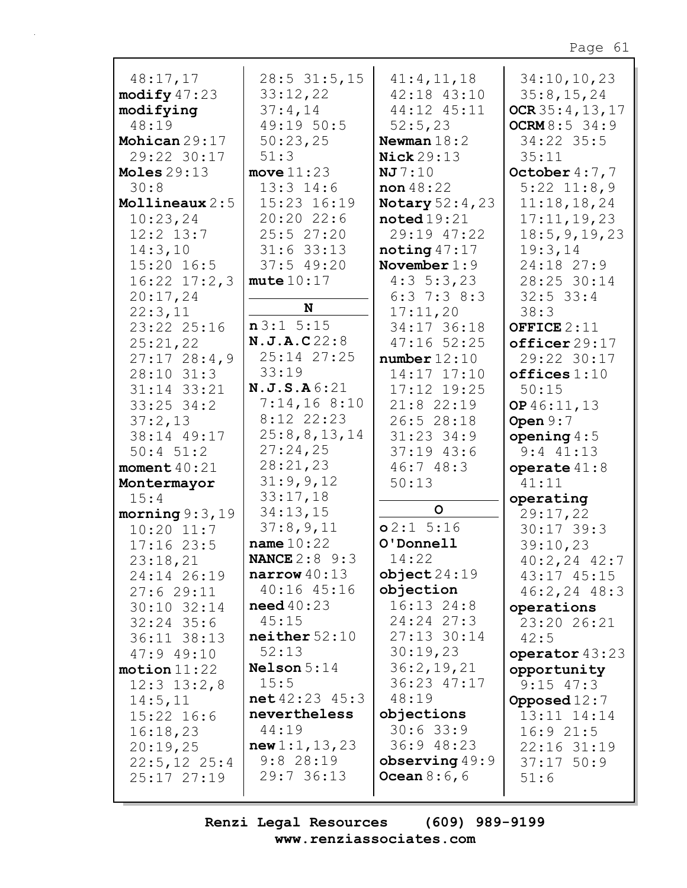| 48:17,17                 | $28:5$ 31:5,15                       | 41:4,11,18             | 34:10,10,23                      |
|--------------------------|--------------------------------------|------------------------|----------------------------------|
| $\text{modify } 47:23$   | 33:12,22                             | 42:18 43:10            | 35:8, 15, 24                     |
| modifying                | 37:4,14                              | 44:12 45:11            | OCR35:4,13,17                    |
| 48:19                    | 49:19 50:5                           | 52:5,23                | <b>OCRM</b> $8:5$ 34:9           |
| Mohican 29:17            | 50:23,25                             | Newman $18:2$          | 34:22 35:5                       |
| 29:22 30:17              | 51:3                                 | <b>Nick</b> 29:13      | 35:11                            |
| Moles $29:13$            | move $11:23$                         | NJ7:10                 | October $4:7,7$                  |
| 30:8                     | $13:3$ $14:6$                        | non $48:22$            | $5:22$ $11:8,9$                  |
| Mollineaux 2:5           | 15:23 16:19                          | <b>Notary</b> 52:4, 23 | 11:18,18,24                      |
| 10:23,24                 | 20:2022:6                            | $\texttt{noted}19:21$  | 17:11, 19, 23                    |
| $12:2$ $13:7$            | 25:527:20                            | 29:19 47:22            | 18:5, 9, 19, 23                  |
| 14:3,10                  | $31:6$ 33:13                         | noting $47:17$         | 19:3,14                          |
| $15:20$ 16:5             | 37:549:20                            | November $1:9$         | 24:18 27:9                       |
| $16:22$ $17:2,3$         | mute 10:17                           | $4:3 \t5:3,23$         | 28:25 30:14                      |
| 20:17,24                 |                                      | $6:3$ 7:3 8:3          | $32:5$ 33:4                      |
| 22:3,11                  | N                                    | 17:11,20               | 38:3                             |
| 23:22 25:16              | n3:15:15                             | 34:17 36:18            | OFFICE $2:11$                    |
| 25:21,22                 | N.J.A.C22:8                          | $47:16$ 52:25          | officer 29:17                    |
| 27:1728:4,9              | 25:14 27:25                          | number12:10            | 29:22 30:17                      |
| 28:10 31:3               | 33:19                                | 14:17 17:10            | offices 1:10                     |
| 31:14 33:21              | N.J.S.A6:21                          | 17:12 19:25            | 50:15                            |
| $33:25$ $34:2$           | 7:14,168:10                          | $21:8$ 22:19           | OP 46:11, 13                     |
| 37:2,13                  | 8:12 22:23                           | 26:528:18              | Open $9:7$                       |
| 38:14 49:17              | 25:8,8,13,14                         | $31:23$ 34:9           | opening $4:5$                    |
| $50:4$ $51:2$            | 27:24,25                             | $37:19$ 43:6           | $9:4$ $41:13$                    |
| moment $40:21$           | 28:21,23                             | 46:748:3               | operate $41:8$                   |
| Montermayor              | 31:9,9,12                            | 50:13                  | 41:11                            |
| 15:4                     | 33:17,18                             |                        | operating                        |
| morning $9:3,19$         | 34:13,15                             | $\mathsf{o}$           | 29:17,22                         |
| $10:20$ $11:7$           | 37:8,9,11                            | o2:1 5:16              | $30:17$ 39:3                     |
| $17:16$ 23:5             | name $10:22$<br><b>NANCE</b> 2:8 9:3 | O'Donnell              | 39:10,23                         |
| 23:18,21                 | narrow 40:13                         | 14:22<br>object24:19   | $40:2, 24$ $42:7$                |
| 24:14 26:19<br>27:629:11 | $40:16$ $45:16$                      | objection              | 43:17 45:15<br>$46:2, 24$ $48:3$ |
| 30:10 32:14              | $need\,40:23$                        | $16:13$ $24:8$         | operations                       |
| $32:24$ 35:6             | 45:15                                | 24:24 27:3             | 23:20 26:21                      |
| 36:11 38:13              | neither 52:10                        | 27:13 30:14            | 42:5                             |
| $47:9$ $49:10$           | 52:13                                | 30:19,23               | operator 43:23                   |
| motion 11:22             | <b>Nelson</b> $5:14$                 | 36:2,19,21             | opportunity                      |
| $12:3$ $13:2,8$          | 15:5                                 | 36:23 47:17            | $9:15$ 47:3                      |
| 14:5,11                  | net 42:23 45:3                       | 48:19                  | Opposed $12:7$                   |
| $15:22$ 16:6             | nevertheless                         | objections             | 13:11 14:14                      |
| 16:18,23                 | 44:19                                | $30:6$ 33:9            | 16:921:5                         |
| 20:19,25                 | new 1:1, 13, 23                      | $36:9$ 48:23           | 22:16 31:19                      |
| $22:5, 12$ 25:4          | $9:8$ 28:19                          | observing $49:9$       | $37:17$ 50:9                     |
| $25:17$ $27:19$          | 29:736:13                            | <b>Ocean</b> $8:6,6$   | 51:6                             |
|                          |                                      |                        |                                  |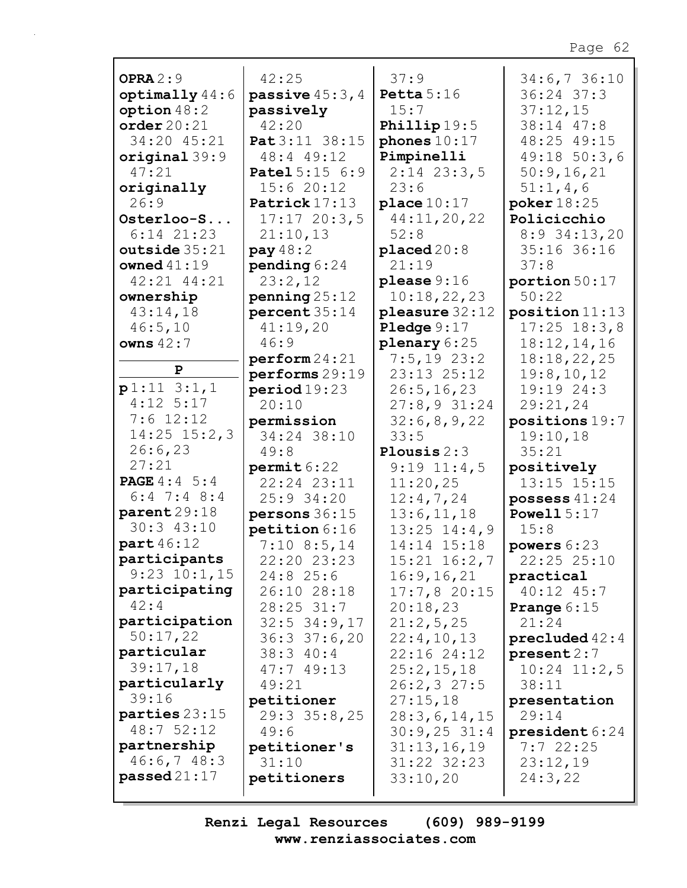| OPRA $2:9$              | 42:25                | 37:9                      | 34:6,736:10          |
|-------------------------|----------------------|---------------------------|----------------------|
| $optimally$ 44:6        | passive $45:3$ , $4$ | Petta $5:16$              | $36:24$ 37:3         |
| option $48:2$           | passively            | 15:7                      | 37:12,15             |
| order20:21              | 42:20                | Phillip $19:5$            | 38:14 47:8           |
| 34:20 45:21             | Pat 3:11 38:15       | phones $10:17$            | 48:25 49:15          |
| $original$ 39:9         | 48:4 49:12           | Pimpinelli                | 49:18 50:3,6         |
| 47:21                   | Patel 5:15 6:9       | $2:14$ $23:3,5$           | 50:9,16,21           |
| originally              | 15:620:12            | 23:6                      | 51:1,4,6             |
| 26:9                    | Patrick 17:13        | place $10:17$             | poker $18:25$        |
| Osterloo-S              | 17:1720:3,5          | 44:11,20,22               | Policicchio          |
| $6:14$ $21:23$          | 21:10,13             | 52:8                      | $8:9$ 34:13,20       |
| outside 35:21           | pay $48:2$           | placed20:8                | 35:16 36:16          |
| owned $41:19$           | pending $6:24$       | 21:19                     | 37:8                 |
| 42:21 44:21             | 23:2,12              | please $9:16$             | portion $50:17$      |
|                         |                      |                           | 50:22                |
| ownership               | penning 25:12        | 10:18,22,23               |                      |
| 43:14,18                | percent35:14         | pleasure 32:12            | position 11:13       |
| 46:5,10                 | 41:19,20             | Pledge $9:17$             | $17:25$ $18:3,8$     |
| owns $42:7$             | 46:9                 | plenary 6:25              | 18:12,14,16          |
|                         | perform 24:21        | $7:5,19$ 23:2             | 18:18,22,25          |
| $\mathbf{P}$            | performs 29:19       | 23:13 25:12               | 19:8, 10, 12         |
| $p1:11$ 3:1,1           | period 19:23         | 26:5, 16, 23              | 19:19 24:3           |
| $4:12$ 5:17             | 20:10                | 27:8,931:24               | 29:21,24             |
| $7:6$ 12:12             | permission           | 32:6,8,9,22               | positions 19:7       |
| $14:25$ $15:2,3$        | 34:24 38:10          | 33:5                      | 19:10,18             |
| 26:6,23                 | 49:8                 | Plousis $2:3$             | 35:21                |
| 27:21                   | permit 6:22          | $9:19$ $11:4,5$           | positively           |
| <b>PAGE</b> $4:4 \ 5:4$ | 22:24 23:11          | 11:20,25                  | 13:15 15:15          |
| $6:4$ 7:4 8:4           | $25:9$ 34:20         | 12:4,7,24                 | possess $41:24$      |
| parent 29:18            | persons $36:15$      | 13:6, 11, 18              | Powell $5:17$        |
| $30:3$ 43:10            | petition 6:16        | $13:25$ $14:4,9$          | 15:8                 |
| <b>part</b> 46:12       | $7:10$ 8:5,14        | $14:14$ $15:18$           | powers $6:23$        |
| participants            | 22:20 23:23          | $15:21$ $16:2,7$          | 22:25 25:10          |
| $9:23$ $10:1,15$        | $24:8$ 25:6          | 16:9, 16, 21              | practical            |
| participating           | 26:10 28:18          | 17:7,820:15               | 40:12 45:7           |
| 42:4                    | 28:25 31:7           | 20:18,23                  | <b>Prange</b> $6:15$ |
| participation           | $32:5$ $34:9,17$     | 21:2,5,25                 | 21:24                |
| 50:17,22                | 36:337:6,20          |                           |                      |
| particular              |                      | 22:4,10,13<br>22:16 24:12 | precluded $42:4$     |
| 39:17,18                | 38:340:4             |                           | present 2:7          |
|                         | 47:749:13            | 25:2,15,18                | $10:24$ $11:2,5$     |
| particularly            | 49:21                | 26:2,327:5                | 38:11                |
| 39:16                   | petitioner           | 27:15,18                  | presentation         |
| parties 23:15           | $29:3$ $35:8$ , $25$ | 28:3,6,14,15              | 29:14                |
| 48:752:12               | 49:6                 | $30:9,25$ 31:4            | president 6:24       |
| partnership             | petitioner's         | 31:13,16,19               | 7:722:25             |
| 46:6,748:3              | 31:10                | 31:22 32:23               | 23:12,19             |
| passed21:17             | petitioners          | 33:10,20                  | 24:3,22              |
|                         |                      |                           |                      |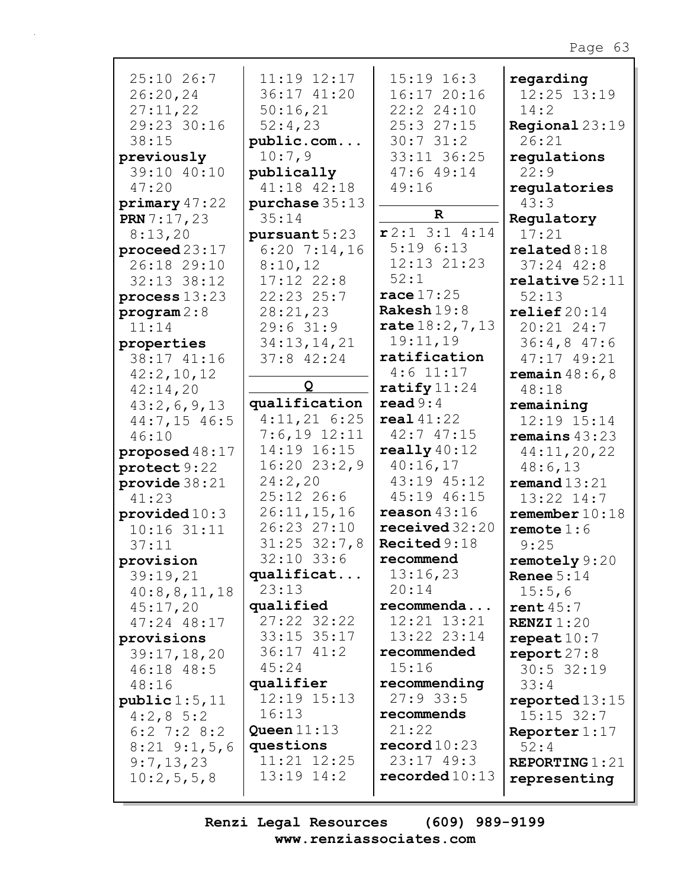| 25:10 26:7                       | 11:19 12:17      | $15:19$ $16:3$         | regarding               |
|----------------------------------|------------------|------------------------|-------------------------|
| 26:20,24                         | 36:17 41:20      | 16:1720:16             | 12:25 13:19             |
| 27:11,22                         | 50:16,21         | 22:2 24:10             | 14:2                    |
| 29:23 30:16                      | 52:4,23          | 25:3 27:15             | <b>Regional</b> $23:19$ |
| 38:15                            | public.com       | 30:731:2               | 26:21                   |
| previously                       | 10:7,9           | 33:11 36:25            | regulations             |
| 39:10 40:10                      | publically       | 47:649:14              | 22:9                    |
| 47:20                            | 41:18 42:18      | 49:16                  | regulatories            |
| primary47:22                     | purchase $35:13$ |                        | 43:3                    |
| <b>PRN</b> $7:17,23$             | 35:14            | $\mathbf R$            | Regulatory              |
| 8:13,20                          | pursuant 5:23    | $r2:1$ 3:1 4:14        | 17:21                   |
| proceed $23:17$                  | $6:20$ 7:14,16   | 5:196:13               | related 8:18            |
| 26:18 29:10                      | 8:10,12          | 12:13 21:23            | $37:24$ 42:8            |
| $32:13$ $38:12$                  | $17:12$ $22:8$   | 52:1                   | relative 52:11          |
| process $13:23$                  | 22:23 25:7       | race $17:25$           | 52:13                   |
| $\texttt{program} 2:8$           | 28:21,23         | Rakesh $19:8$          | relief20:14             |
| 11:14                            | 29:631:9         | rate $18:2, 7, 13$     | 20:21 24:7              |
|                                  | 34:13,14,21      | 19:11,19               | 36:4,847:6              |
| properties<br>38:17 41:16        | $37:8$ 42:24     | ratification           | 47:17 49:21             |
| 42:2,10,12                       |                  | $4:6$ 11:17            | remain $48:6$ , 8       |
| 42:14,20                         | Q                | ratify $11:24$         | 48:18                   |
|                                  | qualification    | $\texttt{read } 9:4$   | remaining               |
| 43:2,6,9,13<br>$44:7,15$ 46:5    | $4:11,21$ 6:25   | real 41:22             | 12:19 15:14             |
| 46:10                            | $7:6,19$ 12:11   | 42:747:15              | remains $43:23$         |
|                                  | 14:19 16:15      | really $40:12$         | 44:11,20,22             |
| proposed $48:17$<br>protect 9:22 | $16:20$ $23:2,9$ | 40:16,17               | 48:6,13                 |
| provide $38:21$                  | 24:2,20          | 43:19 45:12            | remand 13:21            |
| 41:23                            | $25:12$ 26:6     | 45:19 46:15            | 13:22 14:7              |
| provided $10:3$                  | 26:11,15,16      | reason $43:16$         | remember $10:18$        |
| $10:16$ 31:11                    | 26:23 27:10      | received $32:20$       | remote $1:6$            |
| 37:11                            | $31:25$ $32:7,8$ | Recited $9:18$         | 9:25                    |
| provision                        | $32:10$ 33:6     | recommend              | remotely 9:20           |
| 39:19,21                         | qualificat       | 13:16,23               |                         |
| 40:8,8,11,18                     | 23:13            | 20:14                  | Renee $5:14$<br>15:5,6  |
| 45:17,20                         | qualified        | recommenda             | rent $45:7$             |
| 47:24 48:17                      | 27:22 32:22      | 12:21 13:21            | <b>RENZI</b> $1:20$     |
| provisions                       | 33:15 35:17      | 13:22 23:14            | repeat $10:7$           |
| 39:17,18,20                      | $36:17$ $41:2$   | recommended            | $\texttt{report27:8}$   |
| 46:18 48:5                       | 45:24            | 15:16                  | $30:5$ 32:19            |
| 48:16                            | qualifier        | recommending           | 33:4                    |
| public 1:5, 11                   | $12:19$ $15:13$  | $27:9$ 33:5            | reported $13:15$        |
| $4:2,8\ 5:2$                     | 16:13            | recommends             | $15:15$ 32:7            |
| $6:2$ 7:2 8:2                    | Queen $11:13$    | 21:22                  | Reporter 1:17           |
| $8:21$ $9:1,5,6$                 | questions        | $\texttt{record10:23}$ | 52:4                    |
| 9:7,13,23                        | 11:21 12:25      | $23:17$ 49:3           | REPORTING $1:21$        |
| 10:2,5,5,8                       | $13:19$ $14:2$   | reordered10:13         | representing            |
|                                  |                  |                        |                         |
|                                  |                  |                        |                         |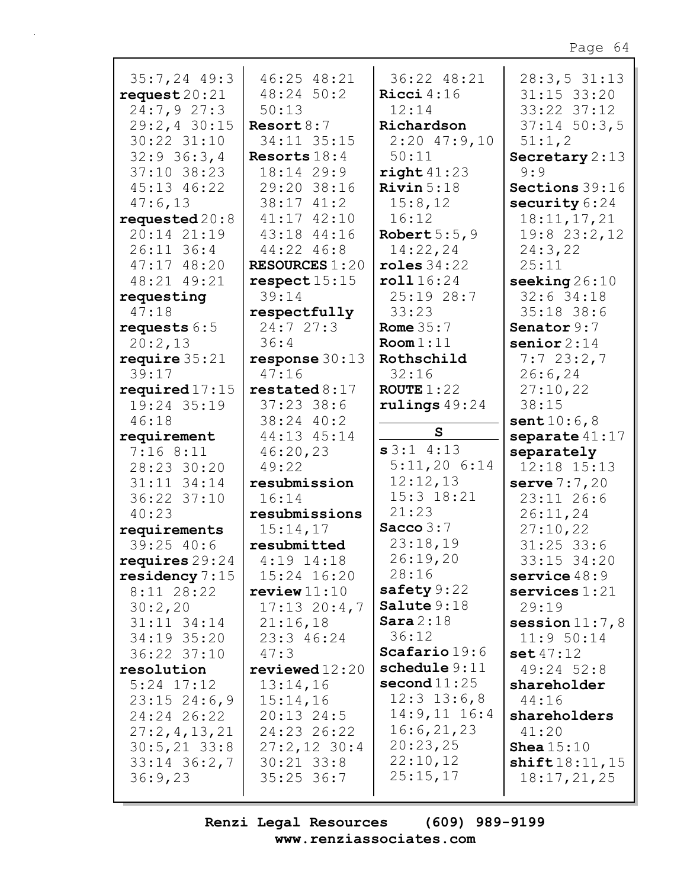| $35:7,24$ 49:3                  | 46:25 48:21                | 36:22 48:21                  | 28:3,531:13                    |
|---------------------------------|----------------------------|------------------------------|--------------------------------|
| request $20:21$                 | $48:24$ 50:2               | Ricci $4:16$                 | $31:15$ $33:20$                |
| 24:7,927:3                      | 50:13                      | 12:14                        | 33:22 37:12                    |
| 29:2,4 30:15                    | Resort $8:7$               | Richardson                   | $37:14$ 50:3,5                 |
| 30:22 31:10                     | 34:11 35:15                | $2:20$ 47:9,10               | 51:1,2                         |
| $32:9$ 36:3,4                   | Resorts $18:4$             | 50:11                        | Secretary $2:13$               |
| 37:10 38:23                     | 18:14 29:9                 | right 41:23                  | 9:9                            |
| 45:13 46:22                     | 29:20 38:16                | Rivin $5:18$                 | Sections 39:16                 |
| 47:6,13                         | $38:17$ $41:2$             | 15:8,12                      | security $6:24$                |
| requested $20:8$<br>20:14 21:19 | 41:17 42:10<br>43:18 44:16 | 16:12<br>Robert $5:5,9$      | 18:11,17,21<br>19:8 23:2,12    |
| 26:11 36:4                      | 44:22 46:8                 | 14:22,24                     | 24:3,22                        |
| 47:17 48:20                     | <b>RESOURCES 1:20</b>      | roles $34:22$                | 25:11                          |
| 48:21 49:21                     | respect 15:15              | roll 16:24                   | seeking $26:10$                |
| requesting                      | 39:14                      | 25:19 28:7                   | $32:6$ 34:18                   |
| 47:18                           | respectfully               | 33:23                        | 35:18 38:6                     |
| requests $6:5$                  | 24:727:3                   | Rome $35:7$                  | Senator 9:7                    |
| 20:2,13                         | 36:4                       | Room 1:11                    | senior $2:14$                  |
| require $35:21$                 | response $30:13$           | Rothschild                   | 7:723:2,7                      |
| 39:17                           | 47:16                      | 32:16                        | 26:6, 24                       |
| required $17:15$                | restated 8:17              | ROUTE $1:22$                 | 27:10,22                       |
| 19:24 35:19                     | $37:23$ 38:6               | rulings $49:24$              | 38:15                          |
| 46:18                           | 38:24 40:2                 | S                            | sent10:6,8                     |
| requirement<br>7:168:11         | 44:13 45:14<br>46:20,23    | s3:14:13                     | separate $41:17$<br>separately |
| 28:23 30:20                     | 49:22                      | 5:11,206:14                  | 12:18 15:13                    |
| 31:11 34:14                     | resubmission               | 12:12,13                     | serve $7:7,20$                 |
| 36:22 37:10                     | 16:14                      | 15:3 18:21                   | 23:11 26:6                     |
| 40:23                           | resubmissions              | 21:23                        | 26:11,24                       |
| requirements                    | 15:14,17                   | Sacco $3:7$                  | 27:10,22                       |
| 39:25 40:6                      | resubmitted                | 23:18,19                     | $31:25$ 33:6                   |
| requires $29:24$                | $4:19$ $14:18$             | 26:19,20                     | 33:15 34:20                    |
| residency $7:15$                | 15:24 16:20                | 28:16                        | service $48:9$                 |
| $8:11$ 28:22                    | review11:10                | safety $9:22$<br>Salute 9:18 | $s$ ervices $1:21$             |
| 30:2,20                         | $17:13$ $20:4,7$           | Sara $2:18$                  | 29:19                          |
| $31:11$ $34:14$                 | 21:16,18                   | 36:12                        | session $11:7,8$<br>11:950:14  |
| 34:19 35:20<br>36:22 37:10      | 23:3 46:24<br>47:3         | $\texttt{Scafario19:6}$      | set 47:12                      |
| resolution                      | reviewed12:20              | schedule 9:11                | 49:24 52:8                     |
| $5:24$ $17:12$                  | 13:14,16                   | $\mathbf{second}\,11:25$     | shareholder                    |
| $23:15$ $24:6,9$                | 15:14,16                   | $12:3$ $13:6,8$              | 44:16                          |
| 24:24 26:22                     | $20:13$ 24:5               | $14:9,11$ $16:4$             | shareholders                   |
| 27:2,4,13,21                    | 24:23 26:22                | 16:6,21,23                   | 41:20                          |
| $30:5, 21$ 33:8                 | $27:2,12$ 30:4             | 20:23,25                     | <b>Shea</b> $15:10$            |
| $33:14$ $36:2,7$                | $30:21$ $33:8$             | 22:10,12                     | shift18:11,15                  |
| 36:9,23                         | $35:25$ 36:7               | 25:15,17                     | 18:17,21,25                    |
|                                 |                            |                              |                                |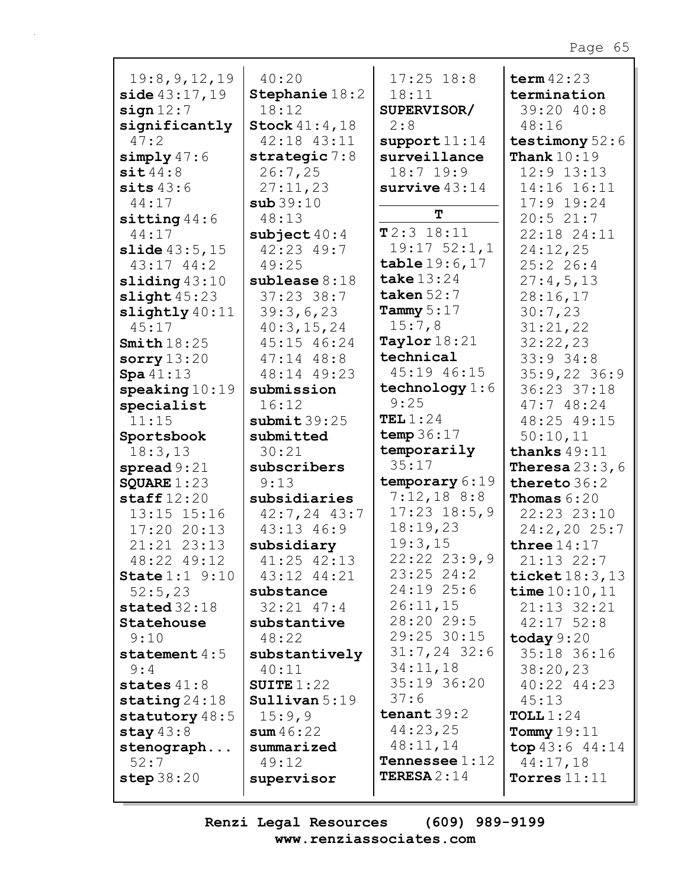| 19:8, 9, 12, 19            | 40:20                  | $17:25$ $18:8$                | term $42:23$                |
|----------------------------|------------------------|-------------------------------|-----------------------------|
|                            | Stephanie 18:2         | 18:11                         | termination                 |
| side 43:17,19<br>sign 12:7 | 18:12                  | SUPERVISOR/                   | 39:20 40:8                  |
|                            | <b>Stock</b> $41:4,18$ | 2:8                           | 48:16                       |
| significantly<br>47:2      | 42:18 43:11            |                               | testimony $52:6$            |
|                            |                        | support 11:14<br>surveillance | Thank $10:19$               |
| simply $47:6$              | strategic $7:8$        | $18:7$ 19:9                   |                             |
| $s$ it $44:8$              | 26:7,25                |                               | $12:9$ $13:13$              |
| sits $43:6$                | 27:11,23               | survive $43:14$               | 14:16 16:11                 |
| 44:17                      | sub39:10               | T                             | $17:9$ 19:24                |
| sitting $44:6$             | 48:13                  | $T2:3$ 18:11                  | 20:521:7                    |
| 44:17                      | subject $40:4$         | $19:17$ $52:1,1$              | 22:18 24:11                 |
| slide43:5,15               | 42:23 49:7             |                               | 24:12,25                    |
| $43:17$ $44:2$             | 49:25                  | table19:6,17                  | 25:226:4                    |
| sliding $43:10$            | sublease 8:18          | take $13:24$                  | 27:4,5,13                   |
| slight45:23                | $37:23$ 38:7           | taken $52:7$                  | 28:16,17                    |
| slightly $40:11$           | 39:3,6,23              | Tammy $5:17$                  | 30:7,23                     |
| 45:17                      | 40:3,15,24             | 15:7,8                        | 31:21,22                    |
| Smith $18:25$              | 45:15 46:24            | Taylor $18:21$                | 32:22,23                    |
| sorry $13:20$              | $47:14$ $48:8$         | technical                     | 33:934:8                    |
| Spa41:13                   | 48:14 49:23            | 45:19 46:15                   | $35:9,22$ 36:9              |
| $\texttt{speaking} 10:19$  | submission             | technology $1:6$              | 36:23 37:18                 |
| specialist                 | 16:12                  | 9:25                          | 47:748:24                   |
| 11:15                      | submit 39:25           | TEL $1:24$                    | 48:25 49:15                 |
| Sportsbook                 | submitted              | temp $36:17$                  | 50:10,11                    |
| 18:3,13                    | 30:21                  | temporarily                   | thanks $49:11$              |
| spread $9:21$              | subscribers            | 35:17                         | <b>Theresa</b> $23:3$ , $6$ |
| SQUARE $1:23$              | 9:13                   | temporary 6:19                | thereto 36:2                |
| staff $12:20$              | subsidiaries           | 7:12,188:8                    | <b>Thomas</b> $6:20$        |
| 13:15 15:16                | $42:7, 24$ $43:7$      | $17:23$ $18:5,9$              | 22:23 23:10                 |
| 17:2020:13                 | 43:13 46:9             | 18:19,23                      | 24:2,2025:7                 |
| 21:21 23:13                | subsidiary             | 19:3,15                       | three $14:17$               |
| 48:22 49:12                | 41:25 42:13            | 22:22 23:9,9                  | $21:13$ 22:7                |
| <b>State</b> $1:1$ $9:10$  | 43:12 44:21            | $23:25$ 24:2                  | ticket $18:3, 13$           |
| 52:5,23                    | substance              | 24:19 25:6                    | time $10:10, 11$            |
| stated $32:18$             | $32:21$ $47:4$         | 26:11,15                      | $21:13$ $32:21$             |
| Statehouse                 | substantive            | 28:20 29:5                    | $42:17$ 52:8                |
| 9:10                       | 48:22                  | 29:25 30:15                   | today $9:20$                |
| statement $4:5$            | substantively          | $31:7,24$ 32:6                | 35:18 36:16                 |
| 9:4                        | 40:11                  | 34:11,18                      | 38:20,23                    |
| states $41:8$              | SUITE $1:22$           | 35:19 36:20                   | 40:22 44:23                 |
| stating $24:18$            | $S$ ullivan $5:19$     | 37:6                          | 45:13                       |
| statutory 48:5             | 15:9,9                 | tenant $39:2$                 | TOLL $1:24$                 |
| stay $43:8$                | sum 46:22              | 44:23,25                      | Tommy $19:11$               |
| stenograph                 | summarized             | 48:11,14                      | top $43:6$ $44:14$          |
| 52:7                       | 49:12                  | <b>Tennessee</b> $1:12$       | 44:17,18                    |
| step $38:20$               | supervisor             | <b>TERESA</b> $2:14$          | Torres $11:11$              |
|                            |                        |                               |                             |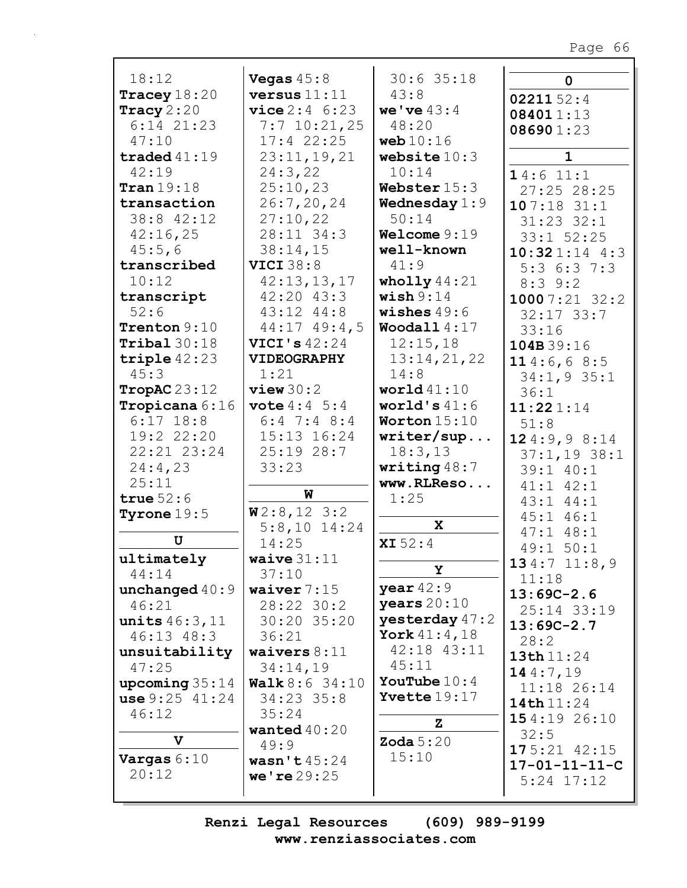| 18:12                          | Vegas $45:8$<br>versus $11:11$ | $30:6$ 35:18           | $\mathbf 0$               |
|--------------------------------|--------------------------------|------------------------|---------------------------|
| Tracey $18:20$<br>Tracy $2:20$ | <b>vice</b> $2:4 \t6:23$       | 43:8<br>we've $43:4$   | 0221152:4                 |
| $6:14$ $21:23$                 | $7:7$ 10:21,25                 | 48:20                  | 084011:13                 |
| 47:10                          | $17:4$ 22:25                   | web $10:16$            | 086901:23                 |
| traded $41:19$                 | 23:11,19,21                    | website $10:3$         | $\mathbf{1}$              |
| 42:19                          | 24:3,22                        | 10:14                  |                           |
| $\texttt{Tran} 19:18$          | 25:10,23                       | Webster $15:3$         | 14:611:1                  |
| transaction                    | 26:7, 20, 24                   | <b>Wednesday</b> $1:9$ | 27:25 28:25<br>107:1831:1 |
| 38:8 42:12                     | 27:10,22                       | 50:14                  | $31:23$ $32:1$            |
| 42:16,25                       | 28:11 34:3                     | Welcome $9:19$         | $33:1$ $52:25$            |
| 45:5,6                         | 38:14,15                       | well-known             | $10:321:14$ 4:3           |
| transcribed                    | <b>VICI 38:8</b>               | 41:9                   | 5:36:37:3                 |
| 10:12                          | 42:13,13,17                    | wholly $44:21$         | $8:3$ 9:2                 |
| transcript                     | $42:20$ $43:3$                 | wish $9:14$            | 10007:2132:2              |
| 52:6                           | 43:12 44:8                     | wishes $49:6$          | $32:17$ $33:7$            |
| Trenton 9:10                   | $44:17$ $49:4$ , 5             | Woodall $4:17$         | 33:16                     |
| Tribal 30:18                   | VICI's $42:24$                 | 12:15,18               | 104B39:16                 |
| triple $42:23$                 | <b>VIDEOGRAPHY</b>             | 13:14,21,22            | 114:6,68:5                |
| 45:3                           | 1:21                           | 14:8                   | 34:1,935:1                |
| TropAC $23:12$                 | view30:2                       | world $41:10$          | 36:1                      |
| Tropicana 6:16                 | <b>vote</b> $4:4 \ 5:4$        | world's $41:6$         | 11:221:14                 |
| $6:17$ 18:8                    | $6:4$ 7:4 8:4                  | Worton $15:10$         | 51:8                      |
| 19:2 22:20                     | 15:13 16:24                    | writer/sup             | 124:9,98:14               |
| 22:21 23:24                    | $25:19$ 28:7                   | 18:3,13                | $37:1,19$ 38:1            |
| 24:4,23                        | 33:23                          | writing $48:7$         | 39:1 40:1                 |
| 25:11                          |                                | www.RLReso             | $41:1$ $42:1$             |
| true $52:6$                    | W                              | 1:25                   | $43:1$ $44:1$             |
| Tyrone $19:5$                  | W2:8,123:2                     | X                      | $45:1$ $46:1$             |
| U                              | $5:8,10$ 14:24                 |                        | $47:1$ $48:1$             |
|                                | 14:25                          | XI 52:4                | 49:1 50:1                 |
| ultimately<br>44:14            | waive $31:11$<br>37:10         | Y                      | 134:711:8,9               |
| unchanged $40:9$               | waiver $7:15$                  | year $42:9$            | 11:18                     |
| 46:21                          | 28:22 30:2                     | years $20:10$          | $13:69C-2.6$              |
| <b>units</b> $46:3,11$         | 30:20 35:20                    | yesterday $47:2$       | 25:14 33:19               |
| $46:13$ $48:3$                 | 36:21                          | York $41:4, 18$        | $13:69C-2.7$              |
| unsuitability                  | waivers $8:11$                 | 42:18 43:11            | 28:2                      |
| 47:25                          | 34:14,19                       | 45:11                  | 13th11:24                 |
| upcoming $35:14$               | <b>Walk</b> $8:6$ 34:10        | <b>YouTube</b> $10:4$  | 144:7,19                  |
| use 9:25 41:24                 | 34:23 35:8                     | <b>Yvette</b> $19:17$  | 11:18 26:14<br>14th 11:24 |
| 46:12                          | 35:24                          |                        | 154:1926:10               |
|                                | wanted $40:20$                 | z                      | 32:5                      |
| $\mathbf v$                    | 49:9                           | Zoda $5:20$            | $175:21$ 42:15            |
| Vargas $6:10$                  | wasn't $45:24$                 | 15:10                  | $17 - 01 - 11 - 11 - C$   |
| 20:12                          | we're 29:25                    |                        | $5:24$ $17:12$            |
|                                |                                |                        |                           |